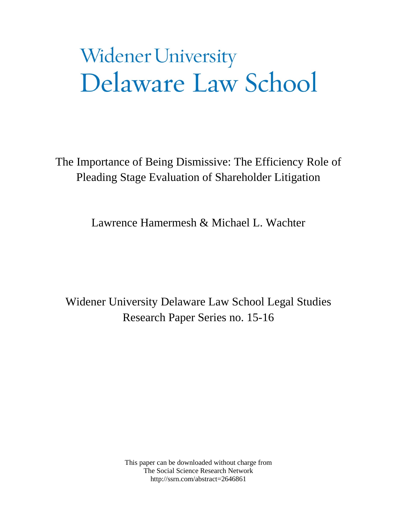# **Widener University** Delaware Law School

The Importance of Being Dismissive: The Efficiency Role of Pleading Stage Evaluation of Shareholder Litigation

Lawrence Hamermesh & Michael L. Wachter

Widener University Delaware Law School Legal Studies Research Paper Series no. 15-16

> This paper can be downloaded without charge from The Social Science Research Network http://ssrn.com/abstract=2646861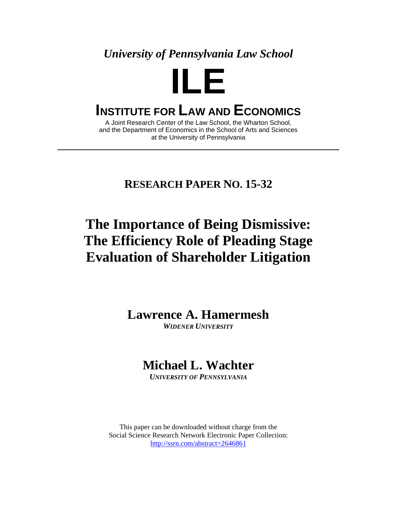*University of Pennsylvania Law School* 



# **INSTITUTE FOR LAW AND ECONOMICS**

A Joint Research Center of the Law School, the Wharton School, and the Department of Economics in the School of Arts and Sciences at the University of Pennsylvania

### **RESEARCH PAPER NO. 15-32**

# **The Importance of Being Dismissive: The Efficiency Role of Pleading Stage Evaluation of Shareholder Litigation**

**Lawrence A. Hamermesh** 

*WIDENER UNIVERSITY*

## **Michael L. Wachter**

*UNIVERSITY OF PENNSYLVANIA*

This paper can be downloaded without charge from the Social Science Research Network Electronic Paper Collection: http://ssrn.com/abstract=2646861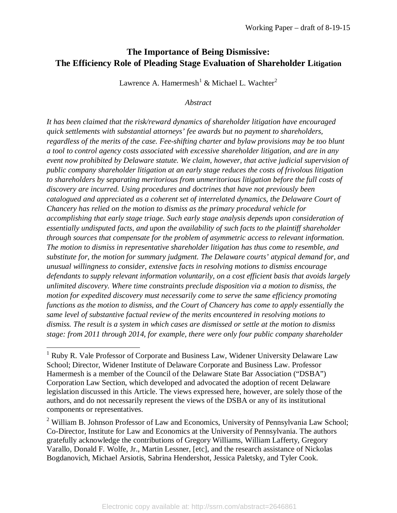### **The Importance of Being Dismissive: The Efficiency Role of Pleading Stage Evaluation of Shareholder Litigation**

Lawrence A. Hamermesh<sup>[1](#page-2-0)</sup> & Michael L. Wachter<sup>[2](#page-2-1)</sup>

*Abstract*

*It has been claimed that the risk/reward dynamics of shareholder litigation have encouraged quick settlements with substantial attorneys' fee awards but no payment to shareholders, regardless of the merits of the case. Fee-shifting charter and bylaw provisions may be too blunt a tool to control agency costs associated with excessive shareholder litigation, and are in any event now prohibited by Delaware statute. We claim, however, that active judicial supervision of public company shareholder litigation at an early stage reduces the costs of frivolous litigation to shareholders by separating meritorious from unmeritorious litigation before the full costs of discovery are incurred. Using procedures and doctrines that have not previously been catalogued and appreciated as a coherent set of interrelated dynamics, the Delaware Court of Chancery has relied on the motion to dismiss as the primary procedural vehicle for accomplishing that early stage triage. Such early stage analysis depends upon consideration of essentially undisputed facts, and upon the availability of such facts to the plaintiff shareholder through sources that compensate for the problem of asymmetric access to relevant information. The motion to dismiss in representative shareholder litigation has thus come to resemble, and substitute for, the motion for summary judgment. The Delaware courts' atypical demand for, and unusual willingness to consider, extensive facts in resolving motions to dismiss encourage defendants to supply relevant information voluntarily, on a cost efficient basis that avoids largely unlimited discovery. Where time constraints preclude disposition via a motion to dismiss, the motion for expedited discovery must necessarily come to serve the same efficiency promoting functions as the motion to dismiss, and the Court of Chancery has come to apply essentially the same level of substantive factual review of the merits encountered in resolving motions to dismiss. The result is a system in which cases are dismissed or settle at the motion to dismiss stage: from 2011 through 2014, for example, there were only four public company shareholder* 

<span id="page-2-0"></span><sup>&</sup>lt;sup>1</sup> Ruby R. Vale Professor of Corporate and Business Law, Widener University Delaware Law School; Director, Widener Institute of Delaware Corporate and Business Law. Professor Hamermesh is a member of the Council of the Delaware State Bar Association ("DSBA") Corporation Law Section, which developed and advocated the adoption of recent Delaware legislation discussed in this Article. The views expressed here, however, are solely those of the authors, and do not necessarily represent the views of the DSBA or any of its institutional components or representatives.

<span id="page-2-1"></span> $2$  William B. Johnson Professor of Law and Economics, University of Pennsylvania Law School; Co-Director, Institute for Law and Economics at the University of Pennsylvania. The authors gratefully acknowledge the contributions of Gregory Williams, William Lafferty, Gregory Varallo, Donald F. Wolfe, Jr., Martin Lessner, [etc], and the research assistance of Nickolas Bogdanovich, Michael Arsiotis, Sabrina Hendershot, Jessica Paletsky, and Tyler Cook.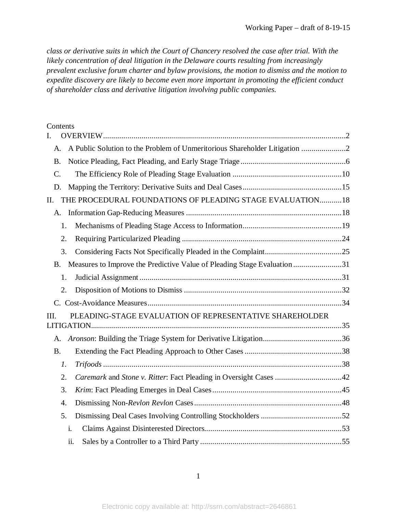*class or derivative suits in which the Court of Chancery resolved the case after trial. With the likely concentration of deal litigation in the Delaware courts resulting from increasingly prevalent exclusive forum charter and bylaw provisions, the motion to dismiss and the motion to expedite discovery are likely to become even more important in promoting the efficient conduct of shareholder class and derivative litigation involving public companies.*

#### Contents

| I.                                                              |                                                                            |  |  |
|-----------------------------------------------------------------|----------------------------------------------------------------------------|--|--|
| A.                                                              | A Public Solution to the Problem of Unmeritorious Shareholder Litigation 2 |  |  |
| <b>B.</b>                                                       |                                                                            |  |  |
| $\mathcal{C}$ .                                                 |                                                                            |  |  |
| D.                                                              |                                                                            |  |  |
| II.                                                             | THE PROCEDURAL FOUNDATIONS OF PLEADING STAGE EVALUATION 18                 |  |  |
| A.                                                              |                                                                            |  |  |
|                                                                 | 1.                                                                         |  |  |
|                                                                 | 2.                                                                         |  |  |
|                                                                 | 3.                                                                         |  |  |
| <b>B.</b>                                                       | Measures to Improve the Predictive Value of Pleading Stage Evaluation 31   |  |  |
|                                                                 | 1.                                                                         |  |  |
| 2.                                                              |                                                                            |  |  |
|                                                                 |                                                                            |  |  |
| PLEADING-STAGE EVALUATION OF REPRESENTATIVE SHAREHOLDER<br>III. |                                                                            |  |  |
| A.                                                              |                                                                            |  |  |
| <b>B.</b>                                                       |                                                                            |  |  |
|                                                                 | 1.                                                                         |  |  |
|                                                                 | Caremark and Stone v. Ritter: Fact Pleading in Oversight Cases 42<br>2.    |  |  |
|                                                                 | 3.                                                                         |  |  |
| $\boldsymbol{4}$ .                                              |                                                                            |  |  |
|                                                                 | 5.                                                                         |  |  |
|                                                                 | i.                                                                         |  |  |
|                                                                 | ii.                                                                        |  |  |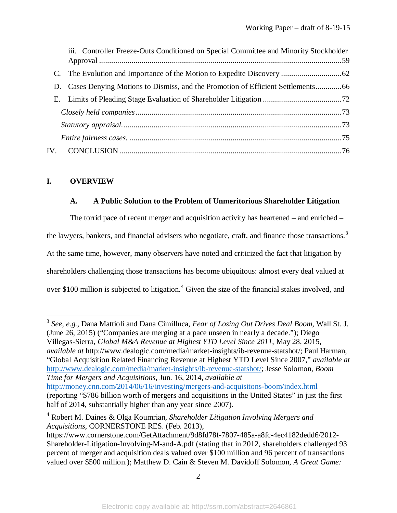| iii. Controller Freeze-Outs Conditioned on Special Committee and Minority Stockholder |  |
|---------------------------------------------------------------------------------------|--|
|                                                                                       |  |
|                                                                                       |  |
|                                                                                       |  |
|                                                                                       |  |
|                                                                                       |  |
|                                                                                       |  |
|                                                                                       |  |

#### <span id="page-4-0"></span>**I. OVERVIEW**

 $\overline{\phantom{a}}$ 

#### <span id="page-4-1"></span>**A. A Public Solution to the Problem of Unmeritorious Shareholder Litigation**

The torrid pace of recent merger and acquisition activity has heartened – and enriched – the lawyers, bankers, and financial advisers who negotiate, craft, and finance those transactions.<sup>[3](#page-4-2)</sup> At the same time, however, many observers have noted and criticized the fact that litigation by shareholders challenging those transactions has become ubiquitous: almost every deal valued at over \$100 million is subjected to litigation.<sup>[4](#page-4-3)</sup> Given the size of the financial stakes involved, and

<span id="page-4-2"></span><sup>3</sup> *See, e.g.*, Dana Mattioli and Dana Cimilluca, *Fear of Losing Out Drives Deal Boom*, Wall St. J. (June 26, 2015) ("Companies are merging at a pace unseen in nearly a decade."); Diego Villegas-Sierra, *Global M&A Revenue at Highest YTD Level Since 2011*, May 28, 2015, *available at* http://www.dealogic.com/media/market-insights/ib-revenue-statshot/; Paul Harman, "Global Acquisition Related Financing Revenue at Highest YTD Level Since 2007," *available at*  [http://www.dealogic.com/media/market-insights/ib-revenue-statshot/;](http://www.dealogic.com/media/market-insights/ib-revenue-statshot/) Jesse Solomon, *Boom Time for Mergers and Acquisitions*, Jun. 16, 2014, *available at*  <http://money.cnn.com/2014/06/16/investing/mergers-and-acquisitons-boom/index.html> (reporting "\$786 billion worth of mergers and acquisitions in the United States" in just the first half of 2014, substantially higher than any year since 2007).

<span id="page-4-3"></span><sup>4</sup> Robert M. Daines & Olga Koumrian, *Shareholder Litigation Involving Mergers and Acquisitions*, CORNERSTONE RES. (Feb. 2013),

https://www.cornerstone.com/GetAttachment/9d8fd78f-7807-485a-a8fc-4ec4182dedd6/2012- Shareholder-Litigation-Involving-M-and-A.pdf (stating that in 2012, shareholders challenged 93 percent of merger and acquisition deals valued over \$100 million and 96 percent of transactions valued over \$500 million.); Matthew D. Cain & Steven M. Davidoff Solomon, *A Great Game:*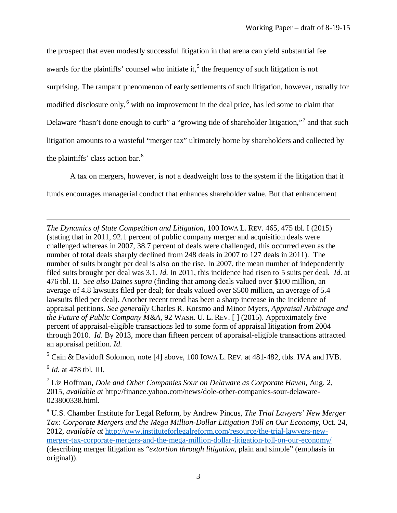the prospect that even modestly successful litigation in that arena can yield substantial fee awards for the plaintiffs' counsel who initiate it,<sup>[5](#page-5-0)</sup> the frequency of such litigation is not surprising. The rampant phenomenon of early settlements of such litigation, however, usually for modified disclosure only,<sup>[6](#page-5-1)</sup> with no improvement in the deal price, has led some to claim that Delaware "hasn't done enough to curb" a "growing tide of shareholder litigation,"[7](#page-5-2) and that such litigation amounts to a wasteful "merger tax" ultimately borne by shareholders and collected by the plaintiffs' class action bar.<sup>[8](#page-5-3)</sup>

A tax on mergers, however, is not a deadweight loss to the system if the litigation that it funds encourages managerial conduct that enhances shareholder value. But that enhancement

*The Dynamics of State Competition and Litigation*, 100 IOWA L. REV. 465, 475 tbl. I (2015) (stating that in 2011, 92.1 percent of public company merger and acquisition deals were challenged whereas in 2007, 38.7 percent of deals were challenged, this occurred even as the number of total deals sharply declined from 248 deals in 2007 to 127 deals in 2011). The number of suits brought per deal is also on the rise. In 2007, the mean number of independently filed suits brought per deal was 3.1. *Id*. In 2011, this incidence had risen to 5 suits per deal. *Id*. at 476 tbl. II. *See also* Daines *supra* (finding that among deals valued over \$100 million, an average of 4.8 lawsuits filed per deal; for deals valued over \$500 million, an average of 5.4 lawsuits filed per deal). Another recent trend has been a sharp increase in the incidence of appraisal petitions. *See generally* Charles R. Korsmo and Minor Myers, *Appraisal Arbitrage and the Future of Public Company M&A*, 92 WASH. U. L. REV. [ ] (2015). Approximately five percent of appraisal-eligible transactions led to some form of appraisal litigation from 2004 through 2010. *Id*. By 2013, more than fifteen percent of appraisal-eligible transactions attracted an appraisal petition. *Id*.

<span id="page-5-0"></span><sup>5</sup> Cain & Davidoff Solomon, note [4] above, 100 IOWA L. REV. at 481-482, tbls. IVA and IVB.

<span id="page-5-1"></span><sup>6</sup> *Id.* at 478 tbl. III.

 $\overline{a}$ 

<span id="page-5-2"></span><sup>7</sup> Liz Hoffman, *Dole and Other Companies Sour on Delaware as Corporate Haven*, Aug. 2, 2015, *available at* http://finance.yahoo.com/news/dole-other-companies-sour-delaware-023800338.html.

<span id="page-5-3"></span><sup>8</sup> U.S. Chamber Institute for Legal Reform, by Andrew Pincus, *The Trial Lawyers' New Merger Tax: Corporate Mergers and the Mega Million-Dollar Litigation Toll on Our Economy*, Oct. 24, 2012, *available at* [http://www.instituteforlegalreform.com/resource/the-trial-lawyers-new](http://www.instituteforlegalreform.com/resource/the-trial-lawyers-new-merger-tax-corporate-mergers-and-the-mega-million-dollar-litigation-toll-on-our-economy/)[merger-tax-corporate-mergers-and-the-mega-million-dollar-litigation-toll-on-our-economy/](http://www.instituteforlegalreform.com/resource/the-trial-lawyers-new-merger-tax-corporate-mergers-and-the-mega-million-dollar-litigation-toll-on-our-economy/) (describing merger litigation as "*extortion through litigation,* plain and simple" (emphasis in original)).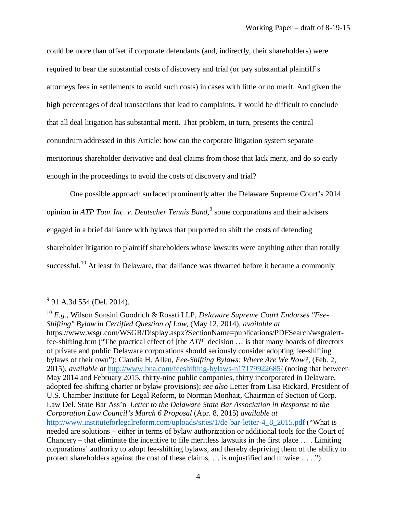could be more than offset if corporate defendants (and, indirectly, their shareholders) were required to bear the substantial costs of discovery and trial (or pay substantial plaintiff's attorneys fees in settlements to avoid such costs) in cases with little or no merit. And given the high percentages of deal transactions that lead to complaints, it would be difficult to conclude that all deal litigation has substantial merit. That problem, in turn, presents the central conundrum addressed in this Article: how can the corporate litigation system separate meritorious shareholder derivative and deal claims from those that lack merit, and do so early enough in the proceedings to avoid the costs of discovery and trial?

One possible approach surfaced prominently after the Delaware Supreme Court's 2014 opinion in *ATP Tour Inc. v. Deutscher Tennis Bund,*[9](#page-6-0) some corporations and their advisers engaged in a brief dalliance with bylaws that purported to shift the costs of defending shareholder litigation to plaintiff shareholders whose lawsuits were anything other than totally successful.<sup>[10](#page-6-1)</sup> At least in Delaware, that dalliance was thwarted before it became a commonly

l

<span id="page-6-0"></span><sup>&</sup>lt;sup>9</sup> 91 A.3d 554 (Del. 2014).

<span id="page-6-1"></span><sup>10</sup> *E.g.*, Wilson Sonsini Goodrich & Rosati LLP, *Delaware Supreme Court Endorses "Fee-Shifting" Bylaw in Certified Question of Law*, (May 12, 2014), *available at*  https://www.wsgr.com/WSGR/Display.aspx?SectionName=publications/PDFSearch/wsgralertfee-shifting.htm ("The practical effect of [the *ATP*] decision … is that many boards of directors of private and public Delaware corporations should seriously consider adopting fee-shifting bylaws of their own"); Claudia H. Allen, *Fee-Shifting Bylaws: Where Are We Now?*, (Feb. 2, 2015), *available at* <http://www.bna.com/feeshifting-bylaws-n17179922685/> (noting that between May 2014 and February 2015, thirty-nine public companies, thirty incorporated in Delaware, adopted fee-shifting charter or bylaw provisions); *see also* Letter from Lisa Rickard, President of U.S. Chamber Institute for Legal Reform*,* to Norman Monhait, Chairman of Section of Corp. Law Del. State Bar Ass'n *Letter to the Delaware State Bar Association in Response to the Corporation Law Council's March 6 Proposal* (Apr. 8, 2015) *available at*  [http://www.instituteforlegalreform.com/uploads/sites/1/de-bar-letter-4\\_8\\_2015.pdf](http://www.instituteforlegalreform.com/uploads/sites/1/de-bar-letter-4_8_2015.pdf) ("What is needed are solutions – either in terms of bylaw authorization or additional tools for the Court of Chancery – that eliminate the incentive to file meritless lawsuits in the first place … . Limiting corporations' authority to adopt fee-shifting bylaws, and thereby depriving them of the ability to protect shareholders against the cost of these claims, … is unjustified and unwise … . ").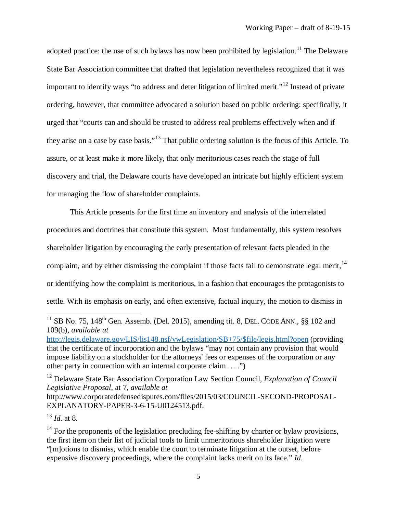adopted practice: the use of such bylaws has now been prohibited by legislation.<sup>[11](#page-7-0)</sup> The Delaware State Bar Association committee that drafted that legislation nevertheless recognized that it was important to identify ways "to address and deter litigation of limited merit."<sup>[12](#page-7-1)</sup> Instead of private ordering, however, that committee advocated a solution based on public ordering: specifically, it urged that "courts can and should be trusted to address real problems effectively when and if they arise on a case by case basis."[13](#page-7-2) That public ordering solution is the focus of this Article. To assure, or at least make it more likely, that only meritorious cases reach the stage of full discovery and trial, the Delaware courts have developed an intricate but highly efficient system for managing the flow of shareholder complaints.

This Article presents for the first time an inventory and analysis of the interrelated procedures and doctrines that constitute this system. Most fundamentally, this system resolves shareholder litigation by encouraging the early presentation of relevant facts pleaded in the complaint, and by either dismissing the complaint if those facts fail to demonstrate legal merit,  $14$ or identifying how the complaint is meritorious, in a fashion that encourages the protagonists to settle. With its emphasis on early, and often extensive, factual inquiry, the motion to dismiss in

<span id="page-7-1"></span><sup>12</sup> Delaware State Bar Association Corporation Law Section Council, *Explanation of Council Legislative Proposal*, at 7, *available at* http://www.corporatedefensedisputes.com/files/2015/03/COUNCIL-SECOND-PROPOSAL-EXPLANATORY-PAPER-3-6-15-U0124513.pdf.

<span id="page-7-2"></span><sup>13</sup> *Id.* at 8.

<span id="page-7-0"></span><sup>&</sup>lt;sup>11</sup> SB No. 75, 148<sup>th</sup> Gen. Assemb. (Del. 2015), amending tit. 8, DEL. CODE ANN., §§ 102 and 109(b), *available at*

[http://legis.delaware.gov/LIS/lis148.nsf/vwLegislation/SB+75/\\$file/legis.html?open](http://legis.delaware.gov/LIS/lis148.nsf/vwLegislation/SB+75/$file/legis.html?open) (providing that the certificate of incorporation and the bylaws "may not contain any provision that would impose liability on a stockholder for the attorneys' fees or expenses of the corporation or any other party in connection with an internal corporate claim … .")

<span id="page-7-3"></span> $14$  For the proponents of the legislation precluding fee-shifting by charter or bylaw provisions, the first item on their list of judicial tools to limit unmeritorious shareholder litigation were "[m]otions to dismiss, which enable the court to terminate litigation at the outset, before expensive discovery proceedings, where the complaint lacks merit on its face." *Id*.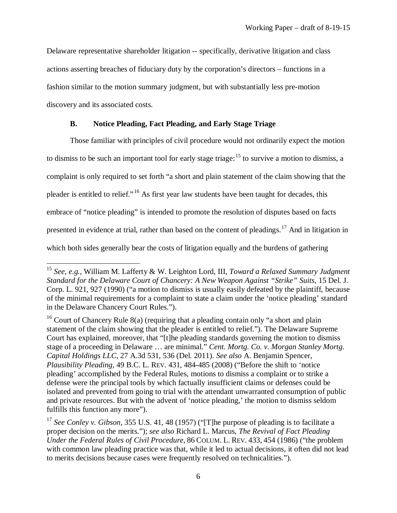Delaware representative shareholder litigation -- specifically, derivative litigation and class actions asserting breaches of fiduciary duty by the corporation's directors – functions in a fashion similar to the motion summary judgment, but with substantially less pre-motion discovery and its associated costs.

#### **B. Notice Pleading, Fact Pleading, and Early Stage Triage**

 $\overline{a}$ 

<span id="page-8-0"></span>Those familiar with principles of civil procedure would not ordinarily expect the motion to dismiss to be such an important tool for early stage triage: <sup>[15](#page-8-1)</sup> to survive a motion to dismiss, a complaint is only required to set forth "a short and plain statement of the claim showing that the pleader is entitled to relief."[16](#page-8-2) As first year law students have been taught for decades, this embrace of "notice pleading" is intended to promote the resolution of disputes based on facts presented in evidence at trial, rather than based on the content of pleadings.<sup>[17](#page-8-3)</sup> And in litigation in which both sides generally bear the costs of litigation equally and the burdens of gathering

<span id="page-8-1"></span><sup>15</sup> *See, e.g.*, William M. Lafferty & W. Leighton Lord, III, *Toward a Relaxed Summary Judgment Standard for the Delaware Court of Chancery: A New Weapon Against "Strike" Suits*, 15 Del. J. Corp. L. 921, 927 (1990) ("a motion to dismiss is usually easily defeated by the plaintiff, because of the minimal requirements for a complaint to state a claim under the 'notice pleading' standard in the Delaware Chancery Court Rules.").

<span id="page-8-2"></span> $16$  Court of Chancery Rule 8(a) (requiring that a pleading contain only "a short and plain statement of the claim showing that the pleader is entitled to relief."). The Delaware Supreme Court has explained, moreover, that "[t]he pleading standards governing the motion to dismiss stage of a proceeding in Delaware … are minimal." *Cent. Mortg. Co. v. Morgan Stanley Mortg. Capital Holdings LLC*, 27 A.3d 531, 536 (Del. 2011). *See also* A. Benjamin Spencer, *Plausibility Pleading,* 49 B.C. L. REV. 431, 484-485 (2008) ("Before the shift to 'notice pleading' accomplished by the Federal Rules, motions to dismiss a complaint or to strike a defense were the principal tools by which factually insufficient claims or defenses could be isolated and prevented from going to trial with the attendant unwarranted consumption of public and private resources. But with the advent of 'notice pleading,' the motion to dismiss seldom fulfills this function any more").

<span id="page-8-3"></span><sup>17</sup> *See Conley v. Gibson*, 355 U.S. 41, 48 (1957) ("[T]he purpose of pleading is to facilitate a proper decision on the merits."); *see also* Richard L. Marcus, *The Revival of Fact Pleading Under the Federal Rules of Civil Procedure*, 86 COLUM. L. REV. 433, 454 (1986) ("the problem with common law pleading practice was that, while it led to actual decisions, it often did not lead to merits decisions because cases were frequently resolved on technicalities.")*.*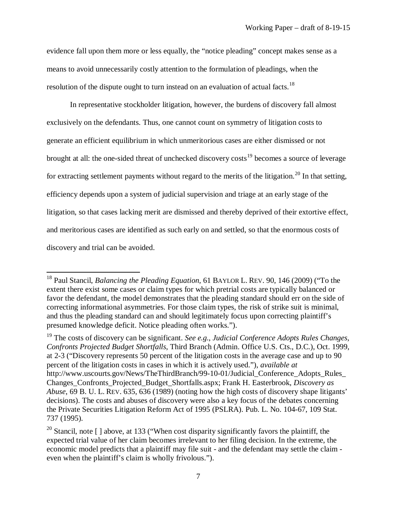evidence fall upon them more or less equally, the "notice pleading" concept makes sense as a means to avoid unnecessarily costly attention to the formulation of pleadings, when the resolution of the dispute ought to turn instead on an evaluation of actual facts.<sup>[18](#page-9-0)</sup>

In representative stockholder litigation, however, the burdens of discovery fall almost exclusively on the defendants. Thus, one cannot count on symmetry of litigation costs to generate an efficient equilibrium in which unmeritorious cases are either dismissed or not brought at all: the one-sided threat of unchecked discovery costs<sup>[19](#page-9-1)</sup> becomes a source of leverage for extracting settlement payments without regard to the merits of the litigation.<sup>[20](#page-9-2)</sup> In that setting, efficiency depends upon a system of judicial supervision and triage at an early stage of the litigation, so that cases lacking merit are dismissed and thereby deprived of their extortive effect, and meritorious cases are identified as such early on and settled, so that the enormous costs of discovery and trial can be avoided.

<span id="page-9-0"></span><sup>18</sup> Paul Stancil, *Balancing the Pleading Equation,* 61 BAYLOR L. REV. 90, 146 (2009) ("To the extent there exist some cases or claim types for which pretrial costs are typically balanced or favor the defendant, the model demonstrates that the pleading standard should err on the side of correcting informational asymmetries. For those claim types, the risk of strike suit is minimal, and thus the pleading standard can and should legitimately focus upon correcting plaintiff's presumed knowledge deficit. Notice pleading often works.").

<span id="page-9-1"></span><sup>19</sup> The costs of discovery can be significant. *See e.g.*, *Judicial Conference Adopts Rules Changes, Confronts Projected Budget Shortfalls*, Third Branch (Admin. Office U.S. Cts., D.C.), Oct. 1999, at 2-3 ("Discovery represents 50 percent of the litigation costs in the average case and up to 90 percent of the litigation costs in cases in which it is actively used."), *available at*  http://www.uscourts.gov/News/TheThirdBranch/99-10-01/Judicial\_Conference\_Adopts\_Rules\_ Changes\_Confronts\_Projected\_Budget\_Shortfalls.aspx; Frank H. Easterbrook, *Discovery as Abuse*, 69 B. U. L. REV. 635, 636 (1989) (noting how the high costs of discovery shape litigants' decisions). The costs and abuses of discovery were also a key focus of the debates concerning the Private Securities Litigation Reform Act of 1995 (PSLRA). Pub. L. No. 104-67, 109 Stat. 737 (1995).

<span id="page-9-2"></span><sup>&</sup>lt;sup>20</sup> Stancil, note  $\lceil$  ] above, at 133 ("When cost disparity significantly favors the plaintiff, the expected trial value of her claim becomes irrelevant to her filing decision. In the extreme, the economic model predicts that a plaintiff may file suit - and the defendant may settle the claim even when the plaintiff's claim is wholly frivolous.").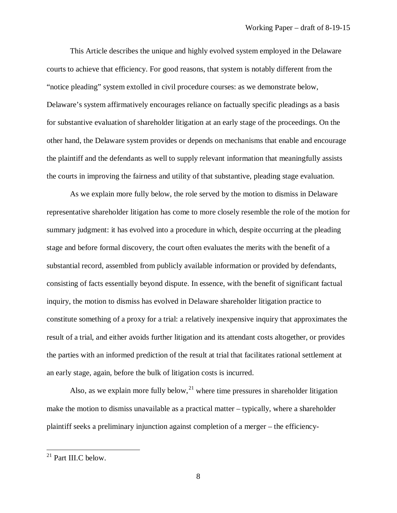This Article describes the unique and highly evolved system employed in the Delaware courts to achieve that efficiency. For good reasons, that system is notably different from the "notice pleading" system extolled in civil procedure courses: as we demonstrate below, Delaware's system affirmatively encourages reliance on factually specific pleadings as a basis for substantive evaluation of shareholder litigation at an early stage of the proceedings. On the other hand, the Delaware system provides or depends on mechanisms that enable and encourage the plaintiff and the defendants as well to supply relevant information that meaningfully assists the courts in improving the fairness and utility of that substantive, pleading stage evaluation.

As we explain more fully below, the role served by the motion to dismiss in Delaware representative shareholder litigation has come to more closely resemble the role of the motion for summary judgment: it has evolved into a procedure in which, despite occurring at the pleading stage and before formal discovery, the court often evaluates the merits with the benefit of a substantial record, assembled from publicly available information or provided by defendants, consisting of facts essentially beyond dispute. In essence, with the benefit of significant factual inquiry, the motion to dismiss has evolved in Delaware shareholder litigation practice to constitute something of a proxy for a trial: a relatively inexpensive inquiry that approximates the result of a trial, and either avoids further litigation and its attendant costs altogether, or provides the parties with an informed prediction of the result at trial that facilitates rational settlement at an early stage, again, before the bulk of litigation costs is incurred.

Also, as we explain more fully below,  $2<sup>1</sup>$  where time pressures in shareholder litigation make the motion to dismiss unavailable as a practical matter – typically, where a shareholder plaintiff seeks a preliminary injunction against completion of a merger – the efficiency-

<span id="page-10-0"></span> $21$  Part III.C below.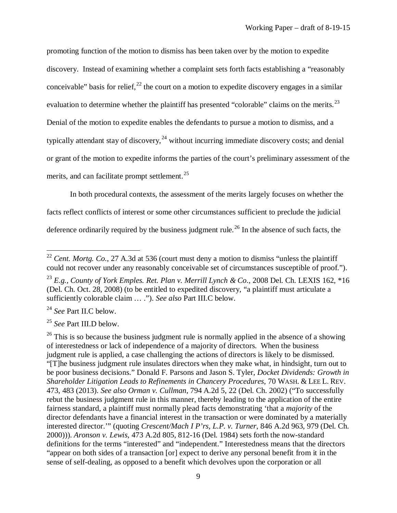promoting function of the motion to dismiss has been taken over by the motion to expedite discovery. Instead of examining whether a complaint sets forth facts establishing a "reasonably conceivable" basis for relief,  $^{22}$  $^{22}$  $^{22}$  the court on a motion to expedite discovery engages in a similar evaluation to determine whether the plaintiff has presented "colorable" claims on the merits.<sup>[23](#page-11-1)</sup> Denial of the motion to expedite enables the defendants to pursue a motion to dismiss, and a typically attendant stay of discovery,  $24$  without incurring immediate discovery costs; and denial or grant of the motion to expedite informs the parties of the court's preliminary assessment of the merits, and can facilitate prompt settlement.<sup>[25](#page-11-3)</sup>

In both procedural contexts, the assessment of the merits largely focuses on whether the facts reflect conflicts of interest or some other circumstances sufficient to preclude the judicial deference ordinarily required by the business judgment rule.<sup>[26](#page-11-4)</sup> In the absence of such facts, the

<span id="page-11-2"></span><sup>24</sup> *See* Part II.C below.

 $\overline{a}$ 

<span id="page-11-3"></span><sup>25</sup> *See* Part III.D below.

<span id="page-11-0"></span><sup>&</sup>lt;sup>22</sup> *Cent. Mortg. Co.*, 27 A.3d at 536 (court must deny a motion to dismiss "unless the plaintiff could not recover under any reasonably conceivable set of circumstances susceptible of proof.").

<span id="page-11-1"></span><sup>23</sup> *E.g., County of York Emples. Ret. Plan v. Merrill Lynch & Co*., 2008 Del. Ch. LEXIS 162, \*16 (Del. Ch. Oct. 28, 2008) (to be entitled to expedited discovery, "a plaintiff must articulate a sufficiently colorable claim … ."). *See also* Part III.C below.

<span id="page-11-4"></span> $26$  This is so because the business judgment rule is normally applied in the absence of a showing of interestedness or lack of independence of a majority of directors. When the business judgment rule is applied, a case challenging the actions of directors is likely to be dismissed. "[T]he business judgment rule insulates directors when they make what, in hindsight, turn out to be poor business decisions." Donald F. Parsons and Jason S. Tyler, *Docket Dividends: Growth in Shareholder Litigation Leads to Refinements in Chancery Procedures*, 70 WASH. & LEE L. REV. 473, 483 (2013). *See also Orman v. Cullman*, 794 A.2d 5, 22 (Del. Ch. 2002) ("To successfully rebut the business judgment rule in this manner, thereby leading to the application of the entire fairness standard, a plaintiff must normally plead facts demonstrating 'that a *majority* of the director defendants have a financial interest in the transaction or were dominated by a materially interested director.'" (quoting *Crescent/Mach I P'rs, L.P. v. Turner*, 846 A.2d 963, 979 (Del. Ch. 2000))). *Aronson v. Lewis*, 473 A.2d 805, 812-16 (Del. 1984) sets forth the now-standard definitions for the terms "interested" and "independent." Interestedness means that the directors "appear on both sides of a transaction [or] expect to derive any personal benefit from it in the sense of self-dealing, as opposed to a benefit which devolves upon the corporation or all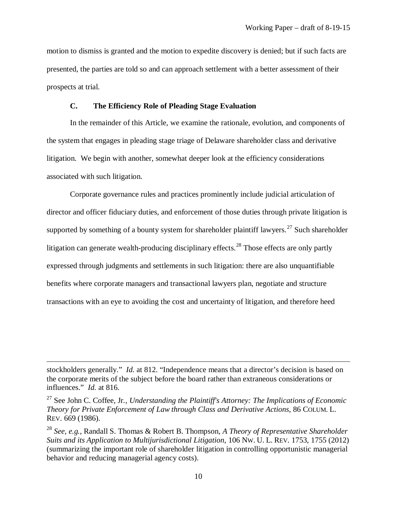motion to dismiss is granted and the motion to expedite discovery is denied; but if such facts are presented, the parties are told so and can approach settlement with a better assessment of their prospects at trial.

#### **C. The Efficiency Role of Pleading Stage Evaluation**

<span id="page-12-0"></span>In the remainder of this Article, we examine the rationale, evolution, and components of the system that engages in pleading stage triage of Delaware shareholder class and derivative litigation. We begin with another, somewhat deeper look at the efficiency considerations associated with such litigation.

Corporate governance rules and practices prominently include judicial articulation of director and officer fiduciary duties, and enforcement of those duties through private litigation is supported by something of a bounty system for shareholder plaintiff lawyers.<sup>[27](#page-12-1)</sup> Such shareholder litigation can generate wealth-producing disciplinary effects.<sup>[28](#page-12-2)</sup> Those effects are only partly expressed through judgments and settlements in such litigation: there are also unquantifiable benefits where corporate managers and transactional lawyers plan, negotiate and structure transactions with an eye to avoiding the cost and uncertainty of litigation, and therefore heed

stockholders generally." *Id.* at 812. "Independence means that a director's decision is based on the corporate merits of the subject before the board rather than extraneous considerations or influences." *Id.* at 816.

<span id="page-12-1"></span><sup>27</sup> See John C. Coffee, Jr*., Understanding the Plaintiff's Attorney: The Implications of Economic Theory for Private Enforcement of Law through Class and Derivative Actions*, 86 COLUM. L. REV. 669 (1986).

<span id="page-12-2"></span><sup>28</sup> *See, e.g.*, Randall S. Thomas & Robert B. Thompson*, A Theory of Representative Shareholder Suits and its Application to Multijurisdictional Litigation*, 106 NW. U. L. REV. 1753, 1755 (2012) (summarizing the important role of shareholder litigation in controlling opportunistic managerial behavior and reducing managerial agency costs).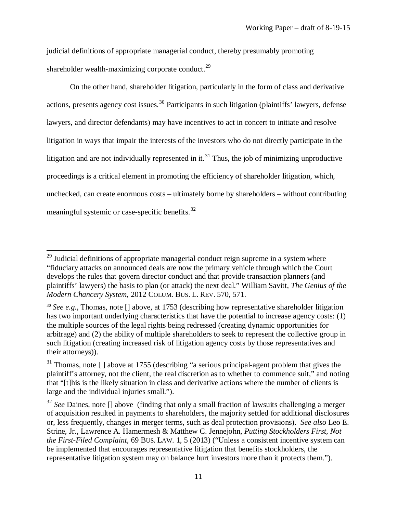judicial definitions of appropriate managerial conduct, thereby presumably promoting shareholder wealth-maximizing corporate conduct. $^{29}$  $^{29}$  $^{29}$ 

On the other hand, shareholder litigation, particularly in the form of class and derivative actions, presents agency cost issues.<sup>[30](#page-13-1)</sup> Participants in such litigation (plaintiffs' lawyers, defense lawyers, and director defendants) may have incentives to act in concert to initiate and resolve litigation in ways that impair the interests of the investors who do not directly participate in the litigation and are not individually represented in it.<sup>[31](#page-13-2)</sup> Thus, the job of minimizing unproductive proceedings is a critical element in promoting the efficiency of shareholder litigation, which, unchecked, can create enormous costs – ultimately borne by shareholders – without contributing meaningful systemic or case-specific benefits.<sup>[32](#page-13-3)</sup>

<span id="page-13-0"></span> $29$  Judicial definitions of appropriate managerial conduct reign supreme in a system where "fiduciary attacks on announced deals are now the primary vehicle through which the Court develops the rules that govern director conduct and that provide transaction planners (and plaintiffs' lawyers) the basis to plan (or attack) the next deal." William Savitt, *The Genius of the Modern Chancery System*, 2012 COLUM. BUS. L. REV. 570, 571.

<span id="page-13-1"></span><sup>30</sup> *See e.g.*, Thomas, note [] above, at 1753 (describing how representative shareholder litigation has two important underlying characteristics that have the potential to increase agency costs: (1) the multiple sources of the legal rights being redressed (creating dynamic opportunities for arbitrage) and (2) the ability of multiple shareholders to seek to represent the collective group in such litigation (creating increased risk of litigation agency costs by those representatives and their attorneys)).

<span id="page-13-2"></span> $31$  Thomas, note  $\lceil \cdot \rceil$  above at 1755 (describing "a serious principal-agent problem that gives the plaintiff's attorney, not the client, the real discretion as to whether to commence suit," and noting that "[t]his is the likely situation in class and derivative actions where the number of clients is large and the individual injuries small.").

<span id="page-13-3"></span><sup>&</sup>lt;sup>32</sup> See Daines, note [] above (finding that only a small fraction of lawsuits challenging a merger of acquisition resulted in payments to shareholders, the majority settled for additional disclosures or, less frequently, changes in merger terms, such as deal protection provisions). *See also* Leo E. Strine, Jr., Lawrence A. Hamermesh & Matthew C. Jennejohn, *Putting Stockholders First, Not the First-Filed Complaint*, 69 BUS. LAW. 1, 5 (2013) ("Unless a consistent incentive system can be implemented that encourages representative litigation that benefits stockholders, the representative litigation system may on balance hurt investors more than it protects them.").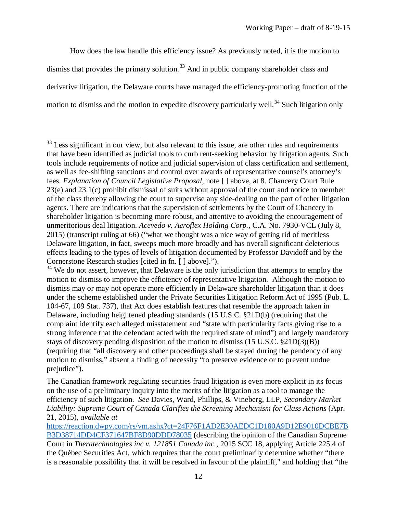How does the law handle this efficiency issue? As previously noted, it is the motion to dismiss that provides the primary solution.<sup>[33](#page-14-0)</sup> And in public company shareholder class and derivative litigation, the Delaware courts have managed the efficiency-promoting function of the motion to dismiss and the motion to expedite discovery particularly well.<sup>[34](#page-14-1)</sup> Such litigation only

<span id="page-14-0"></span> $33$  Less significant in our view, but also relevant to this issue, are other rules and requirements that have been identified as judicial tools to curb rent-seeking behavior by litigation agents. Such tools include requirements of notice and judicial supervision of class certification and settlement, as well as fee-shifting sanctions and control over awards of representative counsel's attorney's fees. *Explanation of Council Legislative Proposal*, note [ ] above, at 8. Chancery Court Rule 23(e) and 23.1(c) prohibit dismissal of suits without approval of the court and notice to member of the class thereby allowing the court to supervise any side-dealing on the part of other litigation agents. There are indications that the supervision of settlements by the Court of Chancery in shareholder litigation is becoming more robust, and attentive to avoiding the encouragement of unmeritorious deal litigation. *Acevedo v. Aeroflex Holding Corp.*, C.A. No. 7930-VCL (July 8, 2015) (transcript ruling at 66) ("what we thought was a nice way of getting rid of meritless Delaware litigation, in fact, sweeps much more broadly and has overall significant deleterious effects leading to the types of levels of litigation documented by Professor Davidoff and by the Cornerstone Research studies [cited in fn. [ ] above].").

<span id="page-14-1"></span><sup>&</sup>lt;sup>34</sup> We do not assert, however, that Delaware is the only jurisdiction that attempts to employ the motion to dismiss to improve the efficiency of representative litigation. Although the motion to dismiss may or may not operate more efficiently in Delaware shareholder litigation than it does under the scheme established under the Private Securities Litigation Reform Act of 1995 (Pub. L. 104-67, 109 Stat. 737), that Act does establish features that resemble the approach taken in Delaware, including heightened pleading standards (15 U.S.C. §21D(b) (requiring that the complaint identify each alleged misstatement and "state with particularity facts giving rise to a strong inference that the defendant acted with the required state of mind") and largely mandatory stays of discovery pending disposition of the motion to dismiss (15 U.S.C. §21D(3)(B)) (requiring that "all discovery and other proceedings shall be stayed during the pendency of any motion to dismiss," absent a finding of necessity "to preserve evidence or to prevent undue prejudice").

The Canadian framework regulating securities fraud litigation is even more explicit in its focus on the use of a preliminary inquiry into the merits of the litigation as a tool to manage the efficiency of such litigation. *See* Davies, Ward, Phillips, & Vineberg, LLP, *Secondary Market Liability: Supreme Court of Canada Clarifies the Screening Mechanism for Class Actions* (Apr. 21, 2015), *available at* 

[https://reaction.dwpv.com/rs/vm.ashx?ct=24F76F1AD2E30AEDC1D180A9D12E9010DCBE7B](https://reaction.dwpv.com/rs/vm.ashx?ct=24F76F1AD2E30AEDC1D180A9D12E9010DCBE7BB3D38714DD4CF371647BF8D90DDD78035) [B3D38714DD4CF371647BF8D90DDD78035](https://reaction.dwpv.com/rs/vm.ashx?ct=24F76F1AD2E30AEDC1D180A9D12E9010DCBE7BB3D38714DD4CF371647BF8D90DDD78035) (describing the opinion of the Canadian Supreme Court in *Theratechnologies inc v. 121851 Canada inc.*, 2015 SCC 18, applying Article 225.4 of the Québec Securities Act, which requires that the court preliminarily determine whether "there is a reasonable possibility that it will be resolved in favour of the plaintiff," and holding that "the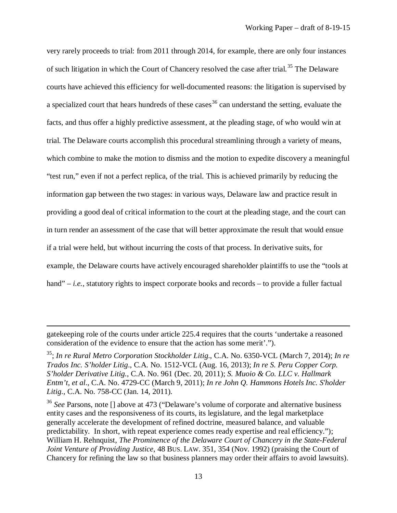very rarely proceeds to trial: from 2011 through 2014, for example, there are only four instances of such litigation in which the Court of Chancery resolved the case after trial.<sup>[35](#page-15-0)</sup> The Delaware courts have achieved this efficiency for well-documented reasons: the litigation is supervised by a specialized court that hears hundreds of these cases  $36$  can understand the setting, evaluate the facts, and thus offer a highly predictive assessment, at the pleading stage, of who would win at trial. The Delaware courts accomplish this procedural streamlining through a variety of means, which combine to make the motion to dismiss and the motion to expedite discovery a meaningful "test run," even if not a perfect replica, of the trial. This is achieved primarily by reducing the information gap between the two stages: in various ways, Delaware law and practice result in providing a good deal of critical information to the court at the pleading stage, and the court can in turn render an assessment of the case that will better approximate the result that would ensue if a trial were held, but without incurring the costs of that process. In derivative suits, for example, the Delaware courts have actively encouraged shareholder plaintiffs to use the "tools at hand" – *i.e.*, statutory rights to inspect corporate books and records – to provide a fuller factual

gatekeeping role of the courts under article 225.4 requires that the courts 'undertake a reasoned consideration of the evidence to ensure that the action has some merit'.").

<span id="page-15-0"></span><sup>35;</sup> *In re Rural Metro Corporation Stockholder Litig*., C.A. No. 6350-VCL (March 7, 2014); *In re Trados Inc. S'holder Litig*., C.A. No. 1512-VCL (Aug. 16, 2013); *In re S. Peru Copper Corp. S'holder Derivative Litig.*, C.A. No. 961 (Dec. 20, 2011); *S. Muoio & Co. LLC v. Hallmark Entm't, et al*., C.A. No. 4729-CC (March 9, 2011); *In re John Q. Hammons Hotels Inc. S'holder Litig.*, C.A. No. 758-CC (Jan. 14, 2011).

<span id="page-15-1"></span><sup>&</sup>lt;sup>36</sup> See Parsons, note [] above at 473 ("Delaware's volume of corporate and alternative business entity cases and the responsiveness of its courts, its legislature, and the legal marketplace generally accelerate the development of refined doctrine, measured balance, and valuable predictability. In short, with repeat experience comes ready expertise and real efficiency."); William H. Rehnquist, *The Prominence of the Delaware Court of Chancery in the State-Federal Joint Venture of Providing Justice*, 48 BUS. LAW. 351, 354 (Nov. 1992) (praising the Court of Chancery for refining the law so that business planners may order their affairs to avoid lawsuits).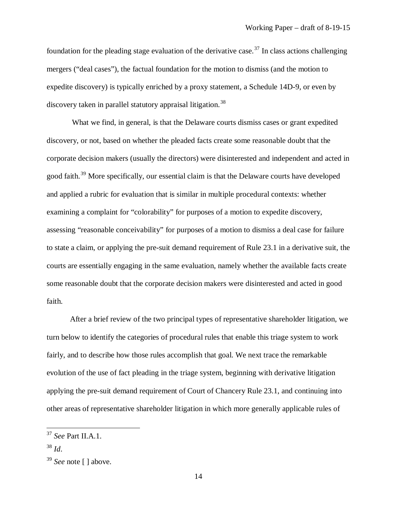foundation for the pleading stage evaluation of the derivative case.<sup>[37](#page-16-0)</sup> In class actions challenging mergers ("deal cases"), the factual foundation for the motion to dismiss (and the motion to expedite discovery) is typically enriched by a proxy statement, a Schedule 14D-9, or even by discovery taken in parallel statutory appraisal litigation.<sup>[38](#page-16-1)</sup>

What we find, in general, is that the Delaware courts dismiss cases or grant expedited discovery, or not, based on whether the pleaded facts create some reasonable doubt that the corporate decision makers (usually the directors) were disinterested and independent and acted in good faith.<sup>[39](#page-16-2)</sup> More specifically, our essential claim is that the Delaware courts have developed and applied a rubric for evaluation that is similar in multiple procedural contexts: whether examining a complaint for "colorability" for purposes of a motion to expedite discovery, assessing "reasonable conceivability" for purposes of a motion to dismiss a deal case for failure to state a claim, or applying the pre-suit demand requirement of Rule 23.1 in a derivative suit, the courts are essentially engaging in the same evaluation, namely whether the available facts create some reasonable doubt that the corporate decision makers were disinterested and acted in good faith.

After a brief review of the two principal types of representative shareholder litigation, we turn below to identify the categories of procedural rules that enable this triage system to work fairly, and to describe how those rules accomplish that goal. We next trace the remarkable evolution of the use of fact pleading in the triage system, beginning with derivative litigation applying the pre-suit demand requirement of Court of Chancery Rule 23.1, and continuing into other areas of representative shareholder litigation in which more generally applicable rules of

<span id="page-16-0"></span><sup>37</sup> *See* Part II.A.1.

<span id="page-16-1"></span><sup>38</sup> *Id*.

<span id="page-16-2"></span><sup>39</sup> *See* note [ ] above.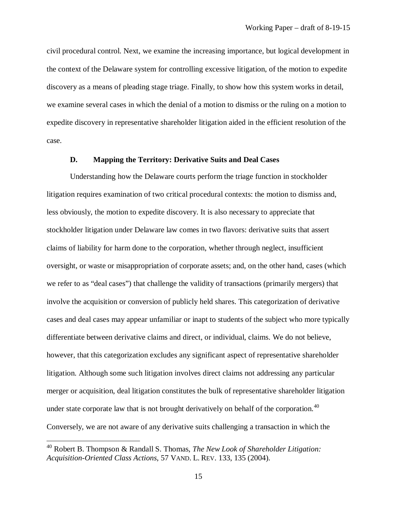civil procedural control. Next, we examine the increasing importance, but logical development in the context of the Delaware system for controlling excessive litigation, of the motion to expedite discovery as a means of pleading stage triage. Finally, to show how this system works in detail, we examine several cases in which the denial of a motion to dismiss or the ruling on a motion to expedite discovery in representative shareholder litigation aided in the efficient resolution of the case.

#### <span id="page-17-0"></span>**D. Mapping the Territory: Derivative Suits and Deal Cases**

Understanding how the Delaware courts perform the triage function in stockholder litigation requires examination of two critical procedural contexts: the motion to dismiss and, less obviously, the motion to expedite discovery. It is also necessary to appreciate that stockholder litigation under Delaware law comes in two flavors: derivative suits that assert claims of liability for harm done to the corporation, whether through neglect, insufficient oversight, or waste or misappropriation of corporate assets; and, on the other hand, cases (which we refer to as "deal cases") that challenge the validity of transactions (primarily mergers) that involve the acquisition or conversion of publicly held shares. This categorization of derivative cases and deal cases may appear unfamiliar or inapt to students of the subject who more typically differentiate between derivative claims and direct, or individual, claims. We do not believe, however, that this categorization excludes any significant aspect of representative shareholder litigation. Although some such litigation involves direct claims not addressing any particular merger or acquisition, deal litigation constitutes the bulk of representative shareholder litigation under state corporate law that is not brought derivatively on behalf of the corporation.<sup>[40](#page-17-1)</sup> Conversely, we are not aware of any derivative suits challenging a transaction in which the

<span id="page-17-1"></span><sup>40</sup> Robert B. Thompson & Randall S. Thomas, *The New Look of Shareholder Litigation: Acquisition-Oriented Class Actions*, 57 VAND. L. REV. 133, 135 (2004).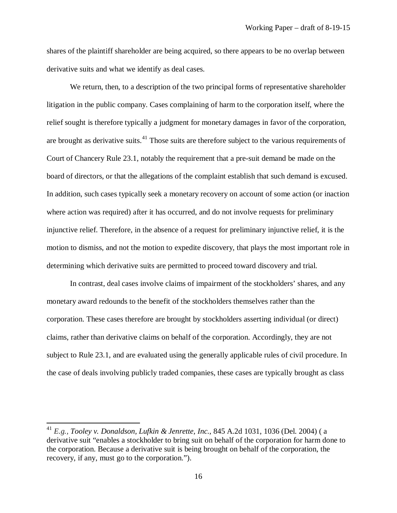shares of the plaintiff shareholder are being acquired, so there appears to be no overlap between derivative suits and what we identify as deal cases.

We return, then, to a description of the two principal forms of representative shareholder litigation in the public company. Cases complaining of harm to the corporation itself, where the relief sought is therefore typically a judgment for monetary damages in favor of the corporation, are brought as derivative suits.<sup>[41](#page-18-0)</sup> Those suits are therefore subject to the various requirements of Court of Chancery Rule 23.1, notably the requirement that a pre-suit demand be made on the board of directors, or that the allegations of the complaint establish that such demand is excused. In addition, such cases typically seek a monetary recovery on account of some action (or inaction where action was required) after it has occurred, and do not involve requests for preliminary injunctive relief. Therefore, in the absence of a request for preliminary injunctive relief, it is the motion to dismiss, and not the motion to expedite discovery, that plays the most important role in determining which derivative suits are permitted to proceed toward discovery and trial.

In contrast, deal cases involve claims of impairment of the stockholders' shares, and any monetary award redounds to the benefit of the stockholders themselves rather than the corporation. These cases therefore are brought by stockholders asserting individual (or direct) claims, rather than derivative claims on behalf of the corporation. Accordingly, they are not subject to Rule 23.1, and are evaluated using the generally applicable rules of civil procedure. In the case of deals involving publicly traded companies, these cases are typically brought as class

<span id="page-18-0"></span><sup>41</sup> *E.g., Tooley v. Donaldson, Lufkin & Jenrette, Inc.*, 845 A.2d 1031, 1036 (Del. 2004) ( a derivative suit "enables a stockholder to bring suit on behalf of the corporation for harm done to the corporation. Because a derivative suit is being brought on behalf of the corporation, the recovery, if any, must go to the corporation.").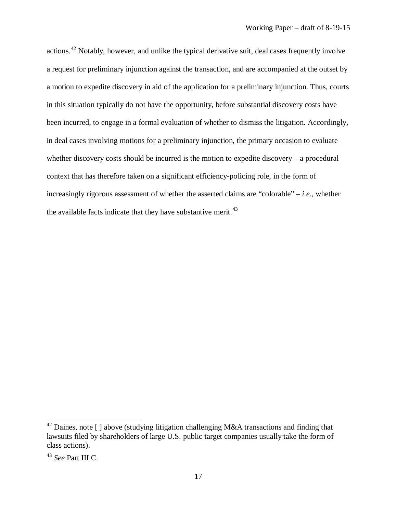actions.[42](#page-19-0) Notably, however, and unlike the typical derivative suit, deal cases frequently involve a request for preliminary injunction against the transaction, and are accompanied at the outset by a motion to expedite discovery in aid of the application for a preliminary injunction. Thus, courts in this situation typically do not have the opportunity, before substantial discovery costs have been incurred, to engage in a formal evaluation of whether to dismiss the litigation. Accordingly, in deal cases involving motions for a preliminary injunction, the primary occasion to evaluate whether discovery costs should be incurred is the motion to expedite discovery – a procedural context that has therefore taken on a significant efficiency-policing role, in the form of increasingly rigorous assessment of whether the asserted claims are "colorable" – *i.e.*, whether the available facts indicate that they have substantive merit.<sup>[43](#page-19-1)</sup>

<span id="page-19-0"></span> $42$  Daines, note [ ] above (studying litigation challenging M&A transactions and finding that lawsuits filed by shareholders of large U.S. public target companies usually take the form of class actions).

<span id="page-19-1"></span><sup>43</sup> *See* Part III.C.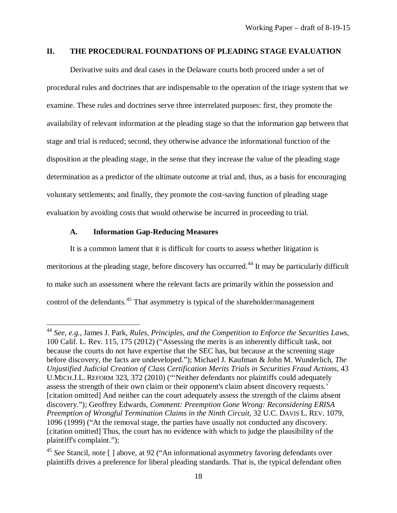#### <span id="page-20-0"></span>**II. THE PROCEDURAL FOUNDATIONS OF PLEADING STAGE EVALUATION**

Derivative suits and deal cases in the Delaware courts both proceed under a set of procedural rules and doctrines that are indispensable to the operation of the triage system that we examine. These rules and doctrines serve three interrelated purposes: first, they promote the availability of relevant information at the pleading stage so that the information gap between that stage and trial is reduced; second, they otherwise advance the informational function of the disposition at the pleading stage, in the sense that they increase the value of the pleading stage determination as a predictor of the ultimate outcome at trial and, thus, as a basis for encouraging voluntary settlements; and finally, they promote the cost-saving function of pleading stage evaluation by avoiding costs that would otherwise be incurred in proceeding to trial.

#### <span id="page-20-1"></span>**A. Information Gap-Reducing Measures**

 $\overline{a}$ 

It is a common lament that it is difficult for courts to assess whether litigation is meritorious at the pleading stage, before discovery has occurred.<sup>[44](#page-20-2)</sup> It may be particularly difficult to make such an assessment where the relevant facts are primarily within the possession and control of the defendants.[45](#page-20-3) That asymmetry is typical of the shareholder/management

<span id="page-20-2"></span><sup>44</sup> *See, e.g.,* James J. Park, *Rules, Principles, and the Competition to Enforce the Securities Laws*, 100 Calif. L. Rev. 115, 175 (2012) ("Assessing the merits is an inherently difficult task, not because the courts do not have expertise that the SEC has, but because at the screening stage before discovery, the facts are undeveloped."); Michael J. Kaufman & John M. Wunderlich, *The Unjustified Judicial Creation of Class Certification Merits Trials in Securities Fraud Actions*, 43 U.MICH.J.L. REFORM 323, 372 (2010) ("'Neither defendants nor plaintiffs could adequately assess the strength of their own claim or their opponent's claim absent discovery requests.' [citation omitted] And neither can the court adequately assess the strength of the claims absent discovery."); Geoffrey Edwards, *Comment: Preemption Gone Wrong: Reconsidering ERISA Preemption of Wrongful Termination Claims in the Ninth Circuit,* 32 U.C. DAVIS L. REV. 1079, 1096 (1999) ("At the removal stage, the parties have usually not conducted any discovery. [citation omitted] Thus, the court has no evidence with which to judge the plausibility of the plaintiff's complaint.");

<span id="page-20-3"></span><sup>&</sup>lt;sup>45</sup> See Stancil, note [] above, at 92 ("An informational asymmetry favoring defendants over plaintiffs drives a preference for liberal pleading standards. That is, the typical defendant often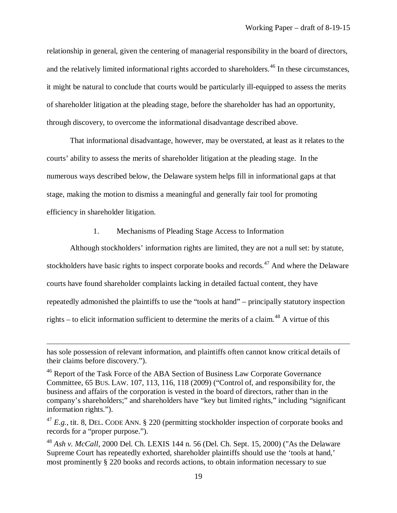relationship in general, given the centering of managerial responsibility in the board of directors, and the relatively limited informational rights accorded to shareholders.<sup>[46](#page-21-1)</sup> In these circumstances, it might be natural to conclude that courts would be particularly ill-equipped to assess the merits of shareholder litigation at the pleading stage, before the shareholder has had an opportunity, through discovery, to overcome the informational disadvantage described above.

That informational disadvantage, however, may be overstated, at least as it relates to the courts' ability to assess the merits of shareholder litigation at the pleading stage. In the numerous ways described below, the Delaware system helps fill in informational gaps at that stage, making the motion to dismiss a meaningful and generally fair tool for promoting efficiency in shareholder litigation.

#### <span id="page-21-0"></span>1. Mechanisms of Pleading Stage Access to Information

Although stockholders' information rights are limited, they are not a null set: by statute, stockholders have basic rights to inspect corporate books and records.<sup>[47](#page-21-2)</sup> And where the Delaware courts have found shareholder complaints lacking in detailed factual content, they have repeatedly admonished the plaintiffs to use the "tools at hand" – principally statutory inspection rights – to elicit information sufficient to determine the merits of a claim.<sup>[48](#page-21-3)</sup> A virtue of this

has sole possession of relevant information, and plaintiffs often cannot know critical details of their claims before discovery.").

<span id="page-21-1"></span><sup>&</sup>lt;sup>46</sup> Report of the Task Force of the ABA Section of Business Law Corporate Governance Committee, 65 BUS. LAW. 107, 113, 116, 118 (2009) ("Control of, and responsibility for, the business and affairs of the corporation is vested in the board of directors, rather than in the company's shareholders;" and shareholders have "key but limited rights," including "significant information rights.").

<span id="page-21-2"></span> $^{47}$  *E.g.*, tit. 8, DEL. CODE ANN. § 220 (permitting stockholder inspection of corporate books and records for a "proper purpose.").

<span id="page-21-3"></span><sup>48</sup> *Ash v. McCall*, 2000 Del. Ch. LEXIS 144 n. 56 (Del. Ch. Sept. 15, 2000) ("As the Delaware Supreme Court has repeatedly exhorted, shareholder plaintiffs should use the 'tools at hand,' most prominently § 220 books and records actions, to obtain information necessary to sue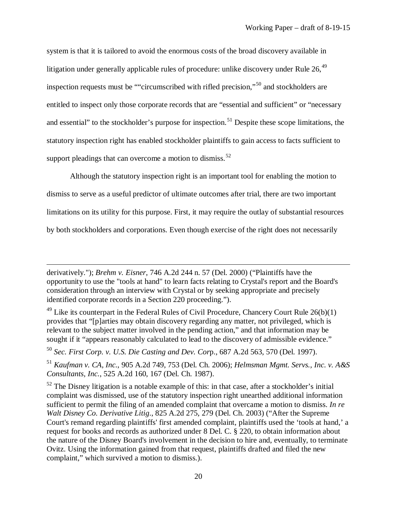system is that it is tailored to avoid the enormous costs of the broad discovery available in litigation under generally applicable rules of procedure: unlike discovery under Rule  $26$ ,  $49$ inspection requests must be ""circumscribed with rifled precision,"[50](#page-22-1) and stockholders are entitled to inspect only those corporate records that are "essential and sufficient" or "necessary and essential" to the stockholder's purpose for inspection.<sup>[51](#page-22-2)</sup> Despite these scope limitations, the statutory inspection right has enabled stockholder plaintiffs to gain access to facts sufficient to support pleadings that can overcome a motion to dismiss.<sup>[52](#page-22-3)</sup>

Although the statutory inspection right is an important tool for enabling the motion to dismiss to serve as a useful predictor of ultimate outcomes after trial, there are two important limitations on its utility for this purpose. First, it may require the outlay of substantial resources by both stockholders and corporations. Even though exercise of the right does not necessarily

derivatively."); *Brehm v. Eisner*, 746 A.2d 244 n. 57 (Del. 2000) ("Plaintiffs have the opportunity to use the "tools at hand" to learn facts relating to Crystal's report and the Board's consideration through an interview with Crystal or by seeking appropriate and precisely identified corporate records in a Section 220 proceeding.").

<span id="page-22-0"></span><sup>&</sup>lt;sup>49</sup> Like its counterpart in the Federal Rules of Civil Procedure, Chancery Court Rule  $26(b)(1)$ provides that "[p]arties may obtain discovery regarding any matter, not privileged, which is relevant to the subject matter involved in the pending action," and that information may be sought if it "appears reasonably calculated to lead to the discovery of admissible evidence."

<span id="page-22-1"></span><sup>50</sup> *Sec. First Corp. v. U.S. Die Casting and Dev. Cor*p., 687 A.2d 563, 570 (Del. 1997).

<span id="page-22-2"></span><sup>51</sup> *Kaufman v. CA, Inc.*, 905 A.2d 749, 753 (Del. Ch. 2006); *Helmsman Mgmt. Servs., Inc. v. A&S Consultants, Inc.*, 525 A.2d 160, 167 (Del. Ch. 1987).

<span id="page-22-3"></span> $52$  The Disney litigation is a notable example of this: in that case, after a stockholder's initial complaint was dismissed, use of the statutory inspection right unearthed additional information sufficient to permit the filing of an amended complaint that overcame a motion to dismiss. *In re Walt Disney Co. Derivative Litig*., 825 A.2d 275, 279 (Del. Ch. 2003) ("After the Supreme Court's remand regarding plaintiffs' first amended complaint, plaintiffs used the 'tools at hand,' a request for books and records as authorized under 8 Del. C. § 220, to obtain information about the nature of the Disney Board's involvement in the decision to hire and, eventually, to terminate Ovitz. Using the information gained from that request, plaintiffs drafted and filed the new complaint," which survived a motion to dismiss.).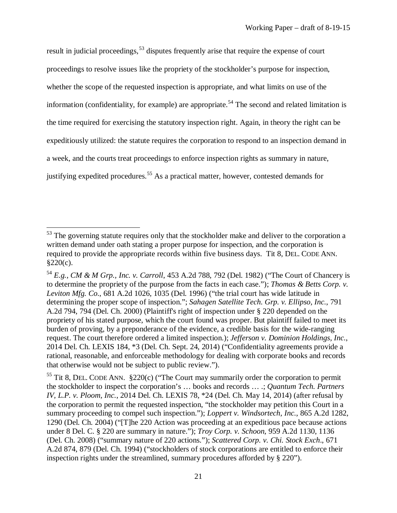result in judicial proceedings,<sup>[53](#page-23-0)</sup> disputes frequently arise that require the expense of court proceedings to resolve issues like the propriety of the stockholder's purpose for inspection, whether the scope of the requested inspection is appropriate, and what limits on use of the information (confidentiality, for example) are appropriate.<sup>[54](#page-23-1)</sup> The second and related limitation is the time required for exercising the statutory inspection right. Again, in theory the right can be expeditiously utilized: the statute requires the corporation to respond to an inspection demand in a week, and the courts treat proceedings to enforce inspection rights as summary in nature, justifying expedited procedures.<sup>[55](#page-23-2)</sup> As a practical matter, however, contested demands for

<span id="page-23-0"></span><sup>&</sup>lt;sup>53</sup> The governing statute requires only that the stockholder make and deliver to the corporation a written demand under oath stating a proper purpose for inspection, and the corporation is required to provide the appropriate records within five business days. Tit 8, DEL. CODE ANN.  $§220(c)$ .

<span id="page-23-1"></span><sup>54</sup> *E.g.*, *CM & M Grp., Inc. v. Carroll*, 453 A.2d 788, 792 (Del. 1982) ("The Court of Chancery is to determine the propriety of the purpose from the facts in each case."); *Thomas & Betts Corp. v. Leviton Mfg. Co.*, 681 A.2d 1026, 1035 (Del. 1996) ("the trial court has wide latitude in determining the proper scope of inspection."; *Sahagen Satellite Tech. Grp. v. Ellipso, Inc.*, 791 A.2d 794, 794 (Del. Ch. 2000) (Plaintiff's right of inspection under § 220 depended on the propriety of his stated purpose, which the court found was proper. But plaintiff failed to meet its burden of proving, by a preponderance of the evidence, a credible basis for the wide-ranging request. The court therefore ordered a limited inspection.); *Jefferson v. Dominion Holdings, Inc.*, 2014 Del. Ch. LEXIS 184, \*3 (Del. Ch. Sept. 24, 2014) ("Confidentiality agreements provide a rational, reasonable, and enforceable methodology for dealing with corporate books and records that otherwise would not be subject to public review.").

<span id="page-23-2"></span><sup>&</sup>lt;sup>55</sup> Tit 8, DEL. CODE ANN.  $\S 220(c)$  ("The Court may summarily order the corporation to permit the stockholder to inspect the corporation's … books and records … .; *Quantum Tech. Partners IV, L.P. v. Ploom, Inc.*, 2014 Del. Ch. LEXIS 78, \*24 (Del. Ch. May 14, 2014) (after refusal by the corporation to permit the requested inspection, "the stockholder may petition this Court in a summary proceeding to compel such inspection."); *Loppert v. Windsortech, Inc.*, 865 A.2d 1282, 1290 (Del. Ch. 2004) ("[T]he 220 Action was proceeding at an expeditious pace because actions under 8 Del. C. § 220 are summary in nature."); *Troy Corp. v. Schoon*, 959 A.2d 1130, 1136 (Del. Ch. 2008) ("summary nature of 220 actions."); *Scattered Corp. v. Chi. Stock Exch*., 671 A.2d 874, 879 (Del. Ch. 1994) ("stockholders of stock corporations are entitled to enforce their inspection rights under the streamlined, summary procedures afforded by § 220").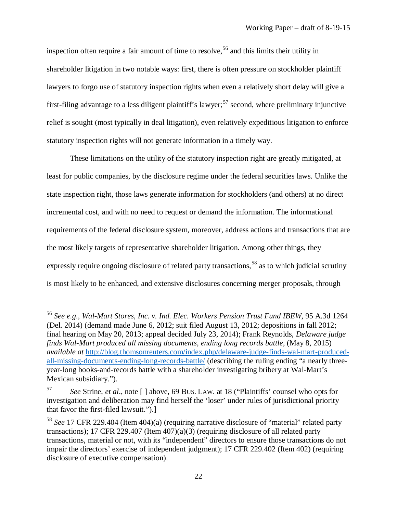inspection often require a fair amount of time to resolve,<sup>[56](#page-24-0)</sup> and this limits their utility in shareholder litigation in two notable ways: first, there is often pressure on stockholder plaintiff lawyers to forgo use of statutory inspection rights when even a relatively short delay will give a first-filing advantage to a less diligent plaintiff's lawyer;<sup>[57](#page-24-1)</sup> second, where preliminary injunctive relief is sought (most typically in deal litigation), even relatively expeditious litigation to enforce statutory inspection rights will not generate information in a timely way.

These limitations on the utility of the statutory inspection right are greatly mitigated, at least for public companies, by the disclosure regime under the federal securities laws. Unlike the state inspection right, those laws generate information for stockholders (and others) at no direct incremental cost, and with no need to request or demand the information. The informational requirements of the federal disclosure system, moreover, address actions and transactions that are the most likely targets of representative shareholder litigation. Among other things, they expressly require ongoing disclosure of related party transactions,  $58$  as to which judicial scrutiny is most likely to be enhanced, and extensive disclosures concerning merger proposals, through

<span id="page-24-0"></span><sup>56</sup> *See e.g., [Wal-Mart](https://advance.lexis.com/api/document/collection/cases/id/5CRK-0MP1-F04C-K038-00000-00?context=1000516) Stores, Inc. v. Ind. Elec. Workers Pension Trust Fund IBEW*, 95 A.3d 1264 (Del. [2014\)](https://advance.lexis.com/api/document/collection/cases/id/5CRK-0MP1-F04C-K038-00000-00?context=1000516) (demand made June 6, 2012; suit filed August 13, 2012; depositions in fall 2012; final hearing on May 20, 2013; appeal decided July 23, 2014); Frank Reynolds, *Delaware judge finds Wal-Mart produced all missing documents, ending long records battle*, (May 8, 2015) *available at* [http://blog.thomsonreuters.com/index.php/delaware-judge-finds-wal-mart-produced](http://blog.thomsonreuters.com/index.php/delaware-judge-finds-wal-mart-produced-all-missing-documents-ending-long-records-battle/)[all-missing-documents-ending-long-records-battle/](http://blog.thomsonreuters.com/index.php/delaware-judge-finds-wal-mart-produced-all-missing-documents-ending-long-records-battle/) (describing the ruling ending "a nearly threeyear-long books-and-records battle with a shareholder investigating bribery at Wal-Mart's Mexican subsidiary.").

<span id="page-24-1"></span><sup>57</sup> *See* Strine, *et al*., note [ ] above, 69 BUS. LAW. at 18 ("Plaintiffs' counsel who opts for investigation and deliberation may find herself the 'loser' under rules of jurisdictional priority that favor the first-filed lawsuit.").]

<span id="page-24-2"></span><sup>58</sup> *See* 17 CFR 229.404 (Item 404)(a) (requiring narrative disclosure of "material" related party transactions); 17 CFR 229.407 (Item 407)(a)(3) (requiring disclosure of all related party transactions, material or not, with its "independent" directors to ensure those transactions do not impair the directors' exercise of independent judgment); 17 CFR 229.402 (Item 402) (requiring disclosure of executive compensation).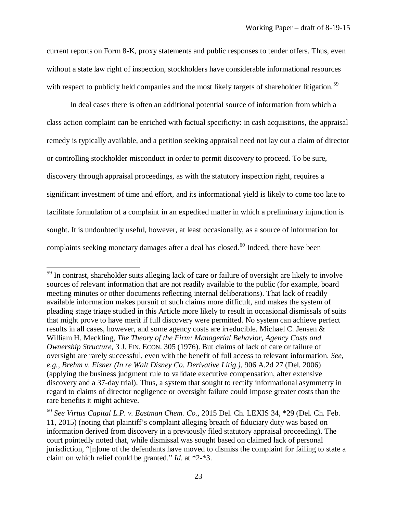current reports on Form 8-K, proxy statements and public responses to tender offers. Thus, even without a state law right of inspection, stockholders have considerable informational resources with respect to publicly held companies and the most likely targets of shareholder litigation.<sup>[59](#page-25-0)</sup>

In deal cases there is often an additional potential source of information from which a class action complaint can be enriched with factual specificity: in cash acquisitions, the appraisal remedy is typically available, and a petition seeking appraisal need not lay out a claim of director or controlling stockholder misconduct in order to permit discovery to proceed. To be sure, discovery through appraisal proceedings, as with the statutory inspection right, requires a significant investment of time and effort, and its informational yield is likely to come too late to facilitate formulation of a complaint in an expedited matter in which a preliminary injunction is sought. It is undoubtedly useful, however, at least occasionally, as a source of information for complaints seeking monetary damages after a deal has closed.<sup>[60](#page-25-1)</sup> Indeed, there have been

<span id="page-25-0"></span><sup>&</sup>lt;sup>59</sup> In contrast, shareholder suits alleging lack of care or failure of oversight are likely to involve sources of relevant information that are not readily available to the public (for example, board meeting minutes or other documents reflecting internal deliberations). That lack of readily available information makes pursuit of such claims more difficult, and makes the system of pleading stage triage studied in this Article more likely to result in occasional dismissals of suits that might prove to have merit if full discovery were permitted. No system can achieve perfect results in all cases, however, and some agency costs are irreducible. Michael C. Jensen & William H. Meckling, *The Theory of the Firm: Managerial Behavior, Agency Costs and Ownership Structure*, 3 J. FIN. ECON. 305 (1976). But claims of lack of care or failure of oversight are rarely successful, even with the benefit of full access to relevant information. *See, e.g., Brehm v. Eisner (In re Walt Disney Co. Derivative Litig.),* 906 A.2d 27 (Del. 2006) (applying the business judgment rule to validate executive compensation, after extensive discovery and a 37-day trial). Thus, a system that sought to rectify informational asymmetry in regard to claims of director negligence or oversight failure could impose greater costs than the rare benefits it might achieve.

<span id="page-25-1"></span><sup>60</sup> *See Virtus Capital L.P. v. Eastman Chem. Co.,* 2015 Del. Ch. LEXIS 34, \*29 (Del. Ch. Feb. 11, 2015) (noting that plaintiff's complaint alleging breach of fiduciary duty was based on information derived from discovery in a previously filed statutory appraisal proceeding). The court pointedly noted that, while dismissal was sought based on claimed lack of personal jurisdiction, "[n]one of the defendants have moved to dismiss the complaint for failing to state a claim on which relief could be granted." *Id.* at \*2-\*3.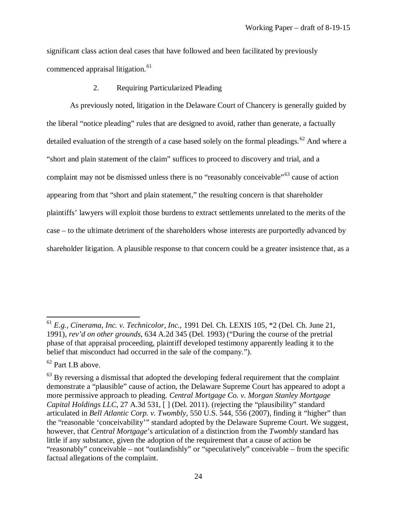significant class action deal cases that have followed and been facilitated by previously commenced appraisal litigation.<sup>[61](#page-26-1)</sup>

<span id="page-26-0"></span>2. Requiring Particularized Pleading

As previously noted, litigation in the Delaware Court of Chancery is generally guided by the liberal "notice pleading" rules that are designed to avoid, rather than generate, a factually detailed evaluation of the strength of a case based solely on the formal pleadings.<sup>[62](#page-26-2)</sup> And where a "short and plain statement of the claim" suffices to proceed to discovery and trial, and a complaint may not be dismissed unless there is no "reasonably conceivable"<sup>[63](#page-26-3)</sup> cause of action appearing from that "short and plain statement," the resulting concern is that shareholder plaintiffs' lawyers will exploit those burdens to extract settlements unrelated to the merits of the case – to the ultimate detriment of the shareholders whose interests are purportedly advanced by shareholder litigation. A plausible response to that concern could be a greater insistence that, as a

<span id="page-26-1"></span><sup>61</sup> *E.g., Cinerama, Inc. v. Technicolor, Inc.*, 1991 Del. Ch. LEXIS 105, \*2 (Del. Ch. June 21, 1991)*, rev'd on other grounds*, 634 A.2d 345 (Del. 1993) ("During the course of the pretrial phase of that appraisal proceeding, plaintiff developed testimony apparently leading it to the belief that misconduct had occurred in the sale of the company.").

<span id="page-26-2"></span><sup>62</sup> Part I.B above.

<span id="page-26-3"></span> $63$  By reversing a dismissal that adopted the developing federal requirement that the complaint demonstrate a "plausible" cause of action, the Delaware Supreme Court has appeared to adopt a more permissive approach to pleading. *Central Mortgage Co. v. Morgan Stanley Mortgage Capital Holdings LLC*, 27 A.3d 531, [] (Del. 2011). (rejecting the "plausibility" standard articulated in *Bell Atlantic Corp. v. Twombly*, 550 U.S. 544, 556 (2007), finding it "higher" than the "reasonable 'conceivability'" standard adopted by the Delaware Supreme Court. We suggest, however, that *Central Mortgage*'s articulation of a distinction from the *Twombly* standard has little if any substance, given the adoption of the requirement that a cause of action be "reasonably" conceivable – not "outlandishly" or "speculatively" conceivable – from the specific factual allegations of the complaint.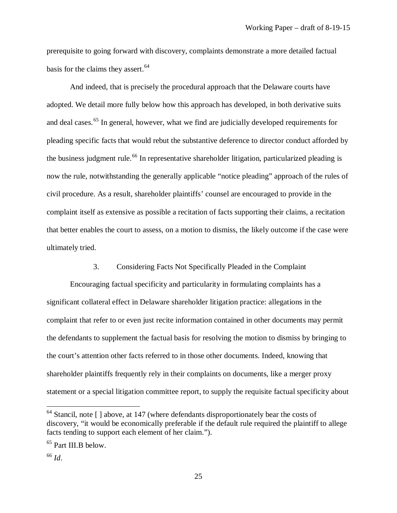prerequisite to going forward with discovery, complaints demonstrate a more detailed factual basis for the claims they assert.<sup>[64](#page-27-1)</sup>

And indeed, that is precisely the procedural approach that the Delaware courts have adopted. We detail more fully below how this approach has developed, in both derivative suits and deal cases.<sup>[65](#page-27-2)</sup> In general, however, what we find are judicially developed requirements for pleading specific facts that would rebut the substantive deference to director conduct afforded by the business judgment rule.<sup>[66](#page-27-3)</sup> In representative shareholder litigation, particularized pleading is now the rule, notwithstanding the generally applicable "notice pleading" approach of the rules of civil procedure. As a result, shareholder plaintiffs' counsel are encouraged to provide in the complaint itself as extensive as possible a recitation of facts supporting their claims, a recitation that better enables the court to assess, on a motion to dismiss, the likely outcome if the case were ultimately tried.

#### <span id="page-27-0"></span>3. Considering Facts Not Specifically Pleaded in the Complaint

Encouraging factual specificity and particularity in formulating complaints has a significant collateral effect in Delaware shareholder litigation practice: allegations in the complaint that refer to or even just recite information contained in other documents may permit the defendants to supplement the factual basis for resolving the motion to dismiss by bringing to the court's attention other facts referred to in those other documents. Indeed, knowing that shareholder plaintiffs frequently rely in their complaints on documents, like a merger proxy statement or a special litigation committee report, to supply the requisite factual specificity about

<span id="page-27-1"></span> $64$  Stancil, note [] above, at 147 (where defendants disproportionately bear the costs of discovery, "it would be economically preferable if the default rule required the plaintiff to allege facts tending to support each element of her claim.").

<span id="page-27-2"></span><sup>65</sup> Part III.B below.

<span id="page-27-3"></span><sup>66</sup> *Id*.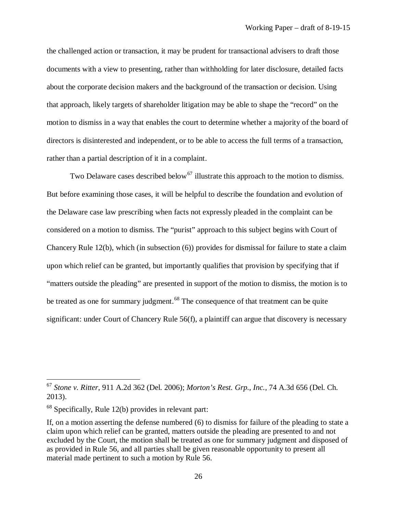the challenged action or transaction, it may be prudent for transactional advisers to draft those documents with a view to presenting, rather than withholding for later disclosure, detailed facts about the corporate decision makers and the background of the transaction or decision. Using that approach, likely targets of shareholder litigation may be able to shape the "record" on the motion to dismiss in a way that enables the court to determine whether a majority of the board of directors is disinterested and independent, or to be able to access the full terms of a transaction, rather than a partial description of it in a complaint.

Two Delaware cases described below<sup>[67](#page-28-0)</sup> illustrate this approach to the motion to dismiss. But before examining those cases, it will be helpful to describe the foundation and evolution of the Delaware case law prescribing when facts not expressly pleaded in the complaint can be considered on a motion to dismiss. The "purist" approach to this subject begins with Court of Chancery Rule 12(b), which (in subsection (6)) provides for dismissal for failure to state a claim upon which relief can be granted, but importantly qualifies that provision by specifying that if "matters outside the pleading" are presented in support of the motion to dismiss, the motion is to be treated as one for summary judgment.<sup>[68](#page-28-1)</sup> The consequence of that treatment can be quite significant: under Court of Chancery Rule 56(f), a plaintiff can argue that discovery is necessary

l

<span id="page-28-0"></span><sup>67</sup> *Stone v. Ritter*, 911 A.2d 362 (Del. 2006); *Morton's Rest. Grp., Inc.*, 74 A.3d 656 (Del. Ch. 2013).

<span id="page-28-1"></span> $68$  Specifically, Rule 12(b) provides in relevant part:

If, on a motion asserting the defense numbered (6) to dismiss for failure of the pleading to state a claim upon which relief can be granted, matters outside the pleading are presented to and not excluded by the Court, the motion shall be treated as one for summary judgment and disposed of as provided in Rule 56, and all parties shall be given reasonable opportunity to present all material made pertinent to such a motion by Rule 56.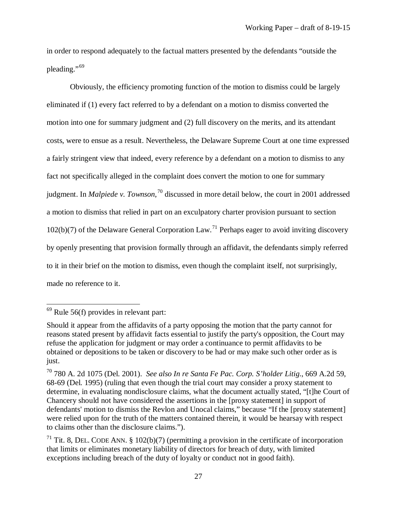in order to respond adequately to the factual matters presented by the defendants "outside the pleading."[69](#page-29-0)

Obviously, the efficiency promoting function of the motion to dismiss could be largely eliminated if (1) every fact referred to by a defendant on a motion to dismiss converted the motion into one for summary judgment and (2) full discovery on the merits, and its attendant costs, were to ensue as a result. Nevertheless, the Delaware Supreme Court at one time expressed a fairly stringent view that indeed, every reference by a defendant on a motion to dismiss to any fact not specifically alleged in the complaint does convert the motion to one for summary judgment. In *Malpiede v. Townson*, [70](#page-29-1) discussed in more detail below, the court in 2001 addressed a motion to dismiss that relied in part on an exculpatory charter provision pursuant to section  $102(b)(7)$  of the Delaware General Corporation Law.<sup>[71](#page-29-2)</sup> Perhaps eager to avoid inviting discovery by openly presenting that provision formally through an affidavit, the defendants simply referred to it in their brief on the motion to dismiss, even though the complaint itself, not surprisingly, made no reference to it.

<span id="page-29-0"></span> $69$  Rule 56(f) provides in relevant part:

Should it appear from the affidavits of a party opposing the motion that the party cannot for reasons stated present by affidavit facts essential to justify the party's opposition, the Court may refuse the application for judgment or may order a continuance to permit affidavits to be obtained or depositions to be taken or discovery to be had or may make such other order as is just.

<span id="page-29-1"></span><sup>70</sup> 780 A. 2d 1075 (Del. 2001). *See also In re Santa Fe Pac. Corp. S'holder Litig*., 669 A.2d 59, 68-69 (Del. 1995) (ruling that even though the trial court may consider a proxy statement to determine, in evaluating nondisclosure claims, what the document actually stated, "[t]he Court of Chancery should not have considered the assertions in the [proxy statement] in support of defendants' motion to dismiss the Revlon and Unocal claims," because "If the [proxy statement] were relied upon for the truth of the matters contained therein, it would be hearsay with respect to claims other than the disclosure claims.").

<span id="page-29-2"></span><sup>&</sup>lt;sup>71</sup> Tit. 8, DEL. CODE ANN.  $\S$  102(b)(7) (permitting a provision in the certificate of incorporation that limits or eliminates monetary liability of directors for breach of duty, with limited exceptions including breach of the duty of loyalty or conduct not in good faith).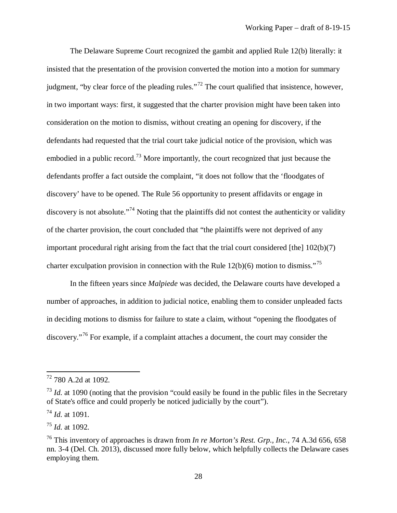The Delaware Supreme Court recognized the gambit and applied Rule 12(b) literally: it insisted that the presentation of the provision converted the motion into a motion for summary judgment, "by clear force of the pleading rules."[72](#page-30-0) The court qualified that insistence, however, in two important ways: first, it suggested that the charter provision might have been taken into consideration on the motion to dismiss, without creating an opening for discovery, if the defendants had requested that the trial court take judicial notice of the provision, which was embodied in a public record.<sup>[73](#page-30-1)</sup> More importantly, the court recognized that just because the defendants proffer a fact outside the complaint, "it does not follow that the 'floodgates of discovery' have to be opened. The Rule 56 opportunity to present affidavits or engage in discovery is not absolute."<sup>[74](#page-30-2)</sup> Noting that the plaintiffs did not contest the authenticity or validity of the charter provision, the court concluded that "the plaintiffs were not deprived of any important procedural right arising from the fact that the trial court considered [the] 102(b)(7) charter exculpation provision in connection with the Rule  $12(b)(6)$  motion to dismiss."<sup>[75](#page-30-3)</sup>

In the fifteen years since *Malpiede* was decided, the Delaware courts have developed a number of approaches, in addition to judicial notice, enabling them to consider unpleaded facts in deciding motions to dismiss for failure to state a claim, without "opening the floodgates of discovery."[76](#page-30-4) For example, if a complaint attaches a document, the court may consider the

l

<span id="page-30-3"></span><sup>75</sup> *Id.* at 1092.

<span id="page-30-0"></span><sup>72</sup> 780 A.2d at 1092.

<span id="page-30-1"></span><sup>&</sup>lt;sup>73</sup> *Id.* at 1090 (noting that the provision "could easily be found in the public files in the Secretary of State's office and could properly be noticed judicially by the court").

<span id="page-30-2"></span><sup>74</sup> *Id.* at 1091.

<span id="page-30-4"></span><sup>76</sup> This inventory of approaches is drawn from *In re Morton's Rest. Grp., Inc.*, 74 A.3d 656, 658 nn. 3-4 (Del. Ch. 2013), discussed more fully below, which helpfully collects the Delaware cases employing them.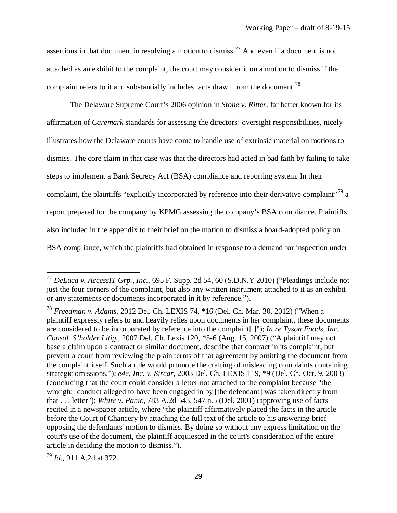assertions in that document in resolving a motion to dismiss.<sup>[77](#page-31-0)</sup> And even if a document is not attached as an exhibit to the complaint, the court may consider it on a motion to dismiss if the complaint refers to it and substantially includes facts drawn from the document.<sup>[78](#page-31-1)</sup>

The Delaware Supreme Court's 2006 opinion in *Stone v. Ritter*, far better known for its affirmation of *Caremark* standards for assessing the directors' oversight responsibilities, nicely illustrates how the Delaware courts have come to handle use of extrinsic material on motions to dismiss. The core claim in that case was that the directors had acted in bad faith by failing to take steps to implement a Bank Secrecy Act (BSA) compliance and reporting system. In their complaint, the plaintiffs "explicitly incorporated by reference into their derivative complaint"<sup>[79](#page-31-2)</sup> a report prepared for the company by KPMG assessing the company's BSA compliance. Plaintiffs also included in the appendix to their brief on the motion to dismiss a board-adopted policy on BSA compliance, which the plaintiffs had obtained in response to a demand for inspection under

<span id="page-31-2"></span><sup>79</sup> *Id.*, 911 A.2d at 372.

<span id="page-31-0"></span><sup>77</sup> *DeLuca v. AccessIT Grp., Inc.*, 695 F. Supp. 2d 54, 60 (S.D.N.Y 2010) ("Pleadings include not just the four corners of the complaint, but also any written instrument attached to it as an exhibit or any statements or documents incorporated in it by reference.").

<span id="page-31-1"></span><sup>78</sup> *Freedman v. Adams*, 2012 Del. Ch. LEXIS 74, \*16 (Del. Ch. Mar. 30, 2012) ("When a plaintiff expressly refers to and heavily relies upon documents in her complaint, these documents are considered to be incorporated by reference into the complaint[.]"); *In re Tyson Foods, Inc. Consol. S'holder Litig.*, 2007 Del. Ch. Lexis 120, \*5-6 (Aug. 15, 2007) ("A plaintiff may not base a claim upon a contract or similar document, describe that contract in its complaint, but prevent a court from reviewing the plain terms of that agreement by omitting the document from the complaint itself. Such a rule would promote the crafting of misleading complaints containing strategic omissions."); *e4e, Inc. v. Sircar*, 2003 Del. Ch. LEXIS 119, \*9 (Del. Ch. Oct. 9, 2003) (concluding that the court could consider a letter not attached to the complaint because "the wrongful conduct alleged to have been engaged in by [the defendant] was taken directly from that . . . letter"); *White v. Panic*, 783 A.2d 543, 547 n.5 (Del. 2001) (approving use of facts recited in a newspaper article, where "the plaintiff affirmatively placed the facts in the article before the Court of Chancery by attaching the full text of the article to his answering brief opposing the defendants' motion to dismiss. By doing so without any express limitation on the court's use of the document, the plaintiff acquiesced in the court's consideration of the entire article in deciding the motion to dismiss.").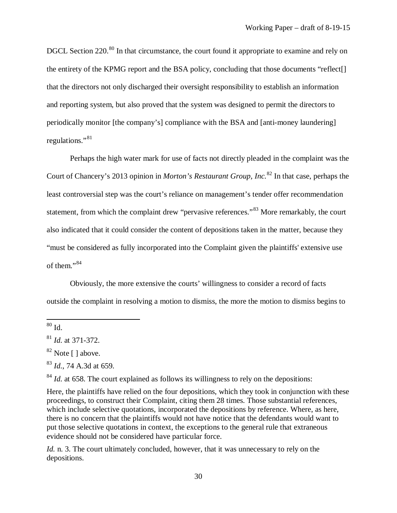DGCL Section 220.<sup>[80](#page-32-0)</sup> In that circumstance, the court found it appropriate to examine and rely on the entirety of the KPMG report and the BSA policy, concluding that those documents "reflect[] that the directors not only discharged their oversight responsibility to establish an information and reporting system, but also proved that the system was designed to permit the directors to periodically monitor [the company's] compliance with the BSA and [anti-money laundering] regulations."[81](#page-32-1)

Perhaps the high water mark for use of facts not directly pleaded in the complaint was the Court of Chancery's 2013 opinion in *Morton's Restaurant Group, Inc.*[82](#page-32-2) In that case, perhaps the least controversial step was the court's reliance on management's tender offer recommendation statement, from which the complaint drew "pervasive references."<sup>[83](#page-32-3)</sup> More remarkably, the court also indicated that it could consider the content of depositions taken in the matter, because they "must be considered as fully incorporated into the Complaint given the plaintiffs' extensive use of them."[84](#page-32-4)

Obviously, the more extensive the courts' willingness to consider a record of facts outside the complaint in resolving a motion to dismiss, the more the motion to dismiss begins to

 $\overline{\phantom{a}}$ 

<span id="page-32-4"></span> $84$  *Id.* at 658. The court explained as follows its willingness to rely on the depositions:

Here, the plaintiffs have relied on the four depositions, which they took in conjunction with these proceedings, to construct their Complaint, citing them 28 times. Those substantial references, which include selective quotations, incorporated the depositions by reference. Where, as here, there is no concern that the plaintiffs would not have notice that the defendants would want to put those selective quotations in context, the exceptions to the general rule that extraneous evidence should not be considered have particular force.

*Id.* n. 3. The court ultimately concluded, however, that it was unnecessary to rely on the depositions.

<span id="page-32-0"></span> $80$  Id.

<span id="page-32-1"></span><sup>81</sup> *Id.* at 371-372.

<span id="page-32-2"></span> $82$  Note [ ] above.

<span id="page-32-3"></span><sup>83</sup> *Id.*, 74 A.3d at 659.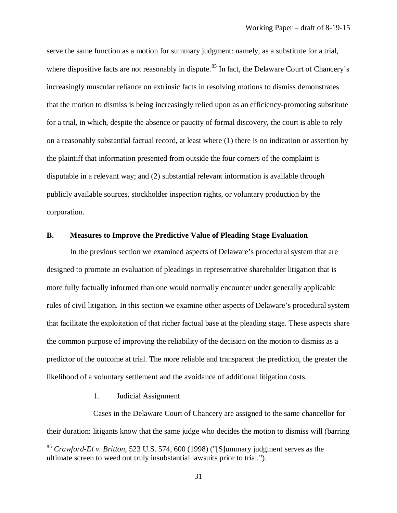serve the same function as a motion for summary judgment: namely, as a substitute for a trial, where dispositive facts are not reasonably in dispute.<sup>[85](#page-33-2)</sup> In fact, the Delaware Court of Chancery's increasingly muscular reliance on extrinsic facts in resolving motions to dismiss demonstrates that the motion to dismiss is being increasingly relied upon as an efficiency-promoting substitute for a trial, in which, despite the absence or paucity of formal discovery, the court is able to rely on a reasonably substantial factual record, at least where (1) there is no indication or assertion by the plaintiff that information presented from outside the four corners of the complaint is disputable in a relevant way; and (2) substantial relevant information is available through publicly available sources, stockholder inspection rights, or voluntary production by the corporation.

#### <span id="page-33-0"></span>**B. Measures to Improve the Predictive Value of Pleading Stage Evaluation**

In the previous section we examined aspects of Delaware's procedural system that are designed to promote an evaluation of pleadings in representative shareholder litigation that is more fully factually informed than one would normally encounter under generally applicable rules of civil litigation. In this section we examine other aspects of Delaware's procedural system that facilitate the exploitation of that richer factual base at the pleading stage. These aspects share the common purpose of improving the reliability of the decision on the motion to dismiss as a predictor of the outcome at trial. The more reliable and transparent the prediction, the greater the likelihood of a voluntary settlement and the avoidance of additional litigation costs.

<span id="page-33-1"></span>1. Judicial Assignment

 $\overline{a}$ 

Cases in the Delaware Court of Chancery are assigned to the same chancellor for their duration: litigants know that the same judge who decides the motion to dismiss will (barring

<span id="page-33-2"></span><sup>85</sup> *Crawford-El v. Britton*, 523 U.S. 574, 600 (1998) ("[S]ummary judgment serves as the ultimate screen to weed out truly insubstantial lawsuits prior to trial.").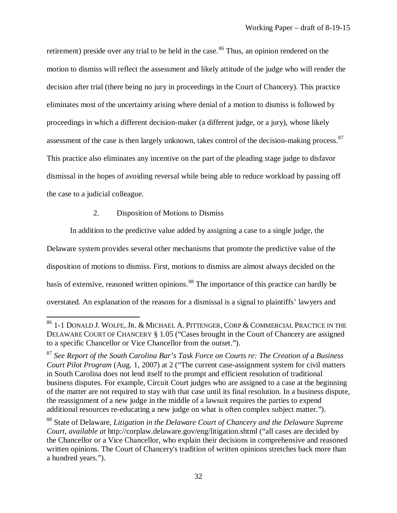retirement) preside over any trial to be held in the case.<sup>[86](#page-34-1)</sup> Thus, an opinion rendered on the motion to dismiss will reflect the assessment and likely attitude of the judge who will render the decision after trial (there being no jury in proceedings in the Court of Chancery). This practice eliminates most of the uncertainty arising where denial of a motion to dismiss is followed by proceedings in which a different decision-maker (a different judge, or a jury), whose likely assessment of the case is then largely unknown, takes control of the decision-making process.  $87$ This practice also eliminates any incentive on the part of the pleading stage judge to disfavor dismissal in the hopes of avoiding reversal while being able to reduce workload by passing off the case to a judicial colleague.

#### <span id="page-34-0"></span>2. Disposition of Motions to Dismiss

 $\overline{a}$ 

In addition to the predictive value added by assigning a case to a single judge, the

Delaware system provides several other mechanisms that promote the predictive value of the

disposition of motions to dismiss. First, motions to dismiss are almost always decided on the

basis of extensive, reasoned written opinions.<sup>[88](#page-34-3)</sup> The importance of this practice can hardly be

overstated. An explanation of the reasons for a dismissal is a signal to plaintiffs' lawyers and

<span id="page-34-1"></span> $^{86}$  1-1 Donald J. Wolfe, Jr. & Michael A. Pittenger, Corp & Commercial Practice in the DELAWARE COURT OF CHANCERY § 1.05 ("Cases brought in the Court of Chancery are assigned to a specific Chancellor or Vice Chancellor from the outset.").

<span id="page-34-2"></span><sup>87</sup> *See Report of the South Carolina Bar's Task Force on Courts re: The Creation of a Business Court Pilot Program* (Aug. 1, 2007) at 2 ("The current case-assignment system for civil matters in South Carolina does not lend itself to the prompt and efficient resolution of traditional business disputes. For example, Circuit Court judges who are assigned to a case at the beginning of the matter are not required to stay with that case until its final resolution. In a business dispute, the reassignment of a new judge in the middle of a lawsuit requires the parties to expend additional resources re-educating a new judge on what is often complex subject matter.").

<span id="page-34-3"></span><sup>88</sup> State of Delaware, *Litigation in the Delaware Court of Chancery and the Delaware Supreme Court*, *available at* http://corplaw.delaware.gov/eng/litigation.shtml ("all cases are decided by the Chancellor or a Vice Chancellor, who explain their decisions in comprehensive and reasoned written opinions. The Court of Chancery's tradition of written opinions stretches back more than a hundred years.").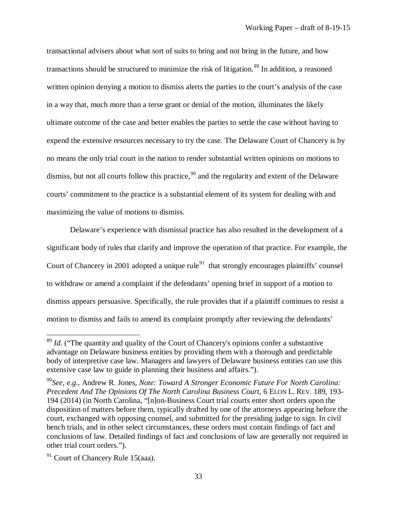transactional advisers about what sort of suits to bring and not bring in the future, and how transactions should be structured to minimize the risk of litigation.<sup>[89](#page-35-0)</sup> In addition, a reasoned written opinion denying a motion to dismiss alerts the parties to the court's analysis of the case in a way that, much more than a terse grant or denial of the motion, illuminates the likely ultimate outcome of the case and better enables the parties to settle the case without having to expend the extensive resources necessary to try the case. The Delaware Court of Chancery is by no means the only trial court in the nation to render substantial written opinions on motions to dismiss, but not all courts follow this practice,  $90$  and the regularity and extent of the Delaware courts' commitment to the practice is a substantial element of its system for dealing with and maximizing the value of motions to dismiss.

Delaware's experience with dismissal practice has also resulted in the development of a significant body of rules that clarify and improve the operation of that practice. For example, the Court of Chancery in 2001 adopted a unique rule<sup>91</sup> that strongly encourages plaintiffs' counsel to withdraw or amend a complaint if the defendants' opening brief in support of a motion to dismiss appears persuasive. Specifically, the rule provides that if a plaintiff continues to resist a motion to dismiss and fails to amend its complaint promptly after reviewing the defendants'

<span id="page-35-0"></span><sup>&</sup>lt;sup>89</sup> *Id.* ("The quantity and quality of the Court of Chancery's opinions confer a substantive advantage on Delaware business entities by providing them with a thorough and predictable body of interpretive case law. Managers and lawyers of Delaware business entities can use this extensive case law to guide in planning their business and affairs.").

<span id="page-35-1"></span><sup>90</sup>*See, e.g.,* Andrew R. Jones, *Note: Toward A Stronger Economic Future For North Carolina: Precedent And The Opinions Of The North Carolina Business Court*, 6 ELON L. REV. 189, 193- 194 (2014) (in North Carolina, "[n]on-Business Court trial courts enter short orders upon the disposition of matters before them, typically drafted by one of the attorneys appearing before the court, exchanged with opposing counsel, and submitted for the presiding judge to sign. In civil bench trials, and in other select circumstances, these orders must contain findings of fact and conclusions of law. Detailed findings of fact and conclusions of law are generally not required in other trial court orders.").

<span id="page-35-2"></span><sup>&</sup>lt;sup>91</sup> Court of Chancery Rule 15(aaa).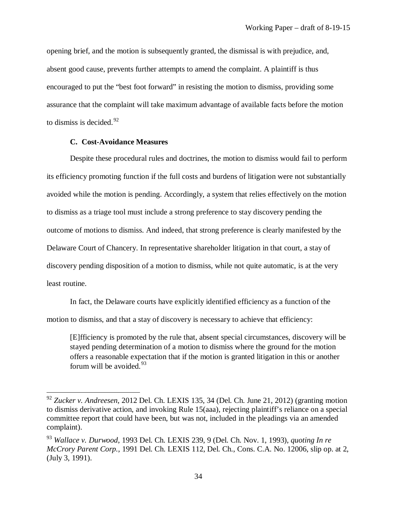opening brief, and the motion is subsequently granted, the dismissal is with prejudice, and, absent good cause, prevents further attempts to amend the complaint. A plaintiff is thus encouraged to put the "best foot forward" in resisting the motion to dismiss, providing some assurance that the complaint will take maximum advantage of available facts before the motion to dismiss is decided.  $92$ 

#### **C. Cost-Avoidance Measures**

 $\overline{\phantom{a}}$ 

Despite these procedural rules and doctrines, the motion to dismiss would fail to perform its efficiency promoting function if the full costs and burdens of litigation were not substantially avoided while the motion is pending. Accordingly, a system that relies effectively on the motion to dismiss as a triage tool must include a strong preference to stay discovery pending the outcome of motions to dismiss. And indeed, that strong preference is clearly manifested by the Delaware Court of Chancery. In representative shareholder litigation in that court, a stay of discovery pending disposition of a motion to dismiss, while not quite automatic, is at the very least routine.

In fact, the Delaware courts have explicitly identified efficiency as a function of the motion to dismiss, and that a stay of discovery is necessary to achieve that efficiency:

[E]fficiency is promoted by the rule that, absent special circumstances, discovery will be stayed pending determination of a motion to dismiss where the ground for the motion offers a reasonable expectation that if the motion is granted litigation in this or another forum will be avoided.  $93$ 

<span id="page-36-0"></span><sup>92</sup> *Zucker v. Andreesen*, 2012 Del. Ch. LEXIS 135, 34 (Del. Ch. June 21, 2012) (granting motion to dismiss derivative action, and invoking Rule 15(aaa), rejecting plaintiff's reliance on a special committee report that could have been, but was not, included in the pleadings via an amended complaint).

<span id="page-36-1"></span><sup>93</sup> *Wallace v. Durwood*, 1993 Del. Ch. LEXIS 239, 9 (Del. Ch. Nov. 1, 1993), *quoting In re McCrory Parent Corp.,* 1991 Del. Ch. LEXIS 112, Del. Ch., Cons. C.A. No. 12006, slip op. at 2, (July 3, 1991).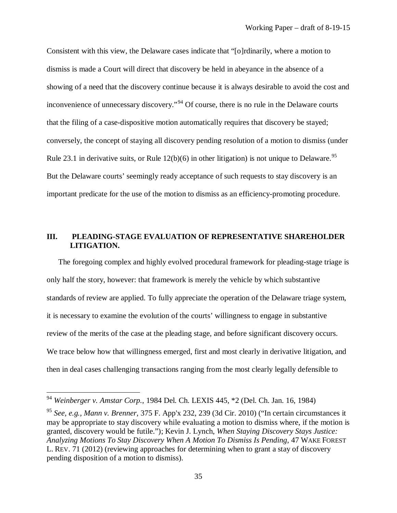Consistent with this view, the Delaware cases indicate that "[o]rdinarily, where a motion to dismiss is made a Court will direct that discovery be held in abeyance in the absence of a showing of a need that the discovery continue because it is always desirable to avoid the cost and inconvenience of unnecessary discovery."<sup>[94](#page-37-0)</sup> Of course, there is no rule in the Delaware courts that the filing of a case-dispositive motion automatically requires that discovery be stayed; conversely, the concept of staying all discovery pending resolution of a motion to dismiss (under Rule 23.1 in derivative suits, or Rule  $12(b)(6)$  in other litigation) is not unique to Delaware.<sup>[95](#page-37-1)</sup> But the Delaware courts' seemingly ready acceptance of such requests to stay discovery is an important predicate for the use of the motion to dismiss as an efficiency-promoting procedure.

# **III. PLEADING-STAGE EVALUATION OF REPRESENTATIVE SHAREHOLDER LITIGATION.**

The foregoing complex and highly evolved procedural framework for pleading-stage triage is only half the story, however: that framework is merely the vehicle by which substantive standards of review are applied. To fully appreciate the operation of the Delaware triage system, it is necessary to examine the evolution of the courts' willingness to engage in substantive review of the merits of the case at the pleading stage, and before significant discovery occurs. We trace below how that willingness emerged, first and most clearly in derivative litigation, and then in deal cases challenging transactions ranging from the most clearly legally defensible to

<span id="page-37-0"></span><sup>94</sup> *Weinberger v. Amstar Corp.*, 1984 Del. Ch. LEXIS 445, \*2 (Del. Ch. Jan. 16, 1984)

<span id="page-37-1"></span><sup>95</sup> *See, e.g., Mann v. Brenner,* 375 F. App'x 232, 239 (3d Cir. 2010) ("In certain circumstances it may be appropriate to stay discovery while evaluating a motion to dismiss where, if the motion is granted, discovery would be futile."); Kevin J. Lynch, *When Staying Discovery Stays Justice: Analyzing Motions To Stay Discovery When A Motion To Dismiss Is Pending*, 47 WAKE FOREST L. REV. 71 (2012) (reviewing approaches for determining when to grant a stay of discovery pending disposition of a motion to dismiss).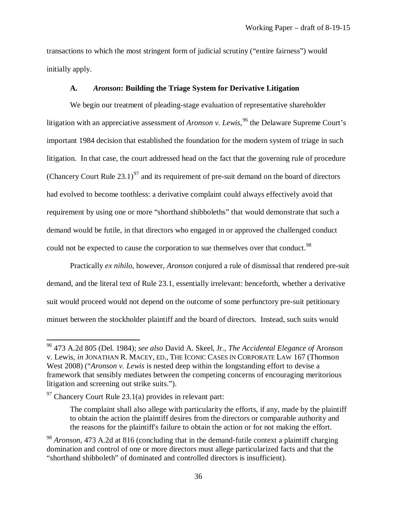transactions to which the most stringent form of judicial scrutiny ("entire fairness") would initially apply.

### **A.** *Aronson***: Building the Triage System for Derivative Litigation**

We begin our treatment of pleading-stage evaluation of representative shareholder litigation with an appreciative assessment of *Aronson v. Lewis*, <sup>[96](#page-38-0)</sup> the Delaware Supreme Court's important 1984 decision that established the foundation for the modern system of triage in such litigation. In that case, the court addressed head on the fact that the governing rule of procedure (Chancery Court Rule 23.1)<sup>[97](#page-38-1)</sup> and its requirement of pre-suit demand on the board of directors had evolved to become toothless: a derivative complaint could always effectively avoid that requirement by using one or more "shorthand shibboleths" that would demonstrate that such a demand would be futile, in that directors who engaged in or approved the challenged conduct could not be expected to cause the corporation to sue themselves over that conduct.<sup>[98](#page-38-2)</sup>

Practically *ex nihilo*, however, *Aronson* conjured a rule of dismissal that rendered pre-suit demand, and the literal text of Rule 23.1, essentially irrelevant: henceforth, whether a derivative suit would proceed would not depend on the outcome of some perfunctory pre-suit petitionary minuet between the stockholder plaintiff and the board of directors. Instead, such suits would

<span id="page-38-0"></span><sup>96</sup> 473 A.2d 805 (Del. 1984); *see also* David A. Skeel, Jr., *The Accidental Elegance of* Aronson v. Lewis, *in* JONATHAN R. MACEY, ED., THE ICONIC CASES IN CORPORATE LAW 167 (Thomson West 2008) ("*Aronson v. Lewis* is nested deep within the longstanding effort to devise a framework that sensibly mediates between the competing concerns of encouraging meritorious litigation and screening out strike suits.").

<span id="page-38-1"></span> $97$  Chancery Court Rule 23.1(a) provides in relevant part:

The complaint shall also allege with particularity the efforts, if any, made by the plaintiff to obtain the action the plaintiff desires from the directors or comparable authority and the reasons for the plaintiff's failure to obtain the action or for not making the effort.

<span id="page-38-2"></span><sup>98</sup> *Aronson*, 473 A.2d at 816 (concluding that in the demand-futile context a plaintiff charging domination and control of one or more directors must allege particularized facts and that the "shorthand shibboleth" of dominated and controlled directors is insufficient).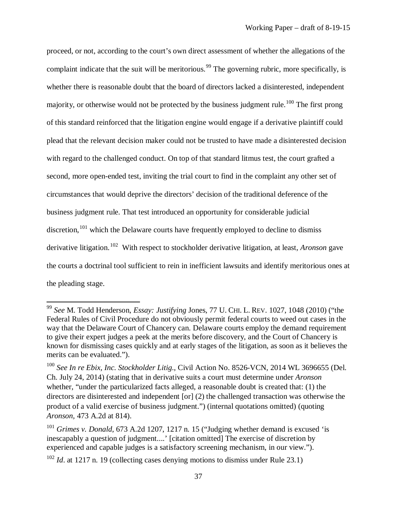proceed, or not, according to the court's own direct assessment of whether the allegations of the complaint indicate that the suit will be meritorious.<sup>[99](#page-39-0)</sup> The governing rubric, more specifically, is whether there is reasonable doubt that the board of directors lacked a disinterested, independent majority, or otherwise would not be protected by the business judgment rule.<sup>[100](#page-39-1)</sup> The first prong of this standard reinforced that the litigation engine would engage if a derivative plaintiff could plead that the relevant decision maker could not be trusted to have made a disinterested decision with regard to the challenged conduct. On top of that standard litmus test, the court grafted a second, more open-ended test, inviting the trial court to find in the complaint any other set of circumstances that would deprive the directors' decision of the traditional deference of the business judgment rule. That test introduced an opportunity for considerable judicial discretion,  $101$  which the Delaware courts have frequently employed to decline to dismiss derivative litigation.[102](#page-39-3) With respect to stockholder derivative litigation, at least, *Aronson* gave the courts a doctrinal tool sufficient to rein in inefficient lawsuits and identify meritorious ones at the pleading stage.

<span id="page-39-0"></span><sup>99</sup> *See* M. Todd Henderson, *Essay: Justifying* Jones, 77 U. CHI. L. REV. 1027, 1048 (2010) ("the Federal Rules of Civil Procedure do not obviously permit federal courts to weed out cases in the way that the Delaware Court of Chancery can. Delaware courts employ the demand requirement to give their expert judges a peek at the merits before discovery, and the Court of Chancery is known for dismissing cases quickly and at early stages of the litigation, as soon as it believes the merits can be evaluated.").

<span id="page-39-1"></span><sup>&</sup>lt;sup>100</sup> See In re Ebix, Inc. Stockholder Litig., Civil Action No. 8526-VCN, 2014 WL 3696655 (Del. Ch. July 24, 2014) (stating that in derivative suits a court must determine under *Aronson* whether, "under the particularized facts alleged, a reasonable doubt is created that: (1) the directors are disinterested and independent [or] (2) the challenged transaction was otherwise the product of a valid exercise of business judgment.") (internal quotations omitted) (quoting *Aronson,* 473 A.2d at 814).

<span id="page-39-2"></span><sup>&</sup>lt;sup>101</sup> *Grimes v. Donald*, 673 A.2d 1207, 1217 n. 15 ("Judging whether demand is excused 'is inescapably a question of judgment....' [citation omitted] The exercise of discretion by experienced and capable judges is a satisfactory screening mechanism, in our view.").

<span id="page-39-3"></span><sup>&</sup>lt;sup>102</sup> *Id.* at 1217 n. 19 (collecting cases denying motions to dismiss under Rule 23.1)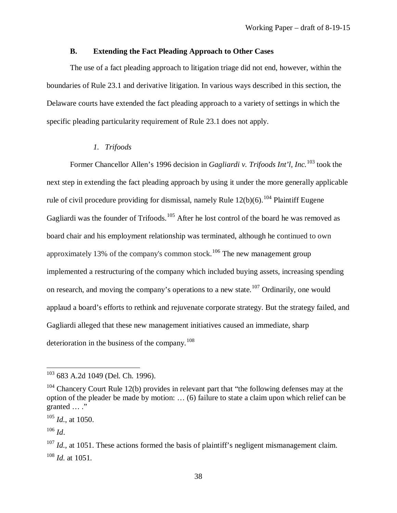# **B. Extending the Fact Pleading Approach to Other Cases**

The use of a fact pleading approach to litigation triage did not end, however, within the boundaries of Rule 23.1 and derivative litigation. In various ways described in this section, the Delaware courts have extended the fact pleading approach to a variety of settings in which the specific pleading particularity requirement of Rule 23.1 does not apply.

### *1. Trifoods*

Former Chancellor Allen's 1996 decision in *Gagliardi v. Trifoods Int'l, Inc.*[103](#page-40-0) took the next step in extending the fact pleading approach by using it under the more generally applicable rule of civil procedure providing for dismissal, namely Rule  $12(b)(6)$ .<sup>[104](#page-40-1)</sup> Plaintiff Eugene Gagliardi was the founder of Trifoods.<sup>[105](#page-40-2)</sup> After he lost control of the board he was removed as board chair and his employment relationship was terminated, although he continued to own approximately 13% of the company's common stock.<sup>[106](#page-40-3)</sup> The new management group implemented a restructuring of the company which included buying assets, increasing spending on research, and moving the company's operations to a new state.<sup>[107](#page-40-4)</sup> Ordinarily, one would applaud a board's efforts to rethink and rejuvenate corporate strategy. But the strategy failed, and Gagliardi alleged that these new management initiatives caused an immediate, sharp deterioration in the business of the company.<sup>[108](#page-40-5)</sup>

l

<span id="page-40-0"></span><sup>&</sup>lt;sup>103</sup> 683 A.2d 1049 (Del. Ch. 1996).

<span id="page-40-1"></span> $104$  Chancery Court Rule 12(b) provides in relevant part that "the following defenses may at the option of the pleader be made by motion: … (6) failure to state a claim upon which relief can be granted … ."

<span id="page-40-2"></span><sup>105</sup> *Id.*, at 1050.

<span id="page-40-3"></span><sup>106</sup> *Id*.

<span id="page-40-5"></span><span id="page-40-4"></span><sup>&</sup>lt;sup>107</sup> *Id.*, at 1051. These actions formed the basis of plaintiff's negligent mismanagement claim. <sup>108</sup> *Id.* at 1051.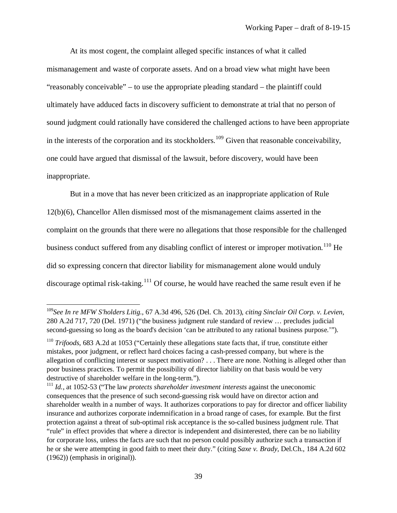At its most cogent, the complaint alleged specific instances of what it called mismanagement and waste of corporate assets. And on a broad view what might have been "reasonably conceivable" – to use the appropriate pleading standard – the plaintiff could ultimately have adduced facts in discovery sufficient to demonstrate at trial that no person of sound judgment could rationally have considered the challenged actions to have been appropriate in the interests of the corporation and its stockholders.<sup>[109](#page-41-0)</sup> Given that reasonable conceivability, one could have argued that dismissal of the lawsuit, before discovery, would have been inappropriate.

But in a move that has never been criticized as an inappropriate application of Rule 12(b)(6), Chancellor Allen dismissed most of the mismanagement claims asserted in the complaint on the grounds that there were no allegations that those responsible for the challenged business conduct suffered from any disabling conflict of interest or improper motivation.<sup>[110](#page-41-1)</sup> He did so expressing concern that director liability for mismanagement alone would unduly discourage optimal risk-taking.<sup>[111](#page-41-2)</sup> Of course, he would have reached the same result even if he

<span id="page-41-0"></span><sup>109</sup>*See In re MFW S'holders Litig.*, 67 A.3d 496, 526 (Del. Ch. 2013), *citing Sinclair Oil Corp. v. Levien,*  280 A.2d 717, 720 (Del. 1971) ("the business judgment rule standard of review … precludes judicial second-guessing so long as the board's decision 'can be attributed to any rational business purpose.'").

<span id="page-41-1"></span><sup>&</sup>lt;sup>110</sup> *Trifoods*, 683 A.2d at 1053 ("Certainly these allegations state facts that, if true, constitute either mistakes, poor judgment, or reflect hard choices facing a cash-pressed company, but where is the allegation of conflicting interest or suspect motivation? . . . There are none. Nothing is alleged other than poor business practices. To permit the possibility of director liability on that basis would be very destructive of shareholder welfare in the long-term.").

<span id="page-41-2"></span><sup>111</sup> *Id.*, at 1052-53 ("The law *protects shareholder investment interests* against the uneconomic consequences that the presence of such second-guessing risk would have on director action and shareholder wealth in a number of ways. It authorizes corporations to pay for director and officer liability insurance and authorizes corporate indemnification in a broad range of cases, for example. But the first protection against a threat of sub-optimal risk acceptance is the so-called business judgment rule. That "rule" in effect provides that where a director is independent and disinterested, there can be no liability for corporate loss, unless the facts are such that no person could possibly authorize such a transaction if he or she were attempting in good faith to meet their duty." (citing *Saxe v. Brady,* Del.Ch., 184 A.2d 602 (1962)) (emphasis in original)).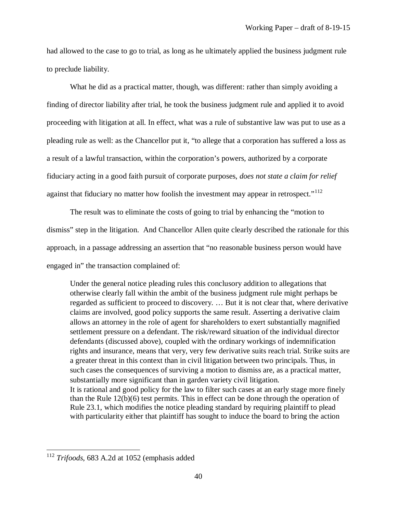had allowed to the case to go to trial, as long as he ultimately applied the business judgment rule to preclude liability.

What he did as a practical matter, though, was different: rather than simply avoiding a finding of director liability after trial, he took the business judgment rule and applied it to avoid proceeding with litigation at all. In effect, what was a rule of substantive law was put to use as a pleading rule as well: as the Chancellor put it, "to allege that a corporation has suffered a loss as a result of a lawful transaction, within the corporation's powers, authorized by a corporate fiduciary acting in a good faith pursuit of corporate purposes, *does not state a claim for relief* against that fiduciary no matter how foolish the investment may appear in retrospect."<sup>[112](#page-42-0)</sup>

The result was to eliminate the costs of going to trial by enhancing the "motion to dismiss" step in the litigation. And Chancellor Allen quite clearly described the rationale for this approach, in a passage addressing an assertion that "no reasonable business person would have engaged in" the transaction complained of:

Under the general notice pleading rules this conclusory addition to allegations that otherwise clearly fall within the ambit of the business judgment rule might perhaps be regarded as sufficient to proceed to discovery. … But it is not clear that, where derivative claims are involved, good policy supports the same result. Asserting a derivative claim allows an attorney in the role of agent for shareholders to exert substantially magnified settlement pressure on a defendant. The risk/reward situation of the individual director defendants (discussed above), coupled with the ordinary workings of indemnification rights and insurance, means that very, very few derivative suits reach trial. Strike suits are a greater threat in this context than in civil litigation between two principals. Thus, in such cases the consequences of surviving a motion to dismiss are, as a practical matter, substantially more significant than in garden variety civil litigation. It is rational and good policy for the law to filter such cases at an early stage more finely than the Rule 12(b)(6) test permits. This in effect can be done through the operation of

Rule 23.1, which modifies the notice pleading standard by requiring plaintiff to plead with particularity either that plaintiff has sought to induce the board to bring the action

<span id="page-42-0"></span><sup>112</sup> *Trifoods*, 683 A.2d at 1052 (emphasis added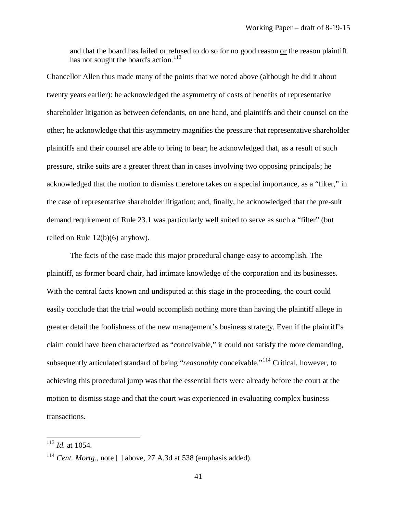and that the board has failed or refused to do so for no good reason or the reason plaintiff has not sought the board's action.<sup>[113](#page-43-0)</sup>

Chancellor Allen thus made many of the points that we noted above (although he did it about twenty years earlier): he acknowledged the asymmetry of costs of benefits of representative shareholder litigation as between defendants, on one hand, and plaintiffs and their counsel on the other; he acknowledge that this asymmetry magnifies the pressure that representative shareholder plaintiffs and their counsel are able to bring to bear; he acknowledged that, as a result of such pressure, strike suits are a greater threat than in cases involving two opposing principals; he acknowledged that the motion to dismiss therefore takes on a special importance, as a "filter," in the case of representative shareholder litigation; and, finally, he acknowledged that the pre-suit demand requirement of Rule 23.1 was particularly well suited to serve as such a "filter" (but relied on Rule 12(b)(6) anyhow).

The facts of the case made this major procedural change easy to accomplish. The plaintiff, as former board chair, had intimate knowledge of the corporation and its businesses. With the central facts known and undisputed at this stage in the proceeding, the court could easily conclude that the trial would accomplish nothing more than having the plaintiff allege in greater detail the foolishness of the new management's business strategy. Even if the plaintiff's claim could have been characterized as "conceivable," it could not satisfy the more demanding, subsequently articulated standard of being "*reasonably* conceivable."[114](#page-43-1) Critical, however, to achieving this procedural jump was that the essential facts were already before the court at the motion to dismiss stage and that the court was experienced in evaluating complex business transactions.

<span id="page-43-0"></span><sup>113</sup> *Id.* at 1054.

<span id="page-43-1"></span><sup>&</sup>lt;sup>114</sup> *Cent. Mortg.*, note  $\lceil \cdot \rceil$  above, 27 A.3d at 538 (emphasis added).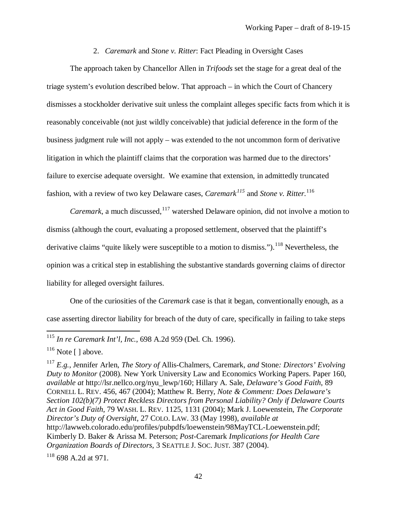2. *Caremark* and *Stone v. Ritter*: Fact Pleading in Oversight Cases

The approach taken by Chancellor Allen in *Trifoods* set the stage for a great deal of the triage system's evolution described below. That approach – in which the Court of Chancery dismisses a stockholder derivative suit unless the complaint alleges specific facts from which it is reasonably conceivable (not just wildly conceivable) that judicial deference in the form of the business judgment rule will not apply – was extended to the not uncommon form of derivative litigation in which the plaintiff claims that the corporation was harmed due to the directors' failure to exercise adequate oversight. We examine that extension, in admittedly truncated fashion, with a review of two key Delaware cases, *Caremark[115](#page-44-0)* and *Stone v. Ritter.*[116](#page-44-1)

*Caremark*, a much discussed, <sup>[117](#page-44-2)</sup> watershed Delaware opinion, did not involve a motion to dismiss (although the court, evaluating a proposed settlement, observed that the plaintiff's derivative claims "quite likely were susceptible to a motion to dismiss.").<sup>[118](#page-44-3)</sup> Nevertheless, the opinion was a critical step in establishing the substantive standards governing claims of director liability for alleged oversight failures.

One of the curiosities of the *Caremark* case is that it began, conventionally enough, as a case asserting director liability for breach of the duty of care, specifically in failing to take steps

<span id="page-44-0"></span><sup>115</sup> *In re Caremark Int'l, Inc.*, 698 A.2d 959 (Del. Ch. 1996).

<span id="page-44-1"></span> $116$  Note [ ] above.

<span id="page-44-2"></span><sup>117</sup> *E.g.*, Jennifer Arlen, *The Story of* Allis-Chalmers, Caremark*, and* Stone*: Directors' Evolving Duty to Monitor* (2008). New York University Law and Economics Working Papers. Paper 160, *available at* http://lsr.nellco.org/nyu\_lewp/160; Hillary A. Sale, *Delaware's Good Faith*, 89 CORNELL L. REV. 456, 467 (2004); Matthew R. Berry, *Note & Comment: Does Delaware's Section 102(b)(7) Protect Reckless Directors from Personal Liability? Only if Delaware Courts Act in Good Faith*, 79 WASH. L. REV. 1125, 1131 (2004); Mark J. Loewenstein, *The Corporate Director's Duty of Oversight*, 27 COLO. LAW. 33 (May 1998), *available at*  http://lawweb.colorado.edu/profiles/pubpdfs/loewenstein/98MayTCL-Loewenstein.pdf; Kimberly D. Baker & Arissa M. Peterson; *Post-*Caremark *Implications for Health Care Organization Boards of Directors*, 3 SEATTLE J. SOC. JUST. 387 (2004).

<span id="page-44-3"></span><sup>118</sup> 698 A.2d at 971.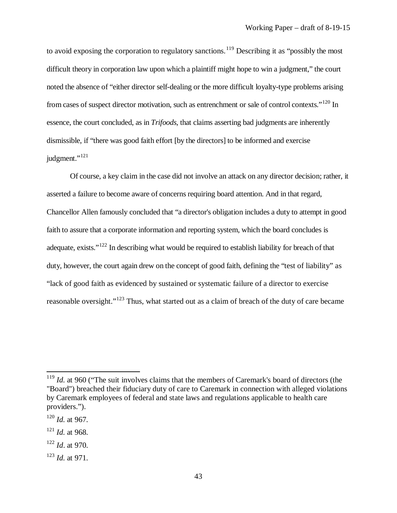to avoid exposing the corporation to regulatory sanctions.<sup>[119](#page-45-0)</sup> Describing it as "possibly the most difficult theory in corporation law upon which a plaintiff might hope to win a judgment," the court noted the absence of "either director self-dealing or the more difficult loyalty-type problems arising from cases of suspect director motivation, such as entrenchment or sale of control contexts."[120](#page-45-1) In essence, the court concluded, as in *Trifoods*, that claims asserting bad judgments are inherently dismissible, if "there was good faith effort [by the directors] to be informed and exercise judgment."<sup>[121](#page-45-2)</sup>

Of course, a key claim in the case did not involve an attack on any director decision; rather, it asserted a failure to become aware of concerns requiring board attention. And in that regard, Chancellor Allen famously concluded that "a director's obligation includes a duty to attempt in good faith to assure that a corporate information and reporting system, which the board concludes is adequate, exists."<sup>[122](#page-45-3)</sup> In describing what would be required to establish liability for breach of that duty, however, the court again drew on the concept of good faith, defining the "test of liability" as "lack of good faith as evidenced by sustained or systematic failure of a director to exercise reasonable oversight."<sup>[123](#page-45-4)</sup> Thus, what started out as a claim of breach of the duty of care became

l

<span id="page-45-0"></span><sup>&</sup>lt;sup>119</sup> *Id.* at 960 ("The suit involves claims that the members of Caremark's board of directors (the "Board") breached their fiduciary duty of care to Caremark in connection with alleged violations by Caremark employees of federal and state laws and regulations applicable to health care providers.").

<span id="page-45-1"></span><sup>120</sup> *Id.* at 967.

<span id="page-45-2"></span> $121$  *Id.* at 968.

<span id="page-45-3"></span><sup>122</sup> *Id*. at 970.

<span id="page-45-4"></span><sup>123</sup> *Id.* at 971.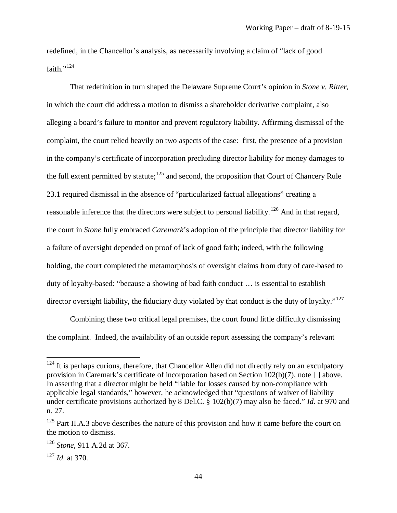redefined, in the Chancellor's analysis, as necessarily involving a claim of "lack of good faith."<sup>[124](#page-46-0)</sup>

That redefinition in turn shaped the Delaware Supreme Court's opinion in *Stone v. Ritter,* in which the court did address a motion to dismiss a shareholder derivative complaint, also alleging a board's failure to monitor and prevent regulatory liability. Affirming dismissal of the complaint, the court relied heavily on two aspects of the case: first, the presence of a provision in the company's certificate of incorporation precluding director liability for money damages to the full extent permitted by statute;<sup>[125](#page-46-1)</sup> and second, the proposition that Court of Chancery Rule 23.1 required dismissal in the absence of "particularized factual allegations" creating a reasonable inference that the directors were subject to personal liability.<sup>[126](#page-46-2)</sup> And in that regard, the court in *Stone* fully embraced *Caremark*'s adoption of the principle that director liability for a failure of oversight depended on proof of lack of good faith; indeed, with the following holding, the court completed the metamorphosis of oversight claims from duty of care-based to duty of loyalty-based: "because a showing of bad faith conduct … is essential to establish director oversight liability, the fiduciary duty violated by that conduct is the duty of loyalty."<sup>[127](#page-46-3)</sup>

Combining these two critical legal premises, the court found little difficulty dismissing the complaint. Indeed, the availability of an outside report assessing the company's relevant

<span id="page-46-0"></span> $124$  It is perhaps curious, therefore, that Chancellor Allen did not directly rely on an exculpatory provision in Caremark's certificate of incorporation based on Section 102(b)(7), note [ ] above. In asserting that a director might be held "liable for losses caused by non-compliance with applicable legal standards," however, he acknowledged that "questions of waiver of liability under certificate provisions authorized by 8 Del.C. § 102(b)(7) may also be faced." *Id.* at 970 and n. 27.

<span id="page-46-1"></span> $125$  Part II.A.3 above describes the nature of this provision and how it came before the court on the motion to dismiss.

<span id="page-46-2"></span><sup>126</sup> *Stone*, 911 A.2d at 367.

<span id="page-46-3"></span><sup>127</sup> *Id.* at 370.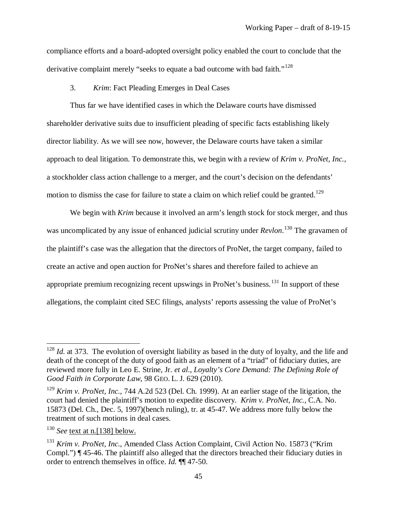compliance efforts and a board-adopted oversight policy enabled the court to conclude that the derivative complaint merely "seeks to equate a bad outcome with bad faith."<sup>[128](#page-47-0)</sup>

3. *Krim*: Fact Pleading Emerges in Deal Cases

Thus far we have identified cases in which the Delaware courts have dismissed shareholder derivative suits due to insufficient pleading of specific facts establishing likely director liability. As we will see now, however, the Delaware courts have taken a similar approach to deal litigation. To demonstrate this, we begin with a review of *Krim v. ProNet, Inc.*, a stockholder class action challenge to a merger, and the court's decision on the defendants' motion to dismiss the case for failure to state a claim on which relief could be granted.<sup>[129](#page-47-1)</sup>

We begin with *Krim* because it involved an arm's length stock for stock merger, and thus was uncomplicated by any issue of enhanced judicial scrutiny under *Revlon*. [130](#page-47-2) The gravamen of the plaintiff's case was the allegation that the directors of ProNet, the target company, failed to create an active and open auction for ProNet's shares and therefore failed to achieve an appropriate premium recognizing recent upswings in ProNet's business.<sup>[131](#page-47-3)</sup> In support of these allegations, the complaint cited SEC filings, analysts' reports assessing the value of ProNet's

<span id="page-47-0"></span><sup>&</sup>lt;sup>128</sup> *Id.* at 373. The evolution of oversight liability as based in the duty of loyalty, and the life and death of the concept of the duty of good faith as an element of a "triad" of fiduciary duties, are reviewed more fully in Leo E. Strine, Jr. *et al*., *Loyalty's Core Demand: The Defining Role of Good Faith in Corporate Law*, 98 GEO. L. J. 629 (2010).

<span id="page-47-1"></span><sup>129</sup> *Krim v. ProNet, Inc.*, 744 A.2d 523 (Del. Ch. 1999). At an earlier stage of the litigation, the court had denied the plaintiff's motion to expedite discovery. *Krim v. ProNet, Inc.*, C.A. No. 15873 (Del. Ch., Dec. 5, 1997)(bench ruling), tr. at 45-47. We address more fully below the treatment of such motions in deal cases.

<span id="page-47-2"></span><sup>130</sup> *See* text at n.[138] below.

<span id="page-47-3"></span><sup>131</sup> *Krim v. ProNet, Inc.*, Amended Class Action Complaint, Civil Action No. 15873 ("Krim Compl.") ¶ 45-46. The plaintiff also alleged that the directors breached their fiduciary duties in order to entrench themselves in office. *Id.* ¶¶ 47-50.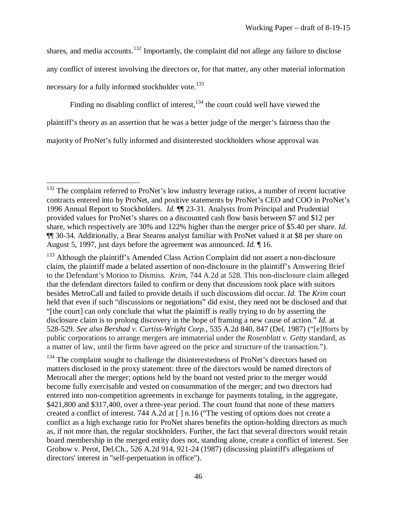shares, and media accounts.<sup>[132](#page-48-0)</sup> Importantly, the complaint did not allege any failure to disclose any conflict of interest involving the directors or, for that matter, any other material information necessary for a fully informed stockholder vote.<sup>[133](#page-48-1)</sup>

Finding no disabling conflict of interest, <sup>[134](#page-48-2)</sup> the court could well have viewed the plaintiff's theory as an assertion that he was a better judge of the merger's fairness than the majority of ProNet's fully informed and disinterested stockholders whose approval was

 $\overline{\phantom{a}}$ 

<span id="page-48-2"></span><sup>134</sup> The complaint sought to challenge the disinterestedness of ProNet's directors based on matters disclosed in the proxy statement: three of the directors would be named directors of Metrocall after the merger; options held by the board not vested prior to the merger would become fully exercisable and vested on consummation of the merger; and two directors had entered into non-competition agreements in exchange for payments totaling, in the aggregate, \$421,800 and \$317,400, over a three-year period. The court found that none of these matters created a conflict of interest. 744 A.2d at [ ] n.16 ("The vesting of options does not create a conflict as a high exchange ratio for ProNet shares benefits the option-holding directors as much as, if not more than, the regular stockholders. Further, the fact that several directors would retain board membership in the merged entity does not, standing alone, create a conflict of interest. See Grobow v. Perot, Del.Ch., 526 A.2d 914, 921-24 (1987) (discussing plaintiff's allegations of directors' interest in "self-perpetuation in office").

<span id="page-48-0"></span> $132$  The complaint referred to ProNet's low industry leverage ratios, a number of recent lucrative contracts entered into by ProNet, and positive statements by ProNet's CEO and COO in ProNet's 1996 Annual Report to Stockholders. *Id.* ¶¶ 23-31. Analysts from Principal and Prudential provided values for ProNet's shares on a discounted cash flow basis between \$7 and \$12 per share, which respectively are 30% and 122% higher than the merger price of \$5.40 per share. *Id.* ¶¶ 30-34. Additionally, a Bear Stearns analyst familiar with ProNet valued it at \$8 per share on August 5, 1997, just days before the agreement was announced. *Id.* ¶ 16.

<span id="page-48-1"></span><sup>&</sup>lt;sup>133</sup> Although the plaintiff's Amended Class Action Complaint did not assert a non-disclosure claim, the plaintiff made a belated assertion of non-disclosure in the plaintiff's Answering Brief to the Defendant's Motion to Dismiss. *Krim*, 744 A.2d at 528. This non-disclosure claim alleged that the defendant directors failed to confirm or deny that discussions took place with suitors besides MetroCall and failed to provide details if such discussions did occur. *Id.* The *Krim* court held that even if such "discussions or negotiations" did exist, they need not be disclosed and that "[the court] can only conclude that what the plaintiff is really trying to do by asserting the disclosure claim is to prolong discovery in the hope of framing a new cause of action." *Id.* at 528-529. *See also Bershad v. Curtiss-Wright Corp.*, 535 A.2d 840, 847 (Del. 1987) ("[e]fforts by public corporations to arrange mergers are immaterial under the *Rosenblatt v. Getty* standard, as a matter of law, until the firms have agreed on the price and structure of the transaction.").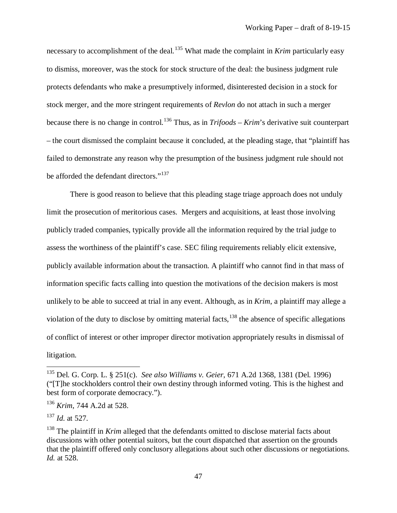necessary to accomplishment of the deal.<sup>[135](#page-49-0)</sup> What made the complaint in *Krim* particularly easy to dismiss, moreover, was the stock for stock structure of the deal: the business judgment rule protects defendants who make a presumptively informed, disinterested decision in a stock for stock merger, and the more stringent requirements of *Revlon* do not attach in such a merger because there is no change in control.[136](#page-49-1) Thus, as in *Trifoods* – *Krim*'s derivative suit counterpart – the court dismissed the complaint because it concluded, at the pleading stage, that "plaintiff has failed to demonstrate any reason why the presumption of the business judgment rule should not be afforded the defendant directors."<sup>[137](#page-49-2)</sup>

There is good reason to believe that this pleading stage triage approach does not unduly limit the prosecution of meritorious cases. Mergers and acquisitions, at least those involving publicly traded companies, typically provide all the information required by the trial judge to assess the worthiness of the plaintiff's case. SEC filing requirements reliably elicit extensive, publicly available information about the transaction. A plaintiff who cannot find in that mass of information specific facts calling into question the motivations of the decision makers is most unlikely to be able to succeed at trial in any event. Although, as in *Krim*, a plaintiff may allege a violation of the duty to disclose by omitting material facts, $^{138}$  $^{138}$  $^{138}$  the absence of specific allegations of conflict of interest or other improper director motivation appropriately results in dismissal of litigation.

<span id="page-49-0"></span><sup>135</sup> Del. G. Corp. L. § 251(c). *See also Williams v. Geier*, 671 A.2d 1368, 1381 (Del. 1996) ("[T]he stockholders control their own destiny through informed voting. This is the highest and best form of corporate democracy.").

<span id="page-49-1"></span><sup>136</sup> *Krim*, 744 A.2d at 528.

<span id="page-49-2"></span><sup>137</sup> *Id.* at 527.

<span id="page-49-3"></span><sup>&</sup>lt;sup>138</sup> The plaintiff in *Krim* alleged that the defendants omitted to disclose material facts about discussions with other potential suitors, but the court dispatched that assertion on the grounds that the plaintiff offered only conclusory allegations about such other discussions or negotiations. *Id.* at 528.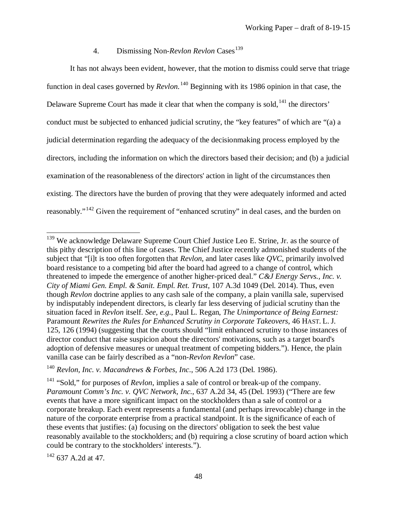# 4. Dismissing Non-*Revlon Revlon* Cases<sup>[139](#page-50-0)</sup>

It has not always been evident, however, that the motion to dismiss could serve that triage function in deal cases governed by *Revlon.*[140](#page-50-1) Beginning with its 1986 opinion in that case, the Delaware Supreme Court has made it clear that when the company is sold,<sup>[141](#page-50-2)</sup> the directors' conduct must be subjected to enhanced judicial scrutiny, the "key features" of which are "(a) a judicial determination regarding the adequacy of the decisionmaking process employed by the directors, including the information on which the directors based their decision; and (b) a judicial examination of the reasonableness of the directors' action in light of the circumstances then existing. The directors have the burden of proving that they were adequately informed and acted reasonably."[142](#page-50-3) Given the requirement of "enhanced scrutiny" in deal cases, and the burden on

<span id="page-50-3"></span><sup>142</sup> 637 A.2d at 47.

<span id="page-50-0"></span><sup>&</sup>lt;sup>139</sup> We acknowledge Delaware Supreme Court Chief Justice Leo E. Strine, Jr. as the source of this pithy description of this line of cases. The Chief Justice recently admonished students of the subject that "[i]t is too often forgotten that *Revlon*, and later cases like *QVC*, primarily involved board resistance to a competing bid after the board had agreed to a change of control, which threatened to impede the emergence of another higher-priced deal." *C&J Energy Servs., Inc. v. City of Miami Gen. Empl. & Sanit. Empl. Ret. Trust*, 107 A.3d 1049 (Del. 2014). Thus, even though *Revlon* doctrine applies to any cash sale of the company, a plain vanilla sale, supervised by indisputably independent directors, is clearly far less deserving of judicial scrutiny than the situation faced in *Revlon* itself. *See, e.g.*, Paul L. Regan, *The Unimportance of Being Earnest:*  Paramount *Rewrites the Rules for Enhanced Scrutiny in Corporate Takeovers*, 46 HAST. L. J. 125, 126 (1994) (suggesting that the courts should "limit enhanced scrutiny to those instances of director conduct that raise suspicion about the directors' motivations, such as a target board's adoption of defensive measures or unequal treatment of competing bidders."). Hence, the plain vanilla case can be fairly described as a "non-*Revlon Revlon*" case.

<span id="page-50-1"></span><sup>140</sup> *Revlon, Inc. v. Macandrews & Forbes, Inc*., 506 A.2d 173 (Del. 1986).

<span id="page-50-2"></span><sup>141</sup> "Sold," for purposes of *Revlon*, implies a sale of control or break-up of the company. *Paramount Comm's Inc. v. QVC Network, Inc.*, 637 A.2d 34, 45 (Del. 1993) ("There are few events that have a more significant impact on the stockholders than a sale of control or a corporate breakup. Each event represents a fundamental (and perhaps irrevocable) change in the nature of the corporate enterprise from a practical standpoint. It is the significance of each of these events that justifies: (a) focusing on the directors' obligation to seek the best value reasonably available to the stockholders; and (b) requiring a close scrutiny of board action which could be contrary to the stockholders' interests.").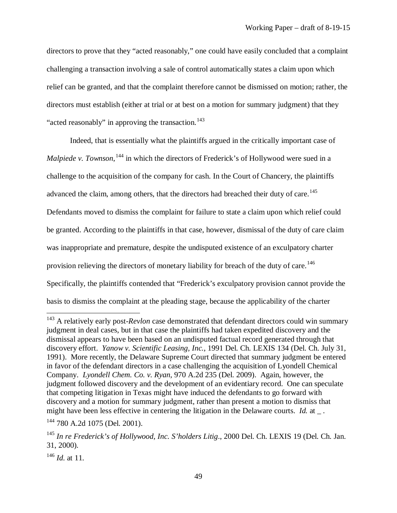directors to prove that they "acted reasonably," one could have easily concluded that a complaint challenging a transaction involving a sale of control automatically states a claim upon which relief can be granted, and that the complaint therefore cannot be dismissed on motion; rather, the directors must establish (either at trial or at best on a motion for summary judgment) that they "acted reasonably" in approving the transaction.<sup>[143](#page-51-0)</sup>

Indeed, that is essentially what the plaintiffs argued in the critically important case of *Malpiede v. Townson*, <sup>[144](#page-51-1)</sup> in which the directors of Frederick's of Hollywood were sued in a challenge to the acquisition of the company for cash. In the Court of Chancery, the plaintiffs advanced the claim, among others, that the directors had breached their duty of care.<sup>[145](#page-51-2)</sup> Defendants moved to dismiss the complaint for failure to state a claim upon which relief could be granted. According to the plaintiffs in that case, however, dismissal of the duty of care claim was inappropriate and premature, despite the undisputed existence of an exculpatory charter provision relieving the directors of monetary liability for breach of the duty of care.<sup>[146](#page-51-3)</sup> Specifically, the plaintiffs contended that "Frederick's exculpatory provision cannot provide the basis to dismiss the complaint at the pleading stage, because the applicability of the charter

<span id="page-51-0"></span><sup>&</sup>lt;sup>143</sup> A relatively early post-*Revlon* case demonstrated that defendant directors could win summary judgment in deal cases, but in that case the plaintiffs had taken expedited discovery and the dismissal appears to have been based on an undisputed factual record generated through that discovery effort. *Yanow v. Scientific Leasing, Inc.*, 1991 Del. Ch. LEXIS 134 (Del. Ch. July 31, 1991). More recently, the Delaware Supreme Court directed that summary judgment be entered in favor of the defendant directors in a case challenging the acquisition of Lyondell Chemical Company. *Lyondell Chem. Co. v. Ryan*, 970 A.2d 235 (Del. 2009). Again, however, the judgment followed discovery and the development of an evidentiary record. One can speculate that competing litigation in Texas might have induced the defendants to go forward with discovery and a motion for summary judgment, rather than present a motion to dismiss that might have been less effective in centering the litigation in the Delaware courts. *Id.* at \_.

<span id="page-51-1"></span><sup>144</sup> 780 A.2d 1075 (Del. 2001).

<span id="page-51-2"></span><sup>145</sup> *In re Frederick's of Hollywood, Inc. S'holders Litig*., 2000 Del. Ch. LEXIS 19 (Del. Ch. Jan. 31, 2000).

<span id="page-51-3"></span><sup>146</sup> *Id.* at 11.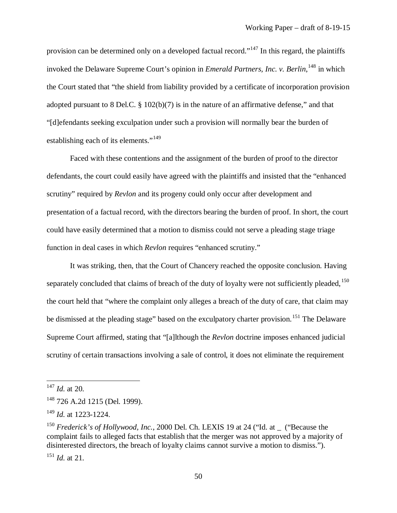provision can be determined only on a developed factual record."<sup>[147](#page-52-0)</sup> In this regard, the plaintiffs invoked the Delaware Supreme Court's opinion in *Emerald Partners, Inc. v. Berlin*, [148](#page-52-1) in which the Court stated that "the shield from liability provided by a certificate of incorporation provision adopted pursuant to 8 Del.C. § 102(b)(7) is in the nature of an affirmative defense," and that "[d]efendants seeking exculpation under such a provision will normally bear the burden of establishing each of its elements."<sup>[149](#page-52-2)</sup>

Faced with these contentions and the assignment of the burden of proof to the director defendants, the court could easily have agreed with the plaintiffs and insisted that the "enhanced scrutiny" required by *Revlon* and its progeny could only occur after development and presentation of a factual record, with the directors bearing the burden of proof. In short, the court could have easily determined that a motion to dismiss could not serve a pleading stage triage function in deal cases in which *Revlon* requires "enhanced scrutiny."

It was striking, then, that the Court of Chancery reached the opposite conclusion. Having separately concluded that claims of breach of the duty of loyalty were not sufficiently pleaded,  $150$ the court held that "where the complaint only alleges a breach of the duty of care, that claim may be dismissed at the pleading stage" based on the exculpatory charter provision.<sup>[151](#page-52-4)</sup> The Delaware Supreme Court affirmed, stating that "[a]lthough the *Revlon* doctrine imposes enhanced judicial scrutiny of certain transactions involving a sale of control, it does not eliminate the requirement

<span id="page-52-0"></span><sup>147</sup> *Id.* at 20.

<span id="page-52-1"></span><sup>&</sup>lt;sup>148</sup> 726 A.2d 1215 (Del. 1999).

<span id="page-52-2"></span><sup>149</sup> *Id.* at 1223-1224.

<span id="page-52-3"></span><sup>&</sup>lt;sup>150</sup> *Frederick's of Hollywood, Inc., 2000 Del. Ch. LEXIS 19 at 24 ("Id. at \_ ("Because the* complaint fails to alleged facts that establish that the merger was not approved by a majority of disinterested directors, the breach of loyalty claims cannot survive a motion to dismiss.").

<span id="page-52-4"></span><sup>151</sup> *Id.* at 21.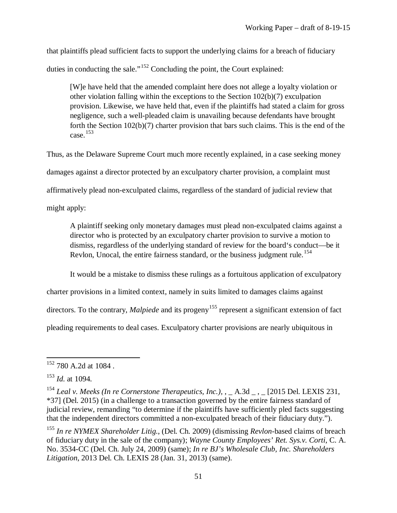that plaintiffs plead sufficient facts to support the underlying claims for a breach of fiduciary duties in conducting the sale."[152](#page-53-0) Concluding the point, the Court explained:

[W]e have held that the amended complaint here does not allege a loyalty violation or other violation falling within the exceptions to the Section 102(b)(7) exculpation provision. Likewise, we have held that, even if the plaintiffs had stated a claim for gross negligence, such a well-pleaded claim is unavailing because defendants have brought forth the Section 102(b)(7) charter provision that bars such claims. This is the end of the case. $153$ 

Thus, as the Delaware Supreme Court much more recently explained, in a case seeking money damages against a director protected by an exculpatory charter provision, a complaint must affirmatively plead non-exculpated claims, regardless of the standard of judicial review that might apply:

A plaintiff seeking only monetary damages must plead non-exculpated claims against a director who is protected by an exculpatory charter provision to survive a motion to dismiss, regardless of the underlying standard of review for the board's conduct—be it Revlon, Unocal, the entire fairness standard, or the business judgment rule.<sup>[154](#page-53-2)</sup>

It would be a mistake to dismiss these rulings as a fortuitous application of exculpatory

charter provisions in a limited context, namely in suits limited to damages claims against

directors. To the contrary, *Malpiede* and its progeny<sup>[155](#page-53-3)</sup> represent a significant extension of fact

pleading requirements to deal cases. Exculpatory charter provisions are nearly ubiquitous in

<span id="page-53-0"></span><sup>&</sup>lt;sup>152</sup> 780 A.2d at 1084.  $\overline{\phantom{a}}$ 

<span id="page-53-1"></span><sup>153</sup> *Id.* at 1094.

<span id="page-53-2"></span><sup>&</sup>lt;sup>154</sup> *Leal v. Meeks (In re Cornerstone Therapeutics, Inc.),* A.3d  $\,$ , [2015 Del. LEXIS 231, \*37] (Del. 2015) (in a challenge to a transaction governed by the entire fairness standard of judicial review, remanding "to determine if the plaintiffs have sufficiently pled facts suggesting that the independent directors committed a non-exculpated breach of their fiduciary duty.").

<span id="page-53-3"></span><sup>155</sup> *In re NYMEX Shareholder Litig.*, (Del. Ch. 2009) (dismissing *Revlon*-based claims of breach of fiduciary duty in the sale of the company); *Wayne County Employees' Ret. Sys.v. Corti*, C. A. No. 3534-CC (Del. Ch. July 24, 2009) (same); *In re BJ's Wholesale Club, Inc. Shareholders Litigation*, 2013 Del. Ch. LEXIS 28 (Jan. 31, 2013) (same).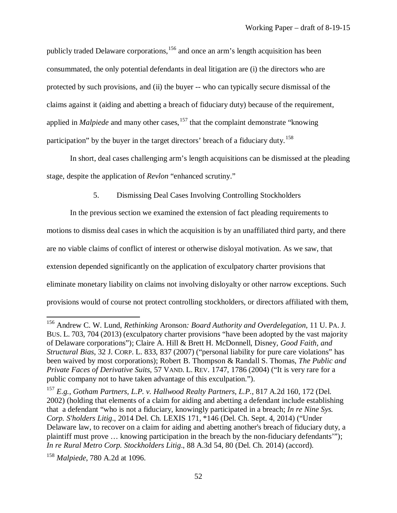publicly traded Delaware corporations,<sup>[156](#page-54-0)</sup> and once an arm's length acquisition has been consummated, the only potential defendants in deal litigation are (i) the directors who are protected by such provisions, and (ii) the buyer -- who can typically secure dismissal of the claims against it (aiding and abetting a breach of fiduciary duty) because of the requirement, applied in *Malpiede* and many other cases,<sup>[157](#page-54-1)</sup> that the complaint demonstrate "knowing" participation" by the buyer in the target directors' breach of a fiduciary duty.[158](#page-54-2)

In short, deal cases challenging arm's length acquisitions can be dismissed at the pleading stage, despite the application of *Revlon* "enhanced scrutiny."

5. Dismissing Deal Cases Involving Controlling Stockholders

In the previous section we examined the extension of fact pleading requirements to motions to dismiss deal cases in which the acquisition is by an unaffiliated third party, and there are no viable claims of conflict of interest or otherwise disloyal motivation. As we saw, that extension depended significantly on the application of exculpatory charter provisions that eliminate monetary liability on claims not involving disloyalty or other narrow exceptions. Such provisions would of course not protect controlling stockholders, or directors affiliated with them,

<span id="page-54-0"></span><sup>156</sup> Andrew C. W. Lund, *Rethinking* Aronson*: Board Authority and Overdelegation*, 11 U. PA. J. BUS. L. 703, 704 (2013) (exculpatory charter provisions "have been adopted by the vast majority of Delaware corporations"); Claire A. Hill & Brett H. McDonnell, Disney*, Good Faith, and Structural Bias*, 32 J. CORP. L. 833, 837 (2007) ("personal liability for pure care violations" has been waived by most corporations); Robert B. Thompson & Randall S. Thomas, *The Public and Private Faces of Derivative Suits*, 57 VAND. L. REV. 1747, 1786 (2004) ("It is very rare for a public company not to have taken advantage of this exculpation.").

<span id="page-54-1"></span><sup>157</sup> *E.g.*, *Gotham Partners, L.P. v. Hallwood Realty Partners, L.P.*, 817 A.2d 160, 172 (Del. 2002) (holding that elements of a claim for aiding and abetting a defendant include establishing that a defendant "who is not a fiduciary, knowingly participated in a breach; *In re Nine Sys. Corp. S'holders Litig*., 2014 Del. Ch. LEXIS 171, \*146 (Del. Ch. Sept. 4, 2014) ("Under Delaware law, to recover on a claim for aiding and abetting another's breach of fiduciary duty, a plaintiff must prove … knowing participation in the breach by the non-fiduciary defendants'"); *In re Rural Metro Corp. Stockholders Litig*., 88 A.3d 54, 80 (Del. Ch. 2014) (accord).

<span id="page-54-2"></span><sup>158</sup> *Malpiede*, 780 A.2d at 1096.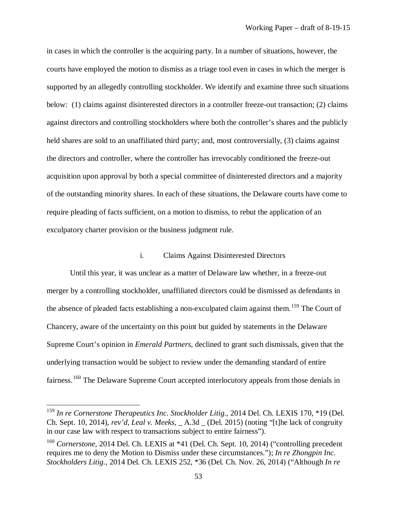in cases in which the controller is the acquiring party. In a number of situations, however, the courts have employed the motion to dismiss as a triage tool even in cases in which the merger is supported by an allegedly controlling stockholder. We identify and examine three such situations below: (1) claims against disinterested directors in a controller freeze-out transaction; (2) claims against directors and controlling stockholders where both the controller's shares and the publicly held shares are sold to an unaffiliated third party; and, most controversially, (3) claims against the directors and controller, where the controller has irrevocably conditioned the freeze-out acquisition upon approval by both a special committee of disinterested directors and a majority of the outstanding minority shares. In each of these situations, the Delaware courts have come to require pleading of facts sufficient, on a motion to dismiss, to rebut the application of an exculpatory charter provision or the business judgment rule.

#### i. Claims Against Disinterested Directors

Until this year, it was unclear as a matter of Delaware law whether, in a freeze-out merger by a controlling stockholder, unaffiliated directors could be dismissed as defendants in the absence of pleaded facts establishing a non-exculpated claim against them.<sup>[159](#page-55-0)</sup> The Court of Chancery, aware of the uncertainty on this point but guided by statements in the Delaware Supreme Court's opinion in *Emerald Partners*, declined to grant such dismissals, given that the underlying transaction would be subject to review under the demanding standard of entire fairness.<sup>[160](#page-55-1)</sup> The Delaware Supreme Court accepted interlocutory appeals from those denials in

<span id="page-55-0"></span><sup>159</sup> *In re Cornerstone Therapeutics Inc. Stockholder Litig.*, 2014 Del. Ch. LEXIS 170, \*19 (Del. Ch. Sept. 10, 2014), *rev'd, Leal v. Meeks*, \_ A.3d \_ (Del. 2015) (noting "[t]he lack of congruity in our case law with respect to transactions subject to entire fairness").

<span id="page-55-1"></span><sup>&</sup>lt;sup>160</sup> Cornerstone, 2014 Del. Ch. LEXIS at \*41 (Del. Ch. Sept. 10, 2014) ("controlling precedent" requires me to deny the Motion to Dismiss under these circumstances."); *In re Zhongpin Inc. Stockholders Litig.*, 2014 Del. Ch. LEXIS 252, \*36 (Del. Ch. Nov. 26, 2014) ("Although *In re*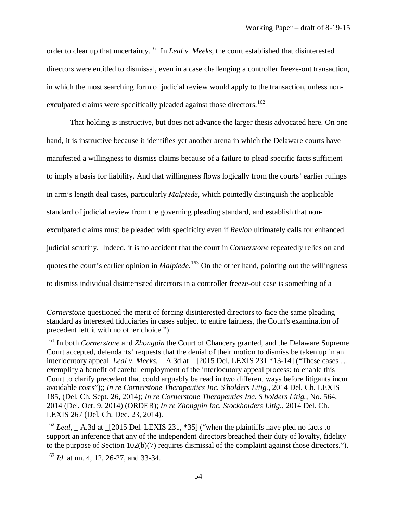order to clear up that uncertainty.[161](#page-56-0) In *Leal v. Meeks*, the court established that disinterested directors were entitled to dismissal, even in a case challenging a controller freeze-out transaction, in which the most searching form of judicial review would apply to the transaction, unless non-exculpated claims were specifically pleaded against those directors.<sup>[162](#page-56-1)</sup>

That holding is instructive, but does not advance the larger thesis advocated here. On one hand, it is instructive because it identifies yet another arena in which the Delaware courts have manifested a willingness to dismiss claims because of a failure to plead specific facts sufficient to imply a basis for liability. And that willingness flows logically from the courts' earlier rulings in arm's length deal cases, particularly *Malpiede*, which pointedly distinguish the applicable standard of judicial review from the governing pleading standard, and establish that nonexculpated claims must be pleaded with specificity even if *Revlon* ultimately calls for enhanced judicial scrutiny. Indeed, it is no accident that the court in *Cornerstone* repeatedly relies on and quotes the court's earlier opinion in *Malpiede*. [163](#page-56-2) On the other hand, pointing out the willingness to dismiss individual disinterested directors in a controller freeze-out case is something of a

*Cornerstone* questioned the merit of forcing disinterested directors to face the same pleading standard as interested fiduciaries in cases subject to entire fairness, the Court's examination of precedent left it with no other choice.").

<span id="page-56-0"></span><sup>161</sup> In both *Cornerstone* and *Zhongpin* the Court of Chancery granted, and the Delaware Supreme Court accepted, defendants' requests that the denial of their motion to dismiss be taken up in an interlocutory appeal. *Leal v. Meeks*, A.3d at [2015 Del. LEXIS 231 \*13-14] ("These cases ... exemplify a benefit of careful employment of the interlocutory appeal process: to enable this Court to clarify precedent that could arguably be read in two different ways before litigants incur avoidable costs");; *In re Cornerstone Therapeutics Inc. S'holders Litig.,* 2014 Del. Ch. LEXIS 185, (Del. Ch. Sept. 26, 2014); *In re Cornerstone Therapeutics Inc. S'holders Litig.*, No. 564, 2014 (Del. Oct. 9, 2014) (ORDER); *In re Zhongpin Inc. Stockholders Litig*., 2014 Del. Ch. LEXIS 267 (Del. Ch. Dec. 23, 2014).

<span id="page-56-1"></span><sup>&</sup>lt;sup>162</sup> *Leal*, A.3d at  $\left[2015 \text{ Del. } LEXIS\ 231, *35\right]$  ("when the plaintiffs have pled no facts to support an inference that any of the independent directors breached their duty of loyalty, fidelity to the purpose of Section 102(b)(7) requires dismissal of the complaint against those directors.").

<span id="page-56-2"></span><sup>163</sup> *Id.* at nn. 4, 12, 26-27, and 33-34.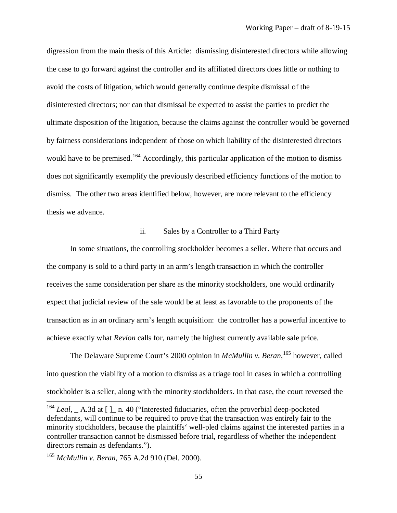digression from the main thesis of this Article: dismissing disinterested directors while allowing the case to go forward against the controller and its affiliated directors does little or nothing to avoid the costs of litigation, which would generally continue despite dismissal of the disinterested directors; nor can that dismissal be expected to assist the parties to predict the ultimate disposition of the litigation, because the claims against the controller would be governed by fairness considerations independent of those on which liability of the disinterested directors would have to be premised.<sup>[164](#page-57-0)</sup> Accordingly, this particular application of the motion to dismiss does not significantly exemplify the previously described efficiency functions of the motion to dismiss. The other two areas identified below, however, are more relevant to the efficiency thesis we advance.

### ii. Sales by a Controller to a Third Party

In some situations, the controlling stockholder becomes a seller. Where that occurs and the company is sold to a third party in an arm's length transaction in which the controller receives the same consideration per share as the minority stockholders, one would ordinarily expect that judicial review of the sale would be at least as favorable to the proponents of the transaction as in an ordinary arm's length acquisition: the controller has a powerful incentive to achieve exactly what *Revlon* calls for, namely the highest currently available sale price.

The Delaware Supreme Court's 2000 opinion in *McMullin v. Beran*, [165](#page-57-1) however, called into question the viability of a motion to dismiss as a triage tool in cases in which a controlling stockholder is a seller, along with the minority stockholders. In that case, the court reversed the

<span id="page-57-0"></span><sup>&</sup>lt;sup>164</sup> *Leal*,  $\Delta$  A.3d at  $\lceil \log n \rceil$  at 40 ("Interested fiduciaries, often the proverbial deep-pocketed defendants, will continue to be required to prove that the transaction was entirely fair to the minority stockholders, because the plaintiffs' well-pled claims against the interested parties in a controller transaction cannot be dismissed before trial, regardless of whether the independent directors remain as defendants.").

<span id="page-57-1"></span><sup>165</sup> *McMullin v. Beran*, 765 A.2d 910 (Del. 2000).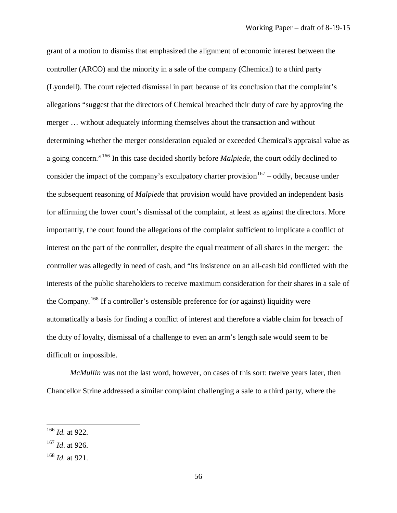grant of a motion to dismiss that emphasized the alignment of economic interest between the controller (ARCO) and the minority in a sale of the company (Chemical) to a third party (Lyondell). The court rejected dismissal in part because of its conclusion that the complaint's allegations "suggest that the directors of Chemical breached their duty of care by approving the merger … without adequately informing themselves about the transaction and without determining whether the merger consideration equaled or exceeded Chemical's appraisal value as a going concern."[166](#page-58-0) In this case decided shortly before *Malpiede*, the court oddly declined to consider the impact of the company's exculpatory charter provision  $167 167 -$  oddly, because under the subsequent reasoning of *Malpiede* that provision would have provided an independent basis for affirming the lower court's dismissal of the complaint, at least as against the directors. More importantly, the court found the allegations of the complaint sufficient to implicate a conflict of interest on the part of the controller, despite the equal treatment of all shares in the merger: the controller was allegedly in need of cash, and "its insistence on an all-cash bid conflicted with the interests of the public shareholders to receive maximum consideration for their shares in a sale of the Company. [168](#page-58-2) If a controller's ostensible preference for (or against) liquidity were automatically a basis for finding a conflict of interest and therefore a viable claim for breach of the duty of loyalty, dismissal of a challenge to even an arm's length sale would seem to be difficult or impossible.

*McMullin* was not the last word, however, on cases of this sort: twelve years later, then Chancellor Strine addressed a similar complaint challenging a sale to a third party, where the

<span id="page-58-0"></span><sup>166</sup> *Id.* at 922.

<span id="page-58-1"></span><sup>167</sup> *Id*. at 926.

<span id="page-58-2"></span><sup>168</sup> *Id.* at 921.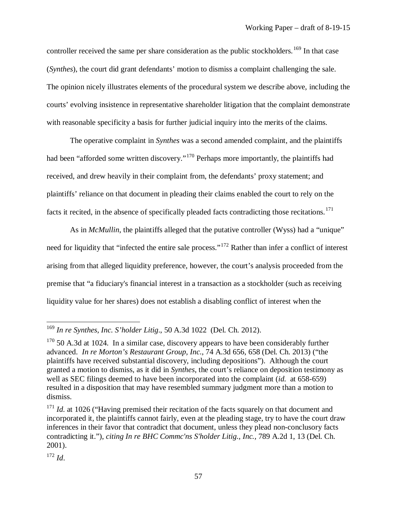controller received the same per share consideration as the public stockholders.<sup>[169](#page-59-0)</sup> In that case (*Synthes*), the court did grant defendants' motion to dismiss a complaint challenging the sale. The opinion nicely illustrates elements of the procedural system we describe above, including the courts' evolving insistence in representative shareholder litigation that the complaint demonstrate with reasonable specificity a basis for further judicial inquiry into the merits of the claims.

The operative complaint in *Synthes* was a second amended complaint, and the plaintiffs had been "afforded some written discovery."<sup>[170](#page-59-1)</sup> Perhaps more importantly, the plaintiffs had received, and drew heavily in their complaint from, the defendants' proxy statement; and plaintiffs' reliance on that document in pleading their claims enabled the court to rely on the facts it recited, in the absence of specifically pleaded facts contradicting those recitations.<sup>[171](#page-59-2)</sup>

As in *McMullin*, the plaintiffs alleged that the putative controller (Wyss) had a "unique" need for liquidity that "infected the entire sale process."[172](#page-59-3) Rather than infer a conflict of interest arising from that alleged liquidity preference, however, the court's analysis proceeded from the premise that "a fiduciary's financial interest in a transaction as a stockholder (such as receiving liquidity value for her shares) does not establish a disabling conflict of interest when the

<span id="page-59-0"></span><sup>169</sup> *In re Synthes, Inc. S'holder Litig*., 50 A.3d 1022 (Del. Ch. 2012).

<span id="page-59-1"></span> $170$  50 A.3d at 1024. In a similar case, discovery appears to have been considerably further advanced. *In re Morton's Restaurant Group, Inc.*, 74 A.3d 656, 658 (Del. Ch. 2013) ("the plaintiffs have received substantial discovery, including depositions"). Although the court granted a motion to dismiss, as it did in *Synthes*, the court's reliance on deposition testimony as well as SEC filings deemed to have been incorporated into the complaint (*id.* at 658-659) resulted in a disposition that may have resembled summary judgment more than a motion to dismiss.

<span id="page-59-2"></span><sup>&</sup>lt;sup>171</sup> *Id.* at 1026 ("Having premised their recitation of the facts squarely on that document and incorporated it, the plaintiffs cannot fairly, even at the pleading stage, try to have the court draw inferences in their favor that contradict that document, unless they plead non-conclusory facts contradicting it."), *citing In re BHC Commc'ns S'holder Litig., Inc., 789 A.2d 1, 13 (Del. Ch.*) 2001).

<span id="page-59-3"></span><sup>172</sup> *Id*.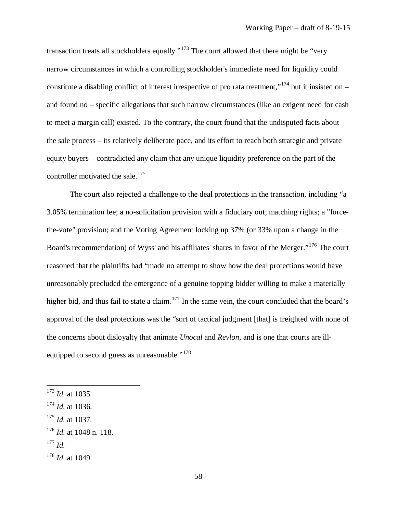transaction treats all stockholders equally."<sup>[173](#page-60-0)</sup> The court allowed that there might be "very narrow circumstances in which a controlling stockholder's immediate need for liquidity could constitute a disabling conflict of interest irrespective of pro rata treatment,"<sup>[174](#page-60-1)</sup> but it insisted on – and found no – specific allegations that such narrow circumstances (like an exigent need for cash to meet a margin call) existed. To the contrary, the court found that the undisputed facts about the sale process – its relatively deliberate pace, and its effort to reach both strategic and private equity buyers – contradicted any claim that any unique liquidity preference on the part of the controller motivated the sale.<sup>[175](#page-60-2)</sup>

The court also rejected a challenge to the deal protections in the transaction, including "a 3.05% termination fee; a no-solicitation provision with a fiduciary out; matching rights; a "forcethe-vote" provision; and the Voting Agreement locking up 37% (or 33% upon a change in the Board's recommendation) of Wyss' and his affiliates' shares in favor of the Merger."[176](#page-60-3) The court reasoned that the plaintiffs had "made no attempt to show how the deal protections would have unreasonably precluded the emergence of a genuine topping bidder willing to make a materially higher bid, and thus fail to state a claim. <sup>[177](#page-60-4)</sup> In the same vein, the court concluded that the board's approval of the deal protections was the "sort of tactical judgment [that] is freighted with none of the concerns about disloyalty that animate *Unocal* and *Revlon*, and is one that courts are ill-equipped to second guess as unreasonable."<sup>[178](#page-60-5)</sup>

<span id="page-60-2"></span><sup>175</sup> *Id.* at 1037.

<span id="page-60-4"></span><sup>177</sup> *Id.*

<span id="page-60-0"></span><sup>173</sup> *Id.* at 1035.

<span id="page-60-1"></span><sup>174</sup> *Id.* at 1036.

<span id="page-60-3"></span><sup>176</sup> *Id.* at 1048 n. 118.

<span id="page-60-5"></span><sup>178</sup> *Id.* at 1049.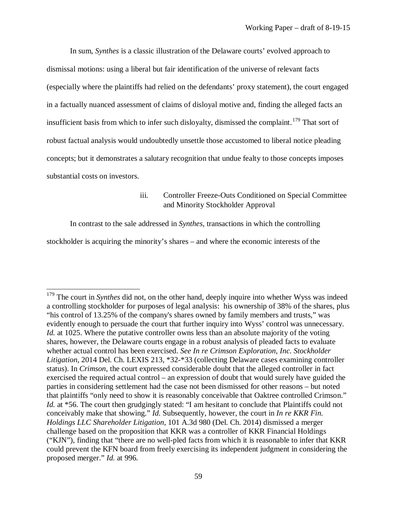In sum, *Synthes* is a classic illustration of the Delaware courts' evolved approach to dismissal motions: using a liberal but fair identification of the universe of relevant facts (especially where the plaintiffs had relied on the defendants' proxy statement), the court engaged in a factually nuanced assessment of claims of disloyal motive and, finding the alleged facts an insufficient basis from which to infer such disloyalty, dismissed the complaint.<sup>[179](#page-61-0)</sup> That sort of robust factual analysis would undoubtedly unsettle those accustomed to liberal notice pleading concepts; but it demonstrates a salutary recognition that undue fealty to those concepts imposes substantial costs on investors.

# iii. Controller Freeze-Outs Conditioned on Special Committee and Minority Stockholder Approval

In contrast to the sale addressed in *Synthes*, transactions in which the controlling

stockholder is acquiring the minority's shares – and where the economic interests of the

<span id="page-61-0"></span><sup>&</sup>lt;sup>179</sup> The court in *Synthes* did not, on the other hand, deeply inquire into whether Wyss was indeed a controlling stockholder for purposes of legal analysis: his ownership of 38% of the shares, plus "his control of 13.25% of the company's shares owned by family members and trusts," was evidently enough to persuade the court that further inquiry into Wyss' control was unnecessary. *Id.* at 1025. Where the putative controller owns less than an absolute majority of the voting shares, however, the Delaware courts engage in a robust analysis of pleaded facts to evaluate whether actual control has been exercised. *See In re Crimson Exploration, Inc. Stockholder Litigation*, 2014 Del. Ch. LEXIS 213, \*32-\*33 (collecting Delaware cases examining controller status). In *Crimson*, the court expressed considerable doubt that the alleged controller in fact exercised the required actual control – an expression of doubt that would surely have guided the parties in considering settlement had the case not been dismissed for other reasons – but noted that plaintiffs "only need to show it is reasonably conceivable that Oaktree controlled Crimson." *Id.* at \*56. The court then grudgingly stated: "I am hesitant to conclude that Plaintiffs could not conceivably make that showing." *Id.* Subsequently, however, the court in *In re KKR Fin. Holdings LLC Shareholder Litigation*, 101 A.3d 980 (Del. Ch. 2014) dismissed a merger challenge based on the proposition that KKR was a controller of KKR Financial Holdings ("KJN"), finding that "there are no well-pled facts from which it is reasonable to infer that KKR could prevent the KFN board from freely exercising its independent judgment in considering the proposed merger." *Id.* at 996.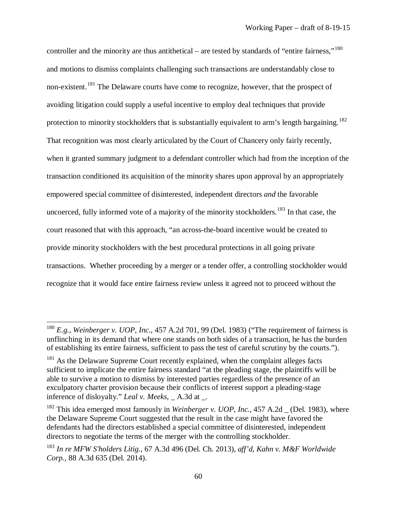controller and the minority are thus antithetical – are tested by standards of "entire fairness,"<sup>[180](#page-62-0)</sup> and motions to dismiss complaints challenging such transactions are understandably close to non-existent.<sup>[181](#page-62-1)</sup> The Delaware courts have come to recognize, however, that the prospect of avoiding litigation could supply a useful incentive to employ deal techniques that provide protection to minority stockholders that is substantially equivalent to arm's length bargaining.<sup>[182](#page-62-2)</sup> That recognition was most clearly articulated by the Court of Chancery only fairly recently, when it granted summary judgment to a defendant controller which had from the inception of the transaction conditioned its acquisition of the minority shares upon approval by an appropriately empowered special committee of disinterested, independent directors *and* the favorable uncoerced, fully informed vote of a majority of the minority stockholders.<sup>[183](#page-62-3)</sup> In that case, the court reasoned that with this approach, "an across-the-board incentive would be created to provide minority stockholders with the best procedural protections in all going private transactions. Whether proceeding by a merger or a tender offer, a controlling stockholder would recognize that it would face entire fairness review unless it agreed not to proceed without the

<span id="page-62-0"></span><sup>180</sup> *E.g.*, *Weinberger v. UOP, Inc.*, 457 A.2d 701, 99 (Del. 1983) ("The requirement of fairness is unflinching in its demand that where one stands on both sides of a transaction, he has the burden of establishing its entire fairness, sufficient to pass the test of careful scrutiny by the courts.").

<span id="page-62-1"></span><sup>&</sup>lt;sup>181</sup> As the Delaware Supreme Court recently explained, when the complaint alleges facts sufficient to implicate the entire fairness standard "at the pleading stage, the plaintiffs will be able to survive a motion to dismiss by interested parties regardless of the presence of an exculpatory charter provision because their conflicts of interest support a pleading-stage inference of disloyalty." *Leal v. Meeks*, \_ A.3d at \_.

<span id="page-62-2"></span><sup>&</sup>lt;sup>182</sup> This idea emerged most famously in *Weinberger v. UOP, Inc.*, 457 A.2d (Del. 1983), where the Delaware Supreme Court suggested that the result in the case might have favored the defendants had the directors established a special committee of disinterested, independent directors to negotiate the terms of the merger with the controlling stockholder.

<span id="page-62-3"></span><sup>183</sup> *In re MFW S'holders Litig.*, 67 A.3d 496 (Del. Ch. 2013), *aff'd*, *Kahn v. M&F Worldwide Corp.*, 88 A.3d 635 (Del. 2014).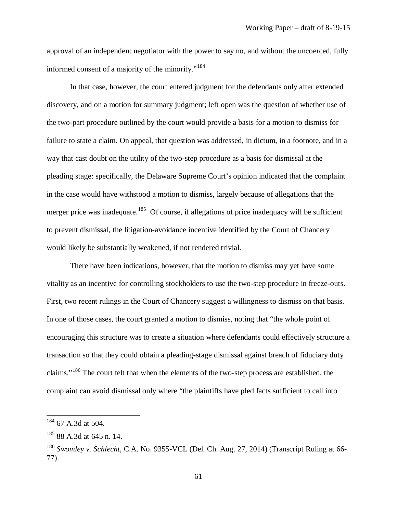approval of an independent negotiator with the power to say no, and without the uncoerced, fully informed consent of a majority of the minority."<sup>[184](#page-63-0)</sup>

In that case, however, the court entered judgment for the defendants only after extended discovery, and on a motion for summary judgment; left open was the question of whether use of the two-part procedure outlined by the court would provide a basis for a motion to dismiss for failure to state a claim. On appeal, that question was addressed, in dictum, in a footnote, and in a way that cast doubt on the utility of the two-step procedure as a basis for dismissal at the pleading stage: specifically, the Delaware Supreme Court's opinion indicated that the complaint in the case would have withstood a motion to dismiss, largely because of allegations that the merger price was inadequate.<sup>[185](#page-63-1)</sup> Of course, if allegations of price inadequacy will be sufficient to prevent dismissal, the litigation-avoidance incentive identified by the Court of Chancery would likely be substantially weakened, if not rendered trivial.

There have been indications, however, that the motion to dismiss may yet have some vitality as an incentive for controlling stockholders to use the two-step procedure in freeze-outs. First, two recent rulings in the Court of Chancery suggest a willingness to dismiss on that basis. In one of those cases, the court granted a motion to dismiss, noting that "the whole point of encouraging this structure was to create a situation where defendants could effectively structure a transaction so that they could obtain a pleading-stage dismissal against breach of fiduciary duty claims."[186](#page-63-2) The court felt that when the elements of the two-step process are established, the complaint can avoid dismissal only where "the plaintiffs have pled facts sufficient to call into

 $\overline{\phantom{a}}$ 

61

<span id="page-63-0"></span> $184$  67 A.3d at 504.

<span id="page-63-1"></span> $185$  88 A.3d at 645 n. 14.

<span id="page-63-2"></span><sup>186</sup> *Swomley v. Schlecht*, C.A. No. 9355-VCL (Del. Ch. Aug. 27, 2014) (Transcript Ruling at 66- 77).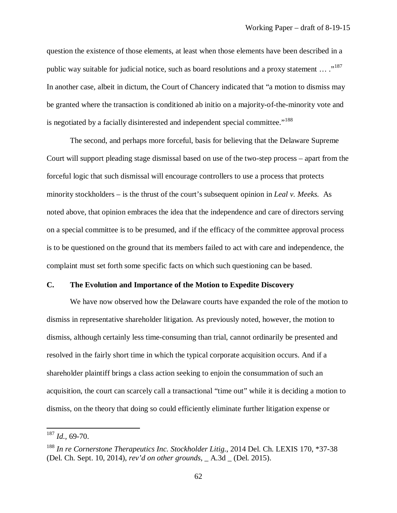question the existence of those elements, at least when those elements have been described in a public way suitable for judicial notice, such as board resolutions and a proxy statement  $\ldots$ ."<sup>[187](#page-64-0)</sup> In another case, albeit in dictum, the Court of Chancery indicated that "a motion to dismiss may be granted where the transaction is conditioned ab initio on a majority-of-the-minority vote and is negotiated by a facially disinterested and independent special committee."<sup>[188](#page-64-1)</sup>

The second, and perhaps more forceful, basis for believing that the Delaware Supreme Court will support pleading stage dismissal based on use of the two-step process – apart from the forceful logic that such dismissal will encourage controllers to use a process that protects minority stockholders – is the thrust of the court's subsequent opinion in *Leal v. Meeks.* As noted above, that opinion embraces the idea that the independence and care of directors serving on a special committee is to be presumed, and if the efficacy of the committee approval process is to be questioned on the ground that its members failed to act with care and independence, the complaint must set forth some specific facts on which such questioning can be based.

### **C. The Evolution and Importance of the Motion to Expedite Discovery**

We have now observed how the Delaware courts have expanded the role of the motion to dismiss in representative shareholder litigation. As previously noted, however, the motion to dismiss, although certainly less time-consuming than trial, cannot ordinarily be presented and resolved in the fairly short time in which the typical corporate acquisition occurs. And if a shareholder plaintiff brings a class action seeking to enjoin the consummation of such an acquisition, the court can scarcely call a transactional "time out" while it is deciding a motion to dismiss, on the theory that doing so could efficiently eliminate further litigation expense or

<span id="page-64-0"></span><sup>187</sup> *Id.,* 69-70.

<span id="page-64-1"></span><sup>&</sup>lt;sup>188</sup> In re Cornerstone Therapeutics Inc. Stockholder Litig., 2014 Del. Ch. LEXIS 170, \*37-38 (Del. Ch. Sept. 10, 2014), *rev'd on other grounds*, \_ A.3d \_ (Del. 2015).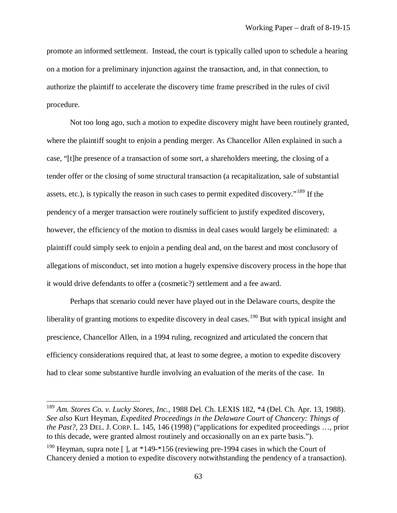promote an informed settlement. Instead, the court is typically called upon to schedule a hearing on a motion for a preliminary injunction against the transaction, and, in that connection, to authorize the plaintiff to accelerate the discovery time frame prescribed in the rules of civil procedure.

Not too long ago, such a motion to expedite discovery might have been routinely granted, where the plaintiff sought to enjoin a pending merger. As Chancellor Allen explained in such a case, "[t]he presence of a transaction of some sort, a shareholders meeting, the closing of a tender offer or the closing of some structural transaction (a recapitalization, sale of substantial assets, etc.), is typically the reason in such cases to permit expedited discovery."[189](#page-65-0) If the pendency of a merger transaction were routinely sufficient to justify expedited discovery, however, the efficiency of the motion to dismiss in deal cases would largely be eliminated: a plaintiff could simply seek to enjoin a pending deal and, on the barest and most conclusory of allegations of misconduct, set into motion a hugely expensive discovery process in the hope that it would drive defendants to offer a (cosmetic?) settlement and a fee award.

Perhaps that scenario could never have played out in the Delaware courts, despite the liberality of granting motions to expedite discovery in deal cases.<sup>[190](#page-65-1)</sup> But with typical insight and prescience, Chancellor Allen, in a 1994 ruling, recognized and articulated the concern that efficiency considerations required that, at least to some degree, a motion to expedite discovery had to clear some substantive hurdle involving an evaluation of the merits of the case. In

<span id="page-65-0"></span><sup>189</sup> *Am. Stores Co. v. Lucky Stores, Inc.,* 1988 Del. Ch. LEXIS 182, \*4 (Del. Ch. Apr. 13, 1988). *See also* Kurt Heyman, *Expedited Proceedings in the Delaware Court of Chancery: Things of the Past?*, 23 DEL. J. CORP. L. 145, 146 (1998) ("applications for expedited proceedings …, prior to this decade, were granted almost routinely and occasionally on an ex parte basis.").

<span id="page-65-1"></span><sup>&</sup>lt;sup>190</sup> Heyman, supra note  $\lceil \cdot \rceil$ , at \*149-\*156 (reviewing pre-1994 cases in which the Court of Chancery denied a motion to expedite discovery notwithstanding the pendency of a transaction).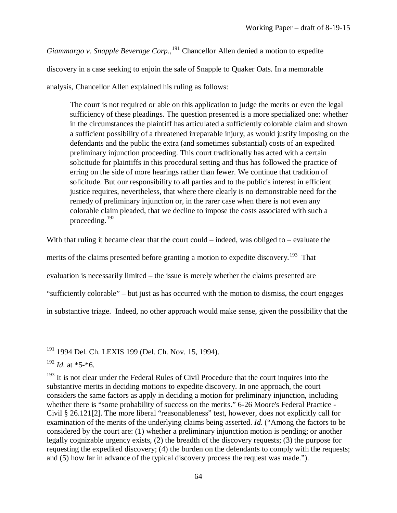*Giammargo v. Snapple Beverage Corp.*, [191](#page-66-0) Chancellor Allen denied a motion to expedite

discovery in a case seeking to enjoin the sale of Snapple to Quaker Oats. In a memorable

analysis, Chancellor Allen explained his ruling as follows:

The court is not required or able on this application to judge the merits or even the legal sufficiency of these pleadings. The question presented is a more specialized one: whether in the circumstances the plaintiff has articulated a sufficiently colorable claim and shown a sufficient possibility of a threatened irreparable injury, as would justify imposing on the defendants and the public the extra (and sometimes substantial) costs of an expedited preliminary injunction proceeding. This court traditionally has acted with a certain solicitude for plaintiffs in this procedural setting and thus has followed the practice of erring on the side of more hearings rather than fewer. We continue that tradition of solicitude. But our responsibility to all parties and to the public's interest in efficient justice requires, nevertheless, that where there clearly is no demonstrable need for the remedy of preliminary injunction or, in the rarer case when there is not even any colorable claim pleaded, that we decline to impose the costs associated with such a proceeding.[192](#page-66-1)

With that ruling it became clear that the court could – indeed, was obliged to – evaluate the merits of the claims presented before granting a motion to expedite discovery.<sup>[193](#page-66-2)</sup> That evaluation is necessarily limited – the issue is merely whether the claims presented are "sufficiently colorable" – but just as has occurred with the motion to dismiss, the court engages

in substantive triage. Indeed, no other approach would make sense, given the possibility that the

<span id="page-66-0"></span><sup>&</sup>lt;sup>191</sup> 1994 Del. Ch. LEXIS 199 (Del. Ch. Nov. 15, 1994).  $\overline{a}$ 

<span id="page-66-1"></span> $192$  *Id.* at  $*5-*6$ .

<span id="page-66-2"></span> $193$  It is not clear under the Federal Rules of Civil Procedure that the court inquires into the substantive merits in deciding motions to expedite discovery. In one approach, the court considers the same factors as apply in deciding a motion for preliminary injunction, including whether there is "some probability of success on the merits." 6-26 Moore's Federal Practice - Civil § 26.121[2]. The more liberal "reasonableness" test, however, does not explicitly call for examination of the merits of the underlying claims being asserted. *Id*. ("Among the factors to be considered by the court are: (1) whether a preliminary injunction motion is pending; or another legally cognizable urgency exists, (2) the breadth of the discovery requests; (3) the purpose for requesting the expedited discovery; (4) the burden on the defendants to comply with the requests; and (5) how far in advance of the typical discovery process the request was made.").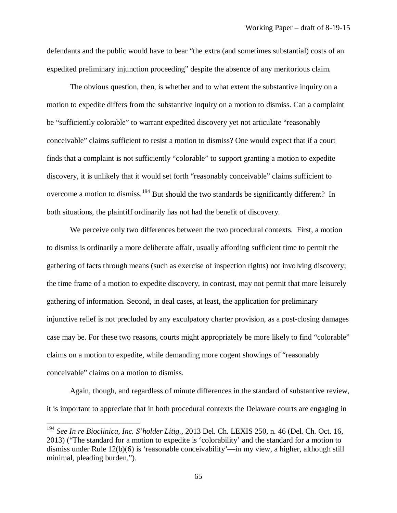defendants and the public would have to bear "the extra (and sometimes substantial) costs of an expedited preliminary injunction proceeding" despite the absence of any meritorious claim.

The obvious question, then, is whether and to what extent the substantive inquiry on a motion to expedite differs from the substantive inquiry on a motion to dismiss. Can a complaint be "sufficiently colorable" to warrant expedited discovery yet not articulate "reasonably conceivable" claims sufficient to resist a motion to dismiss? One would expect that if a court finds that a complaint is not sufficiently "colorable" to support granting a motion to expedite discovery, it is unlikely that it would set forth "reasonably conceivable" claims sufficient to overcome a motion to dismiss.<sup>[194](#page-67-0)</sup> But should the two standards be significantly different? In both situations, the plaintiff ordinarily has not had the benefit of discovery.

We perceive only two differences between the two procedural contexts. First, a motion to dismiss is ordinarily a more deliberate affair, usually affording sufficient time to permit the gathering of facts through means (such as exercise of inspection rights) not involving discovery; the time frame of a motion to expedite discovery, in contrast, may not permit that more leisurely gathering of information. Second, in deal cases, at least, the application for preliminary injunctive relief is not precluded by any exculpatory charter provision, as a post-closing damages case may be. For these two reasons, courts might appropriately be more likely to find "colorable" claims on a motion to expedite, while demanding more cogent showings of "reasonably conceivable" claims on a motion to dismiss.

Again, though, and regardless of minute differences in the standard of substantive review, it is important to appreciate that in both procedural contexts the Delaware courts are engaging in

<span id="page-67-0"></span><sup>194</sup> *See In re Bioclinica, Inc. S'holder Litig.,* 2013 Del. Ch. LEXIS 250, n. 46 (Del. Ch. Oct. 16, 2013) ("The standard for a motion to expedite is 'colorability' and the standard for a motion to dismiss under Rule 12(b)(6) is 'reasonable conceivability'—in my view, a higher, although still minimal, pleading burden.").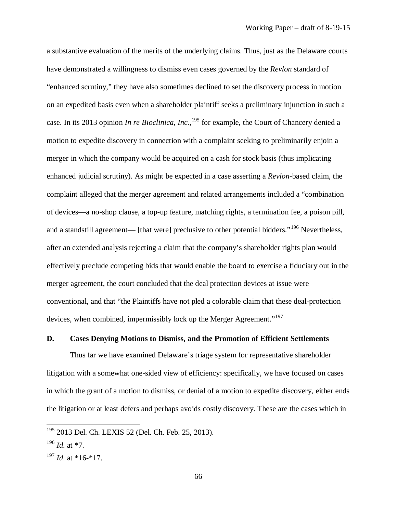a substantive evaluation of the merits of the underlying claims. Thus, just as the Delaware courts have demonstrated a willingness to dismiss even cases governed by the *Revlon* standard of "enhanced scrutiny," they have also sometimes declined to set the discovery process in motion on an expedited basis even when a shareholder plaintiff seeks a preliminary injunction in such a case. In its 2013 opinion *In re Bioclinica, Inc.*, [195](#page-68-0) for example, the Court of Chancery denied a motion to expedite discovery in connection with a complaint seeking to preliminarily enjoin a merger in which the company would be acquired on a cash for stock basis (thus implicating enhanced judicial scrutiny). As might be expected in a case asserting a *Revlon*-based claim, the complaint alleged that the merger agreement and related arrangements included a "combination of devices—a no-shop clause, a top-up feature, matching rights, a termination fee, a poison pill, and a standstill agreement— [that were] preclusive to other potential bidders."<sup>[196](#page-68-1)</sup> Nevertheless, after an extended analysis rejecting a claim that the company's shareholder rights plan would effectively preclude competing bids that would enable the board to exercise a fiduciary out in the merger agreement, the court concluded that the deal protection devices at issue were conventional, and that "the Plaintiffs have not pled a colorable claim that these deal-protection devices, when combined, impermissibly lock up the Merger Agreement."<sup>[197](#page-68-2)</sup>

### **D. Cases Denying Motions to Dismiss, and the Promotion of Efficient Settlements**

Thus far we have examined Delaware's triage system for representative shareholder litigation with a somewhat one-sided view of efficiency: specifically, we have focused on cases in which the grant of a motion to dismiss, or denial of a motion to expedite discovery, either ends the litigation or at least defers and perhaps avoids costly discovery. These are the cases which in

<span id="page-68-0"></span><sup>&</sup>lt;sup>195</sup> 2013 Del. Ch. LEXIS 52 (Del. Ch. Feb. 25, 2013).

<span id="page-68-1"></span><sup>196</sup> *Id.* at \*7.

<span id="page-68-2"></span><sup>197</sup> *Id.* at \*16-\*17.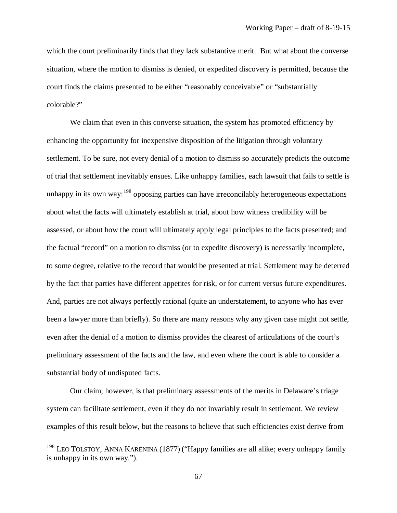which the court preliminarily finds that they lack substantive merit. But what about the converse situation, where the motion to dismiss is denied, or expedited discovery is permitted, because the court finds the claims presented to be either "reasonably conceivable" or "substantially colorable?"

We claim that even in this converse situation, the system has promoted efficiency by enhancing the opportunity for inexpensive disposition of the litigation through voluntary settlement. To be sure, not every denial of a motion to dismiss so accurately predicts the outcome of trial that settlement inevitably ensues. Like unhappy families, each lawsuit that fails to settle is unhappy in its own way:  $198$  opposing parties can have irreconcilably heterogeneous expectations about what the facts will ultimately establish at trial, about how witness credibility will be assessed, or about how the court will ultimately apply legal principles to the facts presented; and the factual "record" on a motion to dismiss (or to expedite discovery) is necessarily incomplete, to some degree, relative to the record that would be presented at trial. Settlement may be deterred by the fact that parties have different appetites for risk, or for current versus future expenditures. And, parties are not always perfectly rational (quite an understatement, to anyone who has ever been a lawyer more than briefly). So there are many reasons why any given case might not settle, even after the denial of a motion to dismiss provides the clearest of articulations of the court's preliminary assessment of the facts and the law, and even where the court is able to consider a substantial body of undisputed facts.

Our claim, however, is that preliminary assessments of the merits in Delaware's triage system can facilitate settlement, even if they do not invariably result in settlement. We review examples of this result below, but the reasons to believe that such efficiencies exist derive from

<span id="page-69-0"></span><sup>&</sup>lt;sup>198</sup> LEO TOLSTOY, ANNA KARENINA (1877) ("Happy families are all alike; every unhappy family is unhappy in its own way.").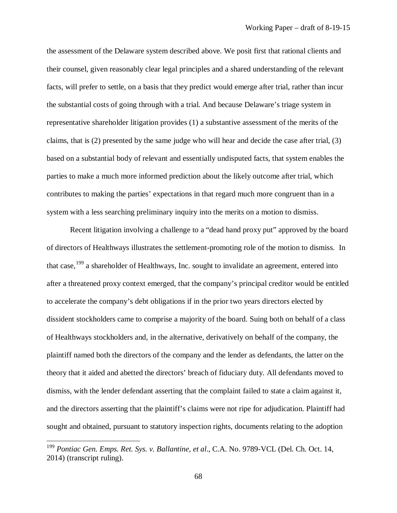the assessment of the Delaware system described above. We posit first that rational clients and their counsel, given reasonably clear legal principles and a shared understanding of the relevant facts, will prefer to settle, on a basis that they predict would emerge after trial, rather than incur the substantial costs of going through with a trial. And because Delaware's triage system in representative shareholder litigation provides (1) a substantive assessment of the merits of the claims, that is (2) presented by the same judge who will hear and decide the case after trial, (3) based on a substantial body of relevant and essentially undisputed facts, that system enables the parties to make a much more informed prediction about the likely outcome after trial, which contributes to making the parties' expectations in that regard much more congruent than in a system with a less searching preliminary inquiry into the merits on a motion to dismiss.

Recent litigation involving a challenge to a "dead hand proxy put" approved by the board of directors of Healthways illustrates the settlement-promoting role of the motion to dismiss. In that case,  $199$  a shareholder of Healthways, Inc. sought to invalidate an agreement, entered into after a threatened proxy context emerged, that the company's principal creditor would be entitled to accelerate the company's debt obligations if in the prior two years directors elected by dissident stockholders came to comprise a majority of the board. Suing both on behalf of a class of Healthways stockholders and, in the alternative, derivatively on behalf of the company, the plaintiff named both the directors of the company and the lender as defendants, the latter on the theory that it aided and abetted the directors' breach of fiduciary duty. All defendants moved to dismiss, with the lender defendant asserting that the complaint failed to state a claim against it, and the directors asserting that the plaintiff's claims were not ripe for adjudication. Plaintiff had sought and obtained, pursuant to statutory inspection rights, documents relating to the adoption

<span id="page-70-0"></span><sup>199</sup> *Pontiac Gen. Emps. Ret. Sys. v. Ballantine, et al*., C.A. No. 9789-VCL (Del. Ch. Oct. 14, 2014) (transcript ruling).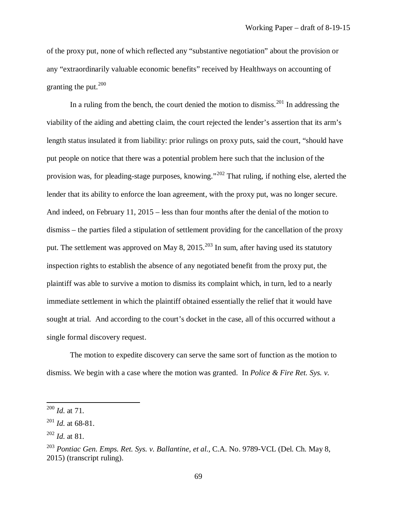of the proxy put, none of which reflected any "substantive negotiation" about the provision or any "extraordinarily valuable economic benefits" received by Healthways on accounting of granting the put. $200$ 

In a ruling from the bench, the court denied the motion to dismiss.<sup>[201](#page-71-1)</sup> In addressing the viability of the aiding and abetting claim, the court rejected the lender's assertion that its arm's length status insulated it from liability: prior rulings on proxy puts, said the court, "should have put people on notice that there was a potential problem here such that the inclusion of the provision was, for pleading-stage purposes, knowing."[202](#page-71-2) That ruling, if nothing else, alerted the lender that its ability to enforce the loan agreement, with the proxy put, was no longer secure. And indeed, on February 11, 2015 – less than four months after the denial of the motion to dismiss – the parties filed a stipulation of settlement providing for the cancellation of the proxy put. The settlement was approved on May 8, 2015.<sup>[203](#page-71-3)</sup> In sum, after having used its statutory inspection rights to establish the absence of any negotiated benefit from the proxy put, the plaintiff was able to survive a motion to dismiss its complaint which, in turn, led to a nearly immediate settlement in which the plaintiff obtained essentially the relief that it would have sought at trial. And according to the court's docket in the case, all of this occurred without a single formal discovery request.

The motion to expedite discovery can serve the same sort of function as the motion to dismiss. We begin with a case where the motion was granted. In *Police & Fire Ret. Sys. v.* 

<span id="page-71-0"></span><sup>200</sup> *Id.* at 71.

<span id="page-71-1"></span><sup>201</sup> *Id.* at 68-81.

<span id="page-71-2"></span><sup>202</sup> *Id.* at 81.

<span id="page-71-3"></span><sup>203</sup> *Pontiac Gen. Emps. Ret. Sys. v. Ballantine, et al.,* C.A. No. 9789-VCL (Del. Ch. May 8, 2015) (transcript ruling).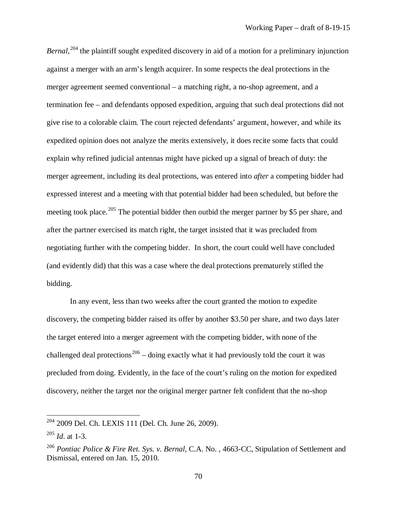Bernal,<sup>[204](#page-72-0)</sup> the plaintiff sought expedited discovery in aid of a motion for a preliminary injunction against a merger with an arm's length acquirer. In some respects the deal protections in the merger agreement seemed conventional – a matching right, a no-shop agreement, and a termination fee – and defendants opposed expedition, arguing that such deal protections did not give rise to a colorable claim. The court rejected defendants' argument, however, and while its expedited opinion does not analyze the merits extensively, it does recite some facts that could explain why refined judicial antennas might have picked up a signal of breach of duty: the merger agreement, including its deal protections, was entered into *after* a competing bidder had expressed interest and a meeting with that potential bidder had been scheduled, but before the meeting took place.<sup>[205](#page-72-1)</sup> The potential bidder then outbid the merger partner by \$5 per share, and after the partner exercised its match right, the target insisted that it was precluded from negotiating further with the competing bidder. In short, the court could well have concluded (and evidently did) that this was a case where the deal protections prematurely stifled the bidding.

In any event, less than two weeks after the court granted the motion to expedite discovery, the competing bidder raised its offer by another \$3.50 per share, and two days later the target entered into a merger agreement with the competing bidder, with none of the challenged deal protections<sup>[206](#page-72-2)</sup> – doing exactly what it had previously told the court it was precluded from doing. Evidently, in the face of the court's ruling on the motion for expedited discovery, neither the target nor the original merger partner felt confident that the no-shop

<span id="page-72-0"></span><sup>204</sup> 2009 Del. Ch. LEXIS 111 (Del. Ch. June 26, 2009).

<span id="page-72-1"></span><sup>205</sup> *Id*. at 1-3.

<span id="page-72-2"></span><sup>&</sup>lt;sup>206</sup> Pontiac Police & Fire Ret. Sys. v. Bernal, C.A. No., 4663-CC, Stipulation of Settlement and Dismissal, entered on Jan. 15, 2010.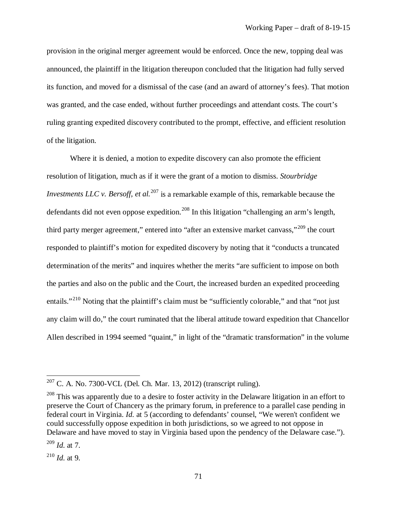provision in the original merger agreement would be enforced. Once the new, topping deal was announced, the plaintiff in the litigation thereupon concluded that the litigation had fully served its function, and moved for a dismissal of the case (and an award of attorney's fees). That motion was granted, and the case ended, without further proceedings and attendant costs. The court's ruling granting expedited discovery contributed to the prompt, effective, and efficient resolution of the litigation.

Where it is denied, a motion to expedite discovery can also promote the efficient resolution of litigation, much as if it were the grant of a motion to dismiss. *Stourbridge Investments LLC v. Bersoff, et al.*<sup>[207](#page-73-0)</sup> is a remarkable example of this, remarkable because the defendants did not even oppose expedition.<sup>[208](#page-73-1)</sup> In this litigation "challenging an arm's length, third party merger agreement," entered into "after an extensive market canvass,"<sup>[209](#page-73-2)</sup> the court responded to plaintiff's motion for expedited discovery by noting that it "conducts a truncated determination of the merits" and inquires whether the merits "are sufficient to impose on both the parties and also on the public and the Court, the increased burden an expedited proceeding entails."<sup>[210](#page-73-3)</sup> Noting that the plaintiff's claim must be "sufficiently colorable," and that "not just any claim will do," the court ruminated that the liberal attitude toward expedition that Chancellor Allen described in 1994 seemed "quaint," in light of the "dramatic transformation" in the volume

l

<span id="page-73-0"></span> $207$  C. A. No. 7300-VCL (Del. Ch. Mar. 13, 2012) (transcript ruling).

<span id="page-73-1"></span> $208$  This was apparently due to a desire to foster activity in the Delaware litigation in an effort to preserve the Court of Chancery as the primary forum, in preference to a parallel case pending in federal court in Virginia. *Id.* at 5 (according to defendants' counsel, "We weren't confident we could successfully oppose expedition in both jurisdictions, so we agreed to not oppose in Delaware and have moved to stay in Virginia based upon the pendency of the Delaware case.").

<span id="page-73-2"></span><sup>209</sup> *Id.* at 7.

<span id="page-73-3"></span><sup>210</sup> *Id.* at 9.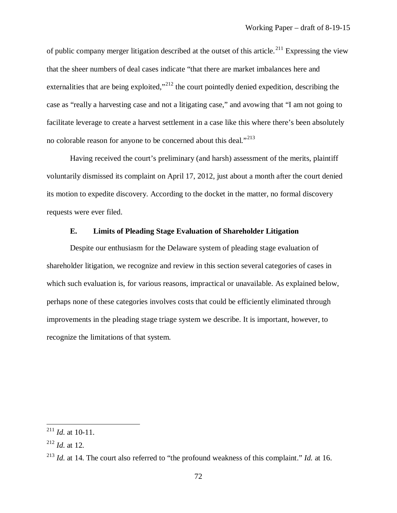of public company merger litigation described at the outset of this article.<sup>[211](#page-74-0)</sup> Expressing the view that the sheer numbers of deal cases indicate "that there are market imbalances here and externalities that are being exploited,"<sup>[212](#page-74-1)</sup> the court pointedly denied expedition, describing the case as "really a harvesting case and not a litigating case," and avowing that "I am not going to facilitate leverage to create a harvest settlement in a case like this where there's been absolutely no colorable reason for anyone to be concerned about this deal."<sup>[213](#page-74-2)</sup>

Having received the court's preliminary (and harsh) assessment of the merits, plaintiff voluntarily dismissed its complaint on April 17, 2012, just about a month after the court denied its motion to expedite discovery. According to the docket in the matter, no formal discovery requests were ever filed.

## **E. Limits of Pleading Stage Evaluation of Shareholder Litigation**

Despite our enthusiasm for the Delaware system of pleading stage evaluation of shareholder litigation, we recognize and review in this section several categories of cases in which such evaluation is, for various reasons, impractical or unavailable. As explained below, perhaps none of these categories involves costs that could be efficiently eliminated through improvements in the pleading stage triage system we describe. It is important, however, to recognize the limitations of that system.

<span id="page-74-0"></span> $^{211}$  *Id.* at 10-11.

<span id="page-74-1"></span><sup>212</sup> *Id.* at 12.

<span id="page-74-2"></span><sup>213</sup> *Id.* at 14. The court also referred to "the profound weakness of this complaint." *Id.* at 16.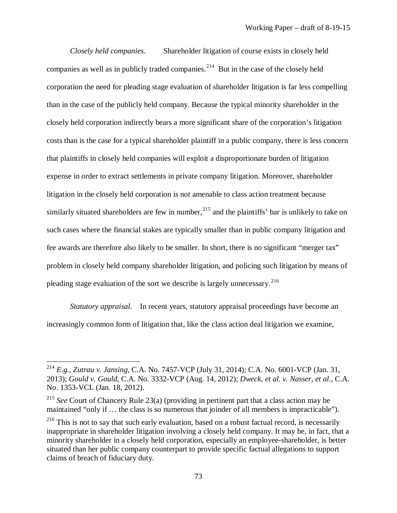*Closely held companies*. Shareholder litigation of course exists in closely held companies as well as in publicly traded companies.<sup>[214](#page-75-0)</sup> But in the case of the closely held corporation the need for pleading stage evaluation of shareholder litigation is far less compelling than in the case of the publicly held company. Because the typical minority shareholder in the closely held corporation indirectly bears a more significant share of the corporation's litigation costs than is the case for a typical shareholder plaintiff in a public company, there is less concern that plaintiffs in closely held companies will exploit a disproportionate burden of litigation expense in order to extract settlements in private company litigation. Moreover, shareholder litigation in the closely held corporation is not amenable to class action treatment because similarly situated shareholders are few in number,  $^{215}$  $^{215}$  $^{215}$  and the plaintiffs' bar is unlikely to take on such cases where the financial stakes are typically smaller than in public company litigation and fee awards are therefore also likely to be smaller. In short, there is no significant "merger tax" problem in closely held company shareholder litigation, and policing such litigation by means of pleading stage evaluation of the sort we describe is largely unnecessary.[216](#page-75-2)

*Statutory appraisal.* In recent years, statutory appraisal proceedings have become an increasingly common form of litigation that, like the class action deal litigation we examine,

<span id="page-75-0"></span><sup>214</sup> *E.g., Zutrau v. Jansing*, C.A. No. 7457-VCP (July 31, 2014); C.A. No. 6001-VCP (Jan. 31, 2013); *Gould v. Gould*, C.A. No. 3332-VCP (Aug. 14, 2012); *Dweck, et al. v. Nasser, et al.*, C.A. No. 1353-VCL (Jan. 18, 2012).

<span id="page-75-1"></span><sup>&</sup>lt;sup>215</sup> *See* Court of Chancery Rule 23(a) (providing in pertinent part that a class action may be maintained "only if … the class is so numerous that joinder of all members is impracticable").

<span id="page-75-2"></span><sup>&</sup>lt;sup>216</sup> This is not to say that such early evaluation, based on a robust factual record, is necessarily inappropriate in shareholder litigation involving a closely held company. It may be, in fact, that a minority shareholder in a closely held corporation, especially an employee-shareholder, is better situated than her public company counterpart to provide specific factual allegations to support claims of breach of fiduciary duty.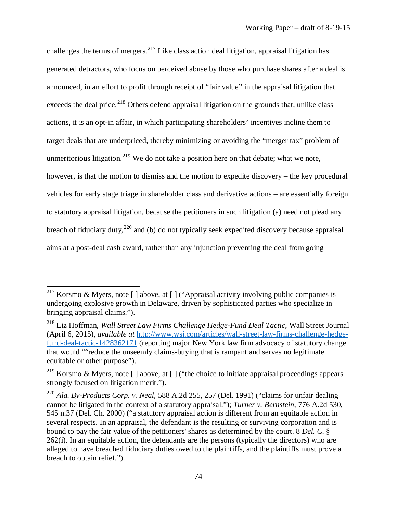challenges the terms of mergers.<sup>[217](#page-76-0)</sup> Like class action deal litigation, appraisal litigation has generated detractors, who focus on perceived abuse by those who purchase shares after a deal is announced, in an effort to profit through receipt of "fair value" in the appraisal litigation that exceeds the deal price.<sup>[218](#page-76-1)</sup> Others defend appraisal litigation on the grounds that, unlike class actions, it is an opt-in affair, in which participating shareholders' incentives incline them to target deals that are underpriced, thereby minimizing or avoiding the "merger tax" problem of unmeritorious litigation.<sup>[219](#page-76-2)</sup> We do not take a position here on that debate; what we note, however, is that the motion to dismiss and the motion to expedite discovery – the key procedural vehicles for early stage triage in shareholder class and derivative actions – are essentially foreign to statutory appraisal litigation, because the petitioners in such litigation (a) need not plead any breach of fiduciary duty,  $220$  and (b) do not typically seek expedited discovery because appraisal aims at a post-deal cash award, rather than any injunction preventing the deal from going

l

<span id="page-76-0"></span><sup>&</sup>lt;sup>217</sup> Korsmo & Myers, note [ ] above, at [ ] ("Appraisal activity involving public companies is undergoing explosive growth in Delaware, driven by sophisticated parties who specialize in bringing appraisal claims.").

<span id="page-76-1"></span><sup>218</sup> Liz Hoffman, *Wall Street Law Firms Challenge Hedge-Fund Deal Tactic*, Wall Street Journal (April 6, 2015), *available at* [http://www.wsj.com/articles/wall-street-law-firms-challenge-hedge](http://www.wsj.com/articles/wall-street-law-firms-challenge-hedge-fund-deal-tactic-1428362171)[fund-deal-tactic-1428362171](http://www.wsj.com/articles/wall-street-law-firms-challenge-hedge-fund-deal-tactic-1428362171) (reporting major New York law firm advocacy of statutory change that would ""reduce the unseemly claims-buying that is rampant and serves no legitimate equitable or other purpose").

<span id="page-76-2"></span><sup>219</sup> Korsmo & Myers, note [ ] above, at [ ] ("the choice to initiate appraisal proceedings appears strongly focused on litigation merit.").

<span id="page-76-3"></span><sup>220</sup> *Ala. By-Products Corp. v. Neal,* 588 A.2d 255, 257 (Del. 1991) ("claims for unfair dealing cannot be litigated in the context of a statutory appraisal."); *Turner v. Bernstein*, 776 A.2d 530, 545 n.37 (Del. Ch. 2000) ("a statutory appraisal action is different from an equitable action in several respects. In an appraisal, the defendant is the resulting or surviving corporation and is bound to pay the fair value of the petitioners' shares as determined by the court. 8 *Del. C*. §  $262(i)$ . In an equitable action, the defendants are the persons (typically the directors) who are alleged to have breached fiduciary duties owed to the plaintiffs, and the plaintiffs must prove a breach to obtain relief.").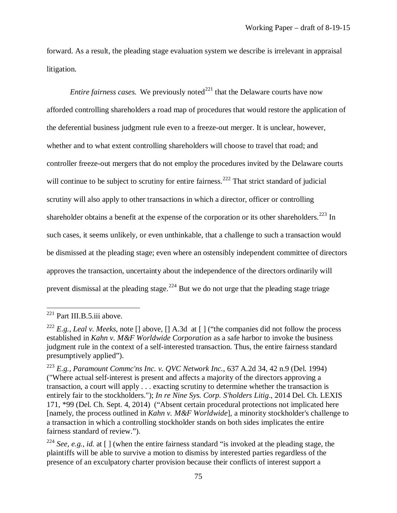forward. As a result, the pleading stage evaluation system we describe is irrelevant in appraisal litigation.

*Entire fairness cases.* We previously noted<sup>[221](#page-77-0)</sup> that the Delaware courts have now afforded controlling shareholders a road map of procedures that would restore the application of the deferential business judgment rule even to a freeze-out merger. It is unclear, however, whether and to what extent controlling shareholders will choose to travel that road; and controller freeze-out mergers that do not employ the procedures invited by the Delaware courts will continue to be subject to scrutiny for entire fairness.<sup>[222](#page-77-1)</sup> That strict standard of judicial scrutiny will also apply to other transactions in which a director, officer or controlling shareholder obtains a benefit at the expense of the corporation or its other shareholders.<sup>[223](#page-77-2)</sup> In such cases, it seems unlikely, or even unthinkable, that a challenge to such a transaction would be dismissed at the pleading stage; even where an ostensibly independent committee of directors approves the transaction, uncertainty about the independence of the directors ordinarily will prevent dismissal at the pleading stage.<sup>[224](#page-77-3)</sup> But we do not urge that the pleading stage triage

<span id="page-77-0"></span> $221$  Part III.B.5.iii above.

<span id="page-77-1"></span><sup>222</sup> *E.g.*, *Leal v. Meeks*, note [] above, [] A.3d at [ ] ("the companies did not follow the process established in *Kahn v. M&F Worldwide Corporation* as a safe harbor to invoke the business judgment rule in the context of a self-interested transaction. Thus, the entire fairness standard presumptively applied").

<span id="page-77-2"></span><sup>223</sup> *E.g.*, *Paramount Commc'ns Inc. v. QVC Network Inc.*, 637 A.2d 34, 42 n.9 (Del. 1994) ("Where actual self-interest is present and affects a majority of the directors approving a transaction, a court will apply . . . exacting scrutiny to determine whether the transaction is entirely fair to the stockholders."); *In re Nine Sys. Corp. S'holders Litig*., 2014 Del. Ch. LEXIS 171, \*99 (Del. Ch. Sept. 4, 2014) ("Absent certain procedural protections not implicated here [namely, the process outlined in *Kahn v. M&F Worldwide*], a minority stockholder's challenge to a transaction in which a controlling stockholder stands on both sides implicates the entire fairness standard of review.").

<span id="page-77-3"></span><sup>&</sup>lt;sup>224</sup> *See, e.g., id.* at  $\lceil \cdot \rceil$  (when the entire fairness standard "is invoked at the pleading stage, the plaintiffs will be able to survive a motion to dismiss by interested parties regardless of the presence of an exculpatory charter provision because their conflicts of interest support a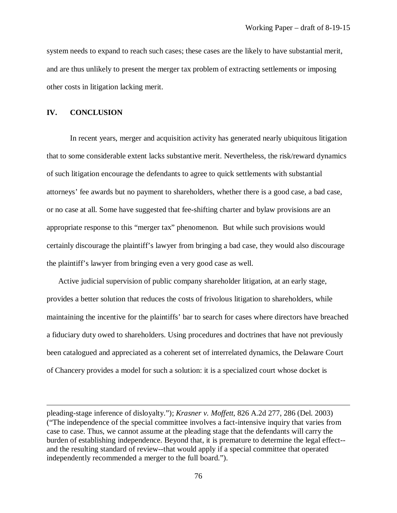system needs to expand to reach such cases; these cases are the likely to have substantial merit, and are thus unlikely to present the merger tax problem of extracting settlements or imposing other costs in litigation lacking merit.

## **IV. CONCLUSION**

 $\overline{\phantom{a}}$ 

In recent years, merger and acquisition activity has generated nearly ubiquitous litigation that to some considerable extent lacks substantive merit. Nevertheless, the risk/reward dynamics of such litigation encourage the defendants to agree to quick settlements with substantial attorneys' fee awards but no payment to shareholders, whether there is a good case, a bad case, or no case at all. Some have suggested that fee-shifting charter and bylaw provisions are an appropriate response to this "merger tax" phenomenon. But while such provisions would certainly discourage the plaintiff's lawyer from bringing a bad case, they would also discourage the plaintiff's lawyer from bringing even a very good case as well.

Active judicial supervision of public company shareholder litigation, at an early stage, provides a better solution that reduces the costs of frivolous litigation to shareholders, while maintaining the incentive for the plaintiffs' bar to search for cases where directors have breached a fiduciary duty owed to shareholders. Using procedures and doctrines that have not previously been catalogued and appreciated as a coherent set of interrelated dynamics, the Delaware Court of Chancery provides a model for such a solution: it is a specialized court whose docket is

pleading-stage inference of disloyalty."); *Krasner v. Moffett*, 826 A.2d 277, 286 (Del. 2003) ("The independence of the special committee involves a fact-intensive inquiry that varies from case to case. Thus, we cannot assume at the pleading stage that the defendants will carry the burden of establishing independence. Beyond that, it is premature to determine the legal effect- and the resulting standard of review--that would apply if a special committee that operated independently recommended a merger to the full board.").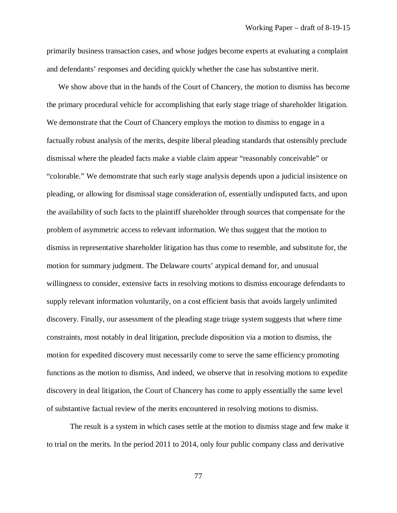primarily business transaction cases, and whose judges become experts at evaluating a complaint and defendants' responses and deciding quickly whether the case has substantive merit.

We show above that in the hands of the Court of Chancery, the motion to dismiss has become the primary procedural vehicle for accomplishing that early stage triage of shareholder litigation. We demonstrate that the Court of Chancery employs the motion to dismiss to engage in a factually robust analysis of the merits, despite liberal pleading standards that ostensibly preclude dismissal where the pleaded facts make a viable claim appear "reasonably conceivable" or "colorable." We demonstrate that such early stage analysis depends upon a judicial insistence on pleading, or allowing for dismissal stage consideration of, essentially undisputed facts, and upon the availability of such facts to the plaintiff shareholder through sources that compensate for the problem of asymmetric access to relevant information. We thus suggest that the motion to dismiss in representative shareholder litigation has thus come to resemble, and substitute for, the motion for summary judgment. The Delaware courts' atypical demand for, and unusual willingness to consider, extensive facts in resolving motions to dismiss encourage defendants to supply relevant information voluntarily, on a cost efficient basis that avoids largely unlimited discovery. Finally, our assessment of the pleading stage triage system suggests that where time constraints, most notably in deal litigation, preclude disposition via a motion to dismiss, the motion for expedited discovery must necessarily come to serve the same efficiency promoting functions as the motion to dismiss, And indeed, we observe that in resolving motions to expedite discovery in deal litigation, the Court of Chancery has come to apply essentially the same level of substantive factual review of the merits encountered in resolving motions to dismiss.

The result is a system in which cases settle at the motion to dismiss stage and few make it to trial on the merits. In the period 2011 to 2014, only four public company class and derivative

77